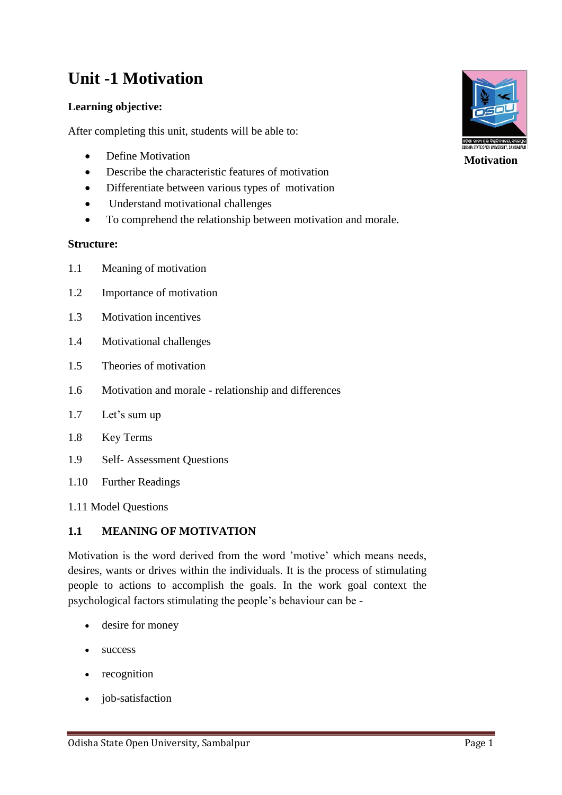# **Unit -1 Motivation**

## **Learning objective:**

After completing this unit, students will be able to:

- Define Motivation
- Describe the characteristic features of motivation
- Differentiate between various types of motivation
- Understand motivational challenges
- To comprehend the relationship between motivation and morale.

#### **Structure:**

- 1.1 Meaning of motivation
- 1.2 Importance of motivation
- 1.3 Motivation incentives
- 1.4 Motivational challenges
- 1.5 Theories of motivation
- 1.6 Motivation and morale relationship and differences
- 1.7 Let's sum up
- 1.8 Key Terms
- 1.9 Self- Assessment Questions
- 1.10 Further Readings
- 1.11 Model Questions

#### **1.1 MEANING OF MOTIVATION**

Motivation is the word derived from the word 'motive' which means needs, desires, wants or drives within the individuals. It is the process of stimulating people to actions to accomplish the goals. In the work goal context the psychological factors stimulating the people's behaviour can be -

- desire for money
- success
- recognition
- job-satisfaction

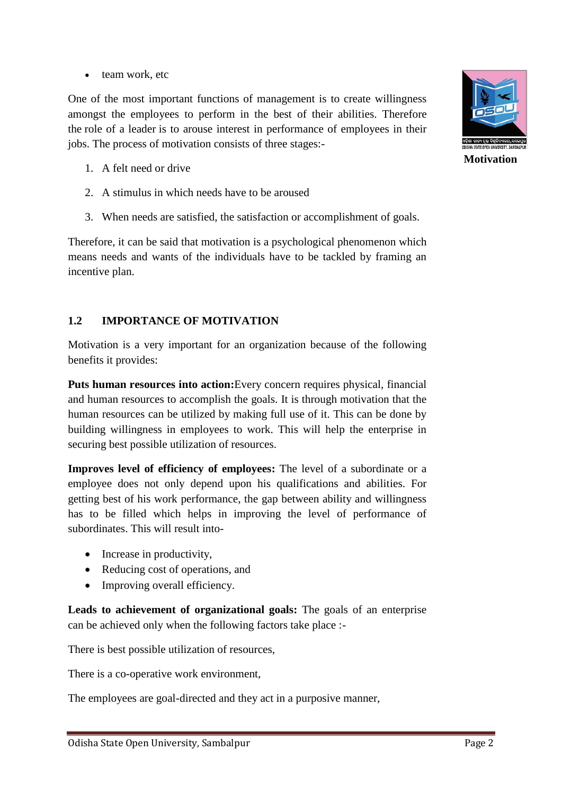• team work, etc

One of the most important functions of management is to create willingness amongst the employees to perform in the best of their abilities. Therefore the [role of a leader](http://www.managementstudyguide.com/role_of_a_leader.htm) is to arouse interest in performance of employees in their jobs. The process of motivation consists of three stages:-

- 1. A felt need or drive
- 2. A stimulus in which needs have to be aroused
- 3. When needs are satisfied, the satisfaction or accomplishment of goals.

Therefore, it can be said that motivation is a psychological phenomenon which means needs and wants of the individuals have to be tackled by framing an incentive plan.

# **1.2 IMPORTANCE OF MOTIVATION**

Motivation is a very important for an organization because of the following benefits it provides:

**Puts human resources into action:**Every concern requires physical, financial and human resources to accomplish the goals. It is through motivation that the human resources can be utilized by making full use of it. This can be done by building willingness in employees to work. This will help the enterprise in securing best possible utilization of resources.

**Improves level of efficiency of employees:** The level of a subordinate or a employee does not only depend upon his qualifications and abilities. For getting best of his work performance, the gap between ability and willingness has to be filled which helps in improving the level of performance of subordinates. This will result into-

- Increase in productivity,
- Reducing cost of operations, and
- Improving overall efficiency.

**Leads to achievement of organizational goals:** The goals of an enterprise can be achieved only when the following factors take place :-

There is best possible utilization of resources,

There is a co-operative work environment,

The employees are goal-directed and they act in a purposive manner,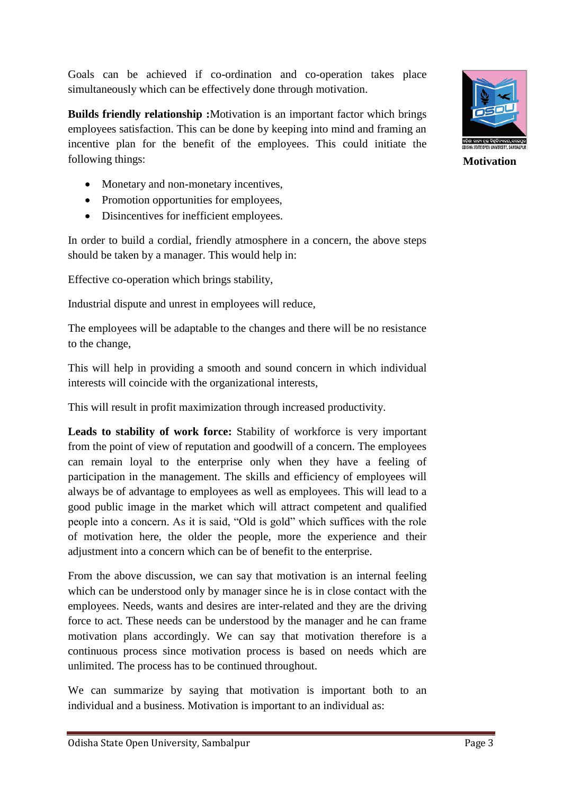Goals can be achieved if co-ordination and co-operation takes place simultaneously which can be effectively done through motivation.

**Builds friendly relationship :**Motivation is an important factor which brings employees satisfaction. This can be done by keeping into mind and framing an incentive plan for the benefit of the employees. This could initiate the following things:

- Monetary and non-monetary incentives,
- Promotion opportunities for employees,
- Disincentives for inefficient employees.

In order to build a cordial, friendly atmosphere in a concern, the above steps should be taken by a manager. This would help in:

Effective co-operation which brings stability,

Industrial dispute and unrest in employees will reduce,

The employees will be adaptable to the changes and there will be no resistance to the change,

This will help in providing a smooth and sound concern in which individual interests will coincide with the organizational interests,

This will result in profit maximization through increased productivity.

**Leads to stability of work force:** Stability of workforce is very important from the point of view of reputation and goodwill of a concern. The employees can remain loyal to the enterprise only when they have a feeling of participation in the management. The skills and efficiency of employees will always be of advantage to employees as well as employees. This will lead to a good public image in the market which will attract competent and qualified people into a concern. As it is said, "Old is gold" which suffices with the role of motivation here, the older the people, more the experience and their adjustment into a concern which can be of benefit to the enterprise.

From the above discussion, we can say that motivation is an internal feeling which can be understood only by manager since he is in close contact with the employees. Needs, wants and desires are inter-related and they are the driving force to act. These needs can be understood by the manager and he can frame motivation plans accordingly. We can say that motivation therefore is a continuous process since motivation process is based on needs which are unlimited. The process has to be continued throughout.

We can summarize by saying that motivation is important both to an individual and a business. Motivation is important to an individual as:



**Motivation**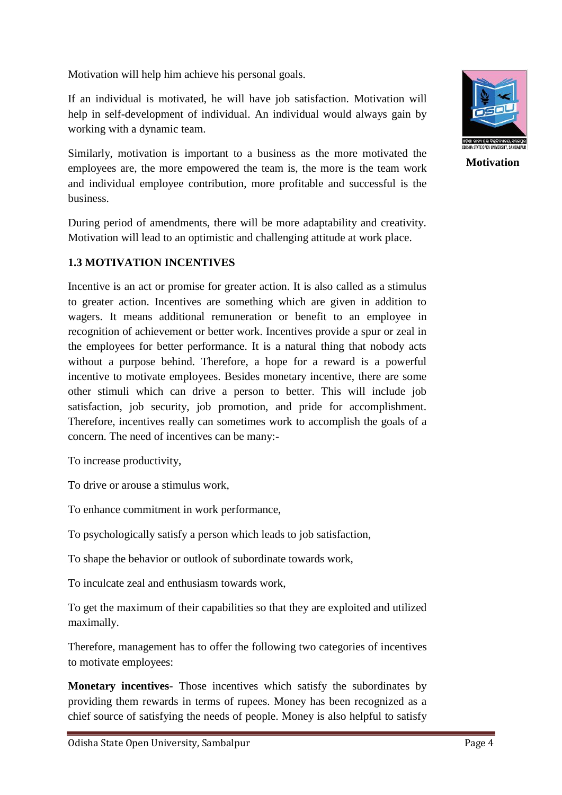Motivation will help him achieve his personal goals.

If an individual is motivated, he will have job satisfaction. Motivation will help in self-development of individual. An individual would always gain by working with a dynamic team.

Similarly, motivation is important to a business as the more motivated the employees are, the more empowered the team is, the more is the team work and individual employee contribution, more profitable and successful is the business.

During period of amendments, there will be more adaptability and creativity. Motivation will lead to an optimistic and challenging attitude at work place.

## **1.3 MOTIVATION INCENTIVES**

Incentive is an act or promise for greater action. It is also called as a stimulus to greater action. Incentives are something which are given in addition to wagers. It means additional remuneration or benefit to an employee in recognition of achievement or better work. Incentives provide a spur or zeal in the employees for better performance. It is a natural thing that nobody acts without a purpose behind. Therefore, a hope for a reward is a powerful incentive to motivate employees. Besides monetary incentive, there are some other stimuli which can drive a person to better. This will include job satisfaction, job security, job promotion, and pride for accomplishment. Therefore, incentives really can sometimes work to accomplish the goals of a concern. The need of incentives can be many:-

To increase productivity,

To drive or arouse a stimulus work,

To enhance commitment in work performance,

To psychologically satisfy a person which leads to job satisfaction,

To shape the behavior or outlook of subordinate towards work,

To inculcate zeal and enthusiasm towards work,

To get the maximum of their capabilities so that they are exploited and utilized maximally.

Therefore, management has to offer the following two categories of incentives to motivate employees:

**Monetary incentives**- Those incentives which satisfy the subordinates by providing them rewards in terms of rupees. Money has been recognized as a chief source of satisfying the needs of people. Money is also helpful to satisfy



**Motivation**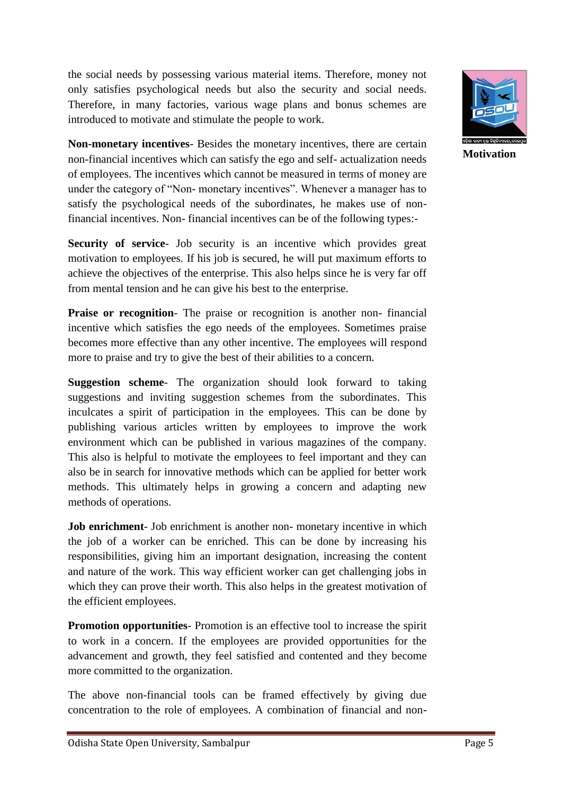Odisha State Open University, Sambalpur **Page 5** Page 5

the social needs by possessing various material items. Therefore, money not only satisfies psychological needs but also the security and social needs. Therefore, in many factories, various wage plans and bonus schemes are introduced to motivate and stimulate the people to work.

**Non-monetary incentives**- Besides the monetary incentives, there are certain non-financial incentives which can satisfy the ego and self- actualization needs of employees. The incentives which cannot be measured in terms of money are under the category of "Non- monetary incentives". Whenever a manager has to satisfy the psychological needs of the subordinates, he makes use of nonfinancial incentives. Non- financial incentives can be of the following types:-

**Security of service**- Job security is an incentive which provides great motivation to employees. If his job is secured, he will put maximum efforts to achieve the objectives of the enterprise. This also helps since he is very far off from mental tension and he can give his best to the enterprise.

**Praise or recognition**- The praise or recognition is another non- financial incentive which satisfies the ego needs of the employees. Sometimes praise becomes more effective than any other incentive. The employees will respond more to praise and try to give the best of their abilities to a concern.

**Suggestion scheme**- The organization should look forward to taking suggestions and inviting suggestion schemes from the subordinates. This inculcates a spirit of participation in the employees. This can be done by publishing various articles written by employees to improve the work environment which can be published in various magazines of the company. This also is helpful to motivate the employees to feel important and they can also be in search for innovative methods which can be applied for better work methods. This ultimately helps in growing a concern and adapting new methods of operations.

**Job enrichment**- Job enrichment is another non- monetary incentive in which the job of a worker can be enriched. This can be done by increasing his responsibilities, giving him an important designation, increasing the content and nature of the work. This way efficient worker can get challenging jobs in which they can prove their worth. This also helps in the greatest motivation of the efficient employees.

**Promotion opportunities**- Promotion is an effective tool to increase the spirit to work in a concern. If the employees are provided opportunities for the advancement and growth, they feel satisfied and contented and they become more committed to the organization.

The above non-financial tools can be framed effectively by giving due concentration to the role of employees. A combination of financial and non-



**Motivation**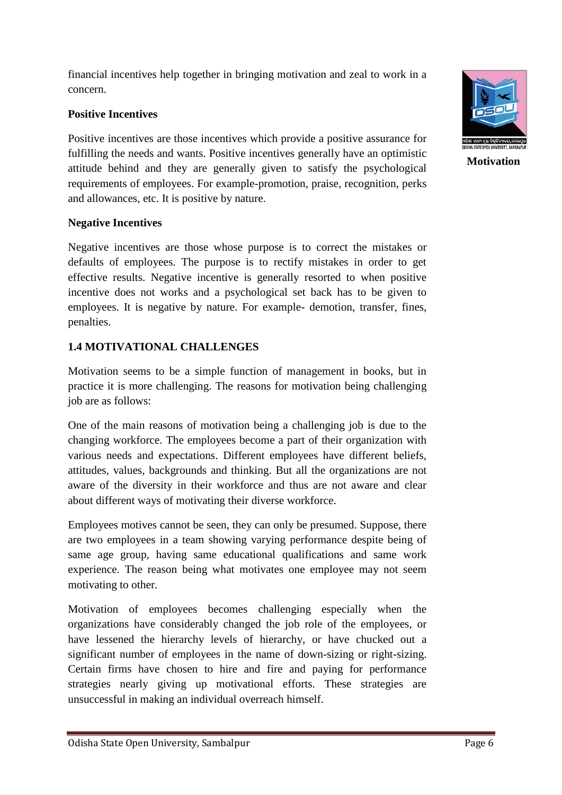financial incentives help together in bringing motivation and zeal to work in a concern.

# **Positive Incentives**

Positive incentives are those incentives which provide a positive assurance for fulfilling the needs and wants. Positive incentives generally have an optimistic attitude behind and they are generally given to satisfy the psychological requirements of employees. For example-promotion, praise, recognition, perks and allowances, etc. It is positive by nature.

# **Negative Incentives**

Negative incentives are those whose purpose is to correct the mistakes or defaults of employees. The purpose is to rectify mistakes in order to get effective results. Negative incentive is generally resorted to when positive incentive does not works and a psychological set back has to be given to employees. It is negative by nature. For example- demotion, transfer, fines, penalties.

# **1.4 MOTIVATIONAL CHALLENGES**

Motivation seems to be a simple function of management in books, but in practice it is more challenging. The reasons for motivation being challenging job are as follows:

One of the main reasons of motivation being a challenging job is due to the changing workforce. The employees become a part of their organization with various needs and expectations. Different employees have different beliefs, attitudes, values, backgrounds and thinking. But all the organizations are not aware of the diversity in their workforce and thus are not aware and clear about different ways of motivating their diverse workforce.

Employees motives cannot be seen, they can only be presumed. Suppose, there are two employees in a team showing varying performance despite being of same age group, having same educational qualifications and same work experience. The reason being what motivates one employee may not seem motivating to other.

Motivation of employees becomes challenging especially when the organizations have considerably changed the job role of the employees, or have lessened the hierarchy levels of hierarchy, or have chucked out a significant number of employees in the name of down-sizing or right-sizing. Certain firms have chosen to hire and fire and paying for performance strategies nearly giving up motivational efforts. These strategies are unsuccessful in making an individual overreach himself.



**Motivation**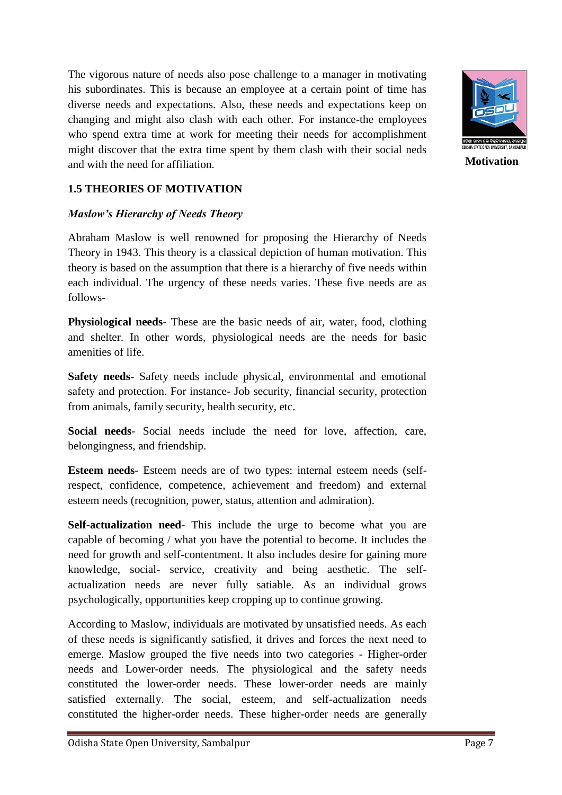The vigorous nature of needs also pose challenge to a manager in motivating his subordinates. This is because an employee at a certain point of time has diverse needs and expectations. Also, these needs and expectations keep on changing and might also clash with each other. For instance-the employees who spend extra time at work for meeting their needs for accomplishment might discover that the extra time spent by them clash with their social neds and with the need for affiliation.



**Motivation**

## **1.5 THEORIES OF MOTIVATION**

#### *Maslow's Hierarchy of Needs Theory*

Abraham Maslow is well renowned for proposing the Hierarchy of Needs Theory in 1943. This theory is a classical depiction of human motivation. This theory is based on the assumption that there is a hierarchy of five needs within each individual. The urgency of these needs varies. These five needs are as follows-

**Physiological needs**- These are the basic needs of air, water, food, clothing and shelter. In other words, physiological needs are the needs for basic amenities of life.

**Safety needs**- Safety needs include physical, environmental and emotional safety and protection. For instance- Job security, financial security, protection from animals, family security, health security, etc.

**Social needs**- Social needs include the need for love, affection, care, belongingness, and friendship.

**Esteem needs**- Esteem needs are of two types: internal esteem needs (selfrespect, confidence, competence, achievement and freedom) and external esteem needs (recognition, power, status, attention and admiration).

**Self-actualization need**- This include the urge to become what you are capable of becoming / what you have the potential to become. It includes the need for growth and self-contentment. It also includes desire for gaining more knowledge, social- service, creativity and being aesthetic. The selfactualization needs are never fully satiable. As an individual grows psychologically, opportunities keep cropping up to continue growing.

According to Maslow, individuals are motivated by unsatisfied needs. As each of these needs is significantly satisfied, it drives and forces the next need to emerge. Maslow grouped the five needs into two categories - Higher-order needs and Lower-order needs. The physiological and the safety needs constituted the lower-order needs. These lower-order needs are mainly satisfied externally. The social, esteem, and self-actualization needs constituted the higher-order needs. These higher-order needs are generally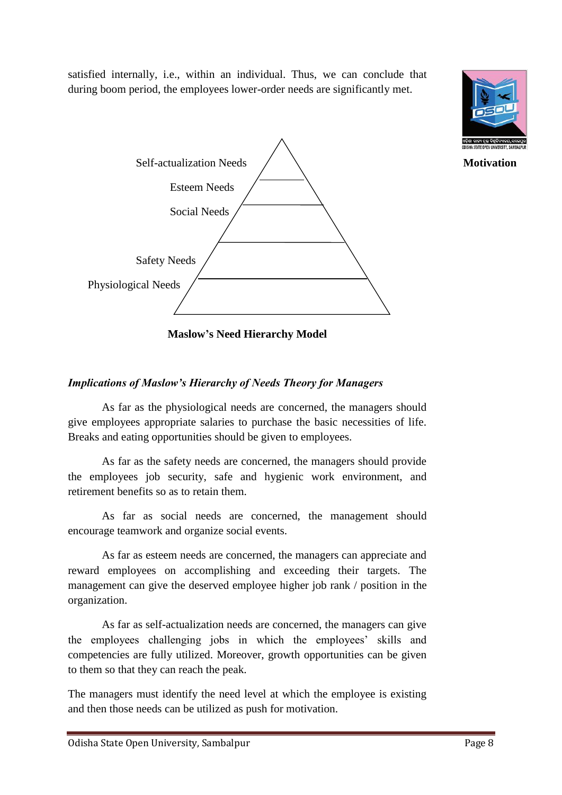satisfied internally, i.e., within an individual. Thus, we can conclude that during boom period, the employees lower-order needs are significantly met.



**Motivation**



**Maslow's Need Hierarchy Model**

# *Implications of Maslow's Hierarchy of Needs Theory for Managers*

As far as the physiological needs are concerned, the managers should give employees appropriate salaries to purchase the basic necessities of life. Breaks and eating opportunities should be given to employees.

As far as the safety needs are concerned, the managers should provide the employees job security, safe and hygienic work environment, and retirement benefits so as to retain them.

As far as social needs are concerned, the management should encourage teamwork and organize social events.

As far as esteem needs are concerned, the managers can appreciate and reward employees on accomplishing and exceeding their targets. The management can give the deserved employee higher job rank / position in the organization.

As far as self-actualization needs are concerned, the managers can give the employees challenging jobs in which the employees' skills and competencies are fully utilized. Moreover, growth opportunities can be given to them so that they can reach the peak.

The managers must identify the need level at which the employee is existing and then those needs can be utilized as push for motivation.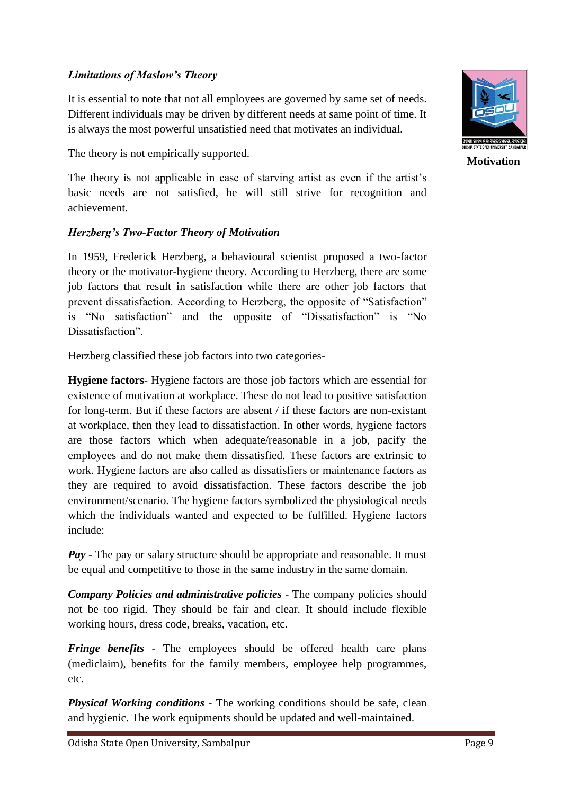# *Limitations of Maslow's Theory*

It is essential to note that not all employees are governed by same set of needs. Different individuals may be driven by different needs at same point of time. It is always the most powerful unsatisfied need that motivates an individual.

The theory is not empirically supported.

The theory is not applicable in case of starving artist as even if the artist's basic needs are not satisfied, he will still strive for recognition and achievement.

# *Herzberg's Two-Factor Theory of Motivation*

In 1959, Frederick Herzberg, a behavioural scientist proposed a two-factor theory or the motivator-hygiene theory. According to Herzberg, there are some job factors that result in satisfaction while there are other job factors that prevent dissatisfaction. According to Herzberg, the opposite of "Satisfaction" is "No satisfaction" and the opposite of "Dissatisfaction" is "No Dissatisfaction".

Herzberg classified these job factors into two categories-

**Hygiene factors**- Hygiene factors are those job factors which are essential for existence of motivation at workplace. These do not lead to positive satisfaction for long-term. But if these factors are absent / if these factors are non-existant at workplace, then they lead to dissatisfaction. In other words, hygiene factors are those factors which when adequate/reasonable in a job, pacify the employees and do not make them dissatisfied. These factors are extrinsic to work. Hygiene factors are also called as dissatisfiers or maintenance factors as they are required to avoid dissatisfaction. These factors describe the job environment/scenario. The hygiene factors symbolized the physiological needs which the individuals wanted and expected to be fulfilled. Hygiene factors include:

*Pay* - The pay or salary structure should be appropriate and reasonable. It must be equal and competitive to those in the same industry in the same domain.

*Company Policies and administrative policies* - The company policies should not be too rigid. They should be fair and clear. It should include flexible working hours, dress code, breaks, vacation, etc.

*Fringe benefits* - The employees should be offered health care plans (mediclaim), benefits for the family members, employee help programmes, etc.

*Physical Working conditions* - The working conditions should be safe, clean and hygienic. The work equipments should be updated and well-maintained.



**Motivation**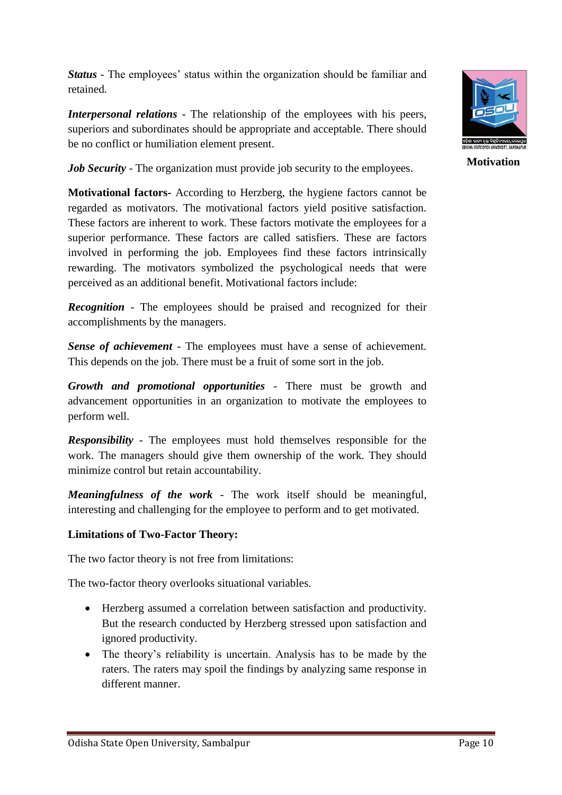Odisha State Open University, Sambalpur **Page 10** Page 10

*Status* - The employees' status within the organization should be familiar and retained.

*Interpersonal relations* - The relationship of the employees with his peers, superiors and subordinates should be appropriate and acceptable. There should be no conflict or humiliation element present.

*Job Security* - The organization must provide job security to the employees.

**Motivational factors-** According to Herzberg, the hygiene factors cannot be regarded as motivators. The motivational factors yield positive satisfaction. These factors are inherent to work. These factors motivate the employees for a superior performance. These factors are called satisfiers. These are factors involved in performing the job. Employees find these factors intrinsically rewarding. The motivators symbolized the psychological needs that were perceived as an additional benefit. Motivational factors include:

*Recognition* - The employees should be praised and recognized for their accomplishments by the managers.

*Sense of achievement* - The employees must have a sense of achievement. This depends on the job. There must be a fruit of some sort in the job.

*Growth and promotional opportunities* - There must be growth and advancement opportunities in an organization to motivate the employees to perform well.

*Responsibility* - The employees must hold themselves responsible for the work. The managers should give them ownership of the work. They should minimize control but retain accountability.

*Meaningfulness of the work* - The work itself should be meaningful, interesting and challenging for the employee to perform and to get motivated.

# **Limitations of Two-Factor Theory:**

The two factor theory is not free from limitations:

The two-factor theory overlooks situational variables.

- Herzberg assumed a correlation between satisfaction and productivity. But the research conducted by Herzberg stressed upon satisfaction and ignored productivity.
- The theory's reliability is uncertain. Analysis has to be made by the raters. The raters may spoil the findings by analyzing same response in different manner.

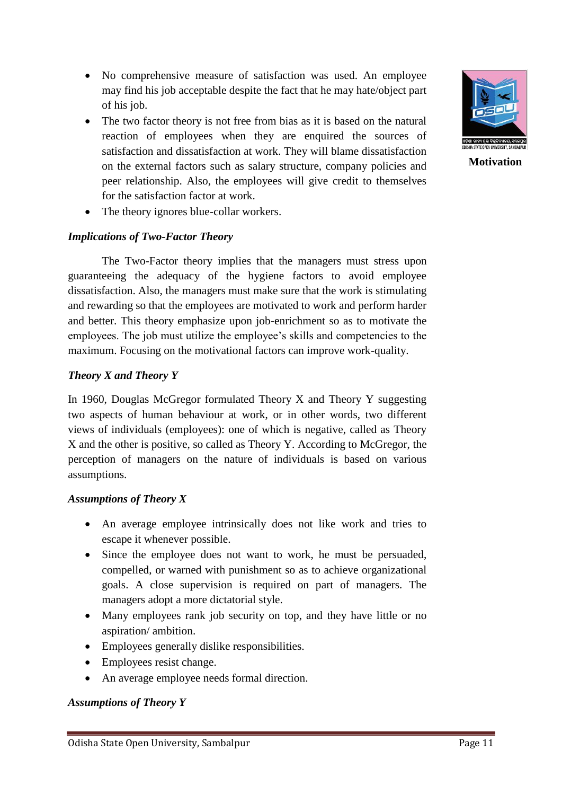- No comprehensive measure of satisfaction was used. An employee may find his job acceptable despite the fact that he may hate/object part of his job.
- The two factor theory is not free from bias as it is based on the natural reaction of employees when they are enquired the sources of satisfaction and dissatisfaction at work. They will blame dissatisfaction on the external factors such as salary structure, company policies and peer relationship. Also, the employees will give credit to themselves for the satisfaction factor at work.
- The theory ignores blue-collar workers.

## *Implications of Two-Factor Theory*

The Two-Factor theory implies that the managers must stress upon guaranteeing the adequacy of the hygiene factors to avoid employee dissatisfaction. Also, the managers must make sure that the work is stimulating and rewarding so that the employees are motivated to work and perform harder and better. This theory emphasize upon job-enrichment so as to motivate the employees. The job must utilize the employee's skills and competencies to the maximum. Focusing on the motivational factors can improve work-quality.

#### *Theory X and Theory Y*

In 1960, Douglas McGregor formulated Theory X and Theory Y suggesting two aspects of human behaviour at work, or in other words, two different views of individuals (employees): one of which is negative, called as Theory X and the other is positive, so called as Theory Y. According to McGregor, the perception of managers on the nature of individuals is based on various assumptions.

#### *Assumptions of Theory X*

- An average employee intrinsically does not like work and tries to escape it whenever possible.
- Since the employee does not want to work, he must be persuaded, compelled, or warned with punishment so as to achieve organizational goals. A close supervision is required on part of managers. The managers adopt a more dictatorial style.
- Many employees rank job security on top, and they have little or no aspiration/ ambition.
- Employees generally dislike responsibilities.
- Employees resist change.
- An average employee needs formal direction.

#### *Assumptions of Theory Y*



**Motivation**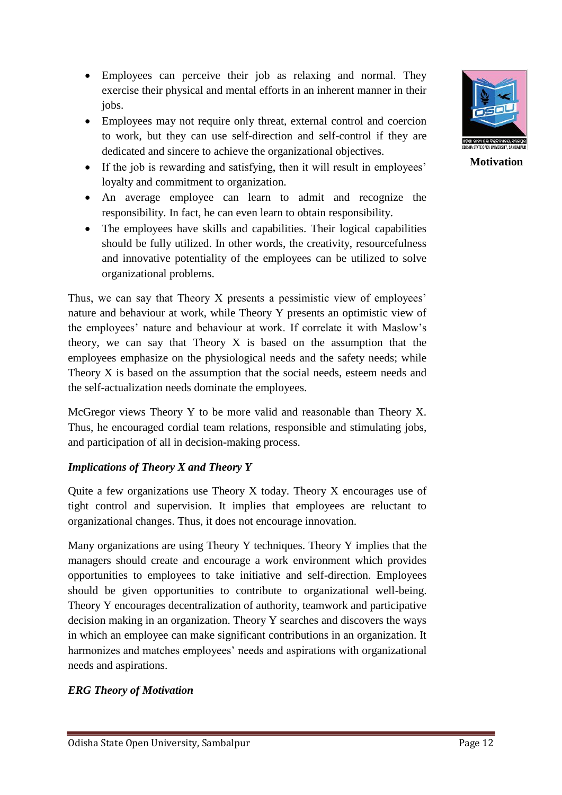- Employees can perceive their job as relaxing and normal. They exercise their physical and mental efforts in an inherent manner in their jobs.
- Employees may not require only threat, external control and coercion to work, but they can use self-direction and self-control if they are dedicated and sincere to achieve the organizational objectives.
- If the job is rewarding and satisfying, then it will result in employees' loyalty and commitment to organization.
- An average employee can learn to admit and recognize the responsibility. In fact, he can even learn to obtain responsibility.
- The employees have skills and capabilities. Their logical capabilities should be fully utilized. In other words, the creativity, resourcefulness and innovative potentiality of the employees can be utilized to solve organizational problems.

Thus, we can say that Theory X presents a pessimistic view of employees' nature and behaviour at work, while Theory Y presents an optimistic view of the employees' nature and behaviour at work. If correlate it with Maslow's theory, we can say that Theory X is based on the assumption that the employees emphasize on the physiological needs and the safety needs; while Theory X is based on the assumption that the social needs, esteem needs and the self-actualization needs dominate the employees.

McGregor views Theory Y to be more valid and reasonable than Theory X. Thus, he encouraged cordial team relations, responsible and stimulating jobs, and participation of all in decision-making process.

# *Implications of Theory X and Theory Y*

Quite a few organizations use Theory  $X$  today. Theory  $X$  encourages use of tight control and supervision. It implies that employees are reluctant to organizational changes. Thus, it does not encourage innovation.

Many organizations are using Theory Y techniques. Theory Y implies that the managers should create and encourage a work environment which provides opportunities to employees to take initiative and self-direction. Employees should be given opportunities to contribute to organizational well-being. Theory Y encourages decentralization of authority, teamwork and participative decision making in an organization. Theory Y searches and discovers the ways in which an employee can make significant contributions in an organization. It harmonizes and matches employees' needs and aspirations with organizational needs and aspirations.

# *ERG Theory of Motivation*



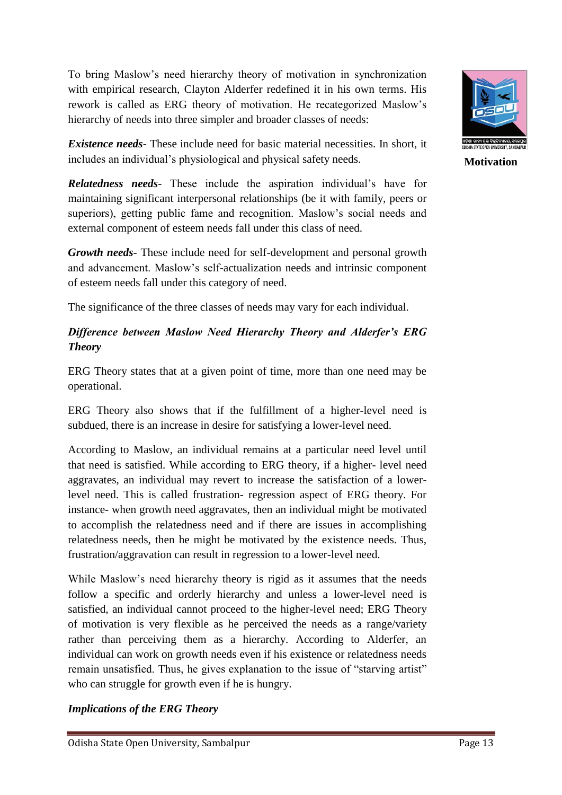To bring Maslow's need hierarchy theory of motivation in synchronization with empirical research, Clayton Alderfer redefined it in his own terms. His rework is called as ERG theory of motivation. He recategorized Maslow's hierarchy of needs into three simpler and broader classes of needs:

*Existence needs*- These include need for basic material necessities. In short, it includes an individual's physiological and physical safety needs.

*Relatedness needs-* These include the aspiration individual's have for maintaining significant interpersonal relationships (be it with family, peers or superiors), getting public fame and recognition. Maslow's social needs and external component of esteem needs fall under this class of need.

*Growth needs*- These include need for self-development and personal growth and advancement. Maslow's self-actualization needs and intrinsic component of esteem needs fall under this category of need.

The significance of the three classes of needs may vary for each individual.

# *Difference between Maslow Need Hierarchy Theory and Alderfer's ERG Theory*

ERG Theory states that at a given point of time, more than one need may be operational.

ERG Theory also shows that if the fulfillment of a higher-level need is subdued, there is an increase in desire for satisfying a lower-level need.

According to Maslow, an individual remains at a particular need level until that need is satisfied. While according to ERG theory, if a higher- level need aggravates, an individual may revert to increase the satisfaction of a lowerlevel need. This is called frustration- regression aspect of ERG theory. For instance- when growth need aggravates, then an individual might be motivated to accomplish the relatedness need and if there are issues in accomplishing relatedness needs, then he might be motivated by the existence needs. Thus, frustration/aggravation can result in regression to a lower-level need.

While Maslow's need hierarchy theory is rigid as it assumes that the needs follow a specific and orderly hierarchy and unless a lower-level need is satisfied, an individual cannot proceed to the higher-level need; ERG Theory of motivation is very flexible as he perceived the needs as a range/variety rather than perceiving them as a hierarchy. According to Alderfer, an individual can work on growth needs even if his existence or relatedness needs remain unsatisfied. Thus, he gives explanation to the issue of "starving artist" who can struggle for growth even if he is hungry.

# *Implications of the ERG Theory*



**Motivation**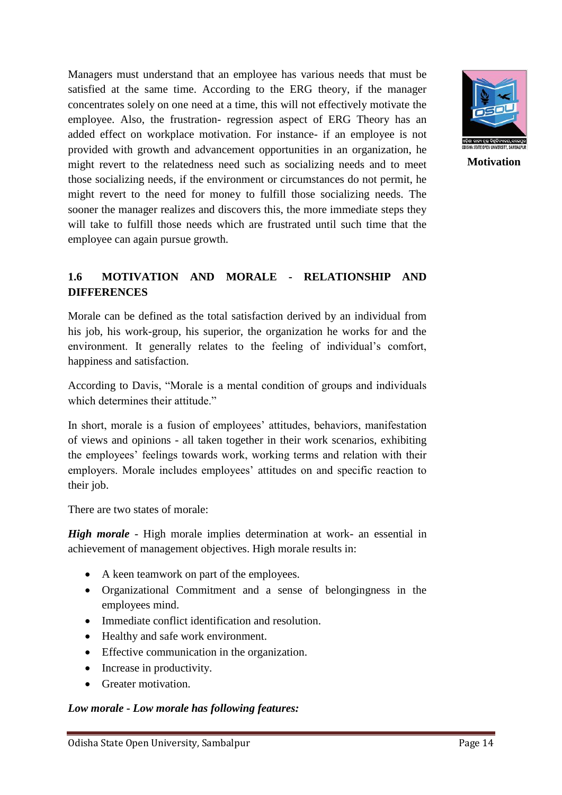Managers must understand that an employee has various needs that must be satisfied at the same time. According to the ERG theory, if the manager concentrates solely on one need at a time, this will not effectively motivate the employee. Also, the frustration- regression aspect of ERG Theory has an added effect on workplace motivation. For instance- if an employee is not provided with growth and advancement opportunities in an organization, he might revert to the relatedness need such as socializing needs and to meet those socializing needs, if the environment or circumstances do not permit, he might revert to the need for money to fulfill those socializing needs. The sooner the manager realizes and discovers this, the more immediate steps they will take to fulfill those needs which are frustrated until such time that the employee can again pursue growth.



**Motivation**

# **1.6 MOTIVATION AND MORALE - RELATIONSHIP AND DIFFERENCES**

Morale can be defined as the total satisfaction derived by an individual from his job, his work-group, his superior, the organization he works for and the environment. It generally relates to the feeling of individual's comfort, happiness and satisfaction.

According to Davis, "Morale is a mental condition of groups and individuals which determines their attitude."

In short, morale is a fusion of employees' attitudes, behaviors, manifestation of views and opinions - all taken together in their work scenarios, exhibiting the employees' feelings towards work, working terms and relation with their employers. Morale includes employees' attitudes on and specific reaction to their job.

There are two states of morale:

*High morale* - High morale implies determination at work- an essential in achievement of management objectives. High morale results in:

- A keen teamwork on part of the employees.
- Organizational Commitment and a sense of belongingness in the employees mind.
- Immediate conflict identification and resolution.
- Healthy and safe work environment.
- Effective communication in the organization.
- Increase in productivity.
- Greater motivation.

#### *Low morale - Low morale has following features:*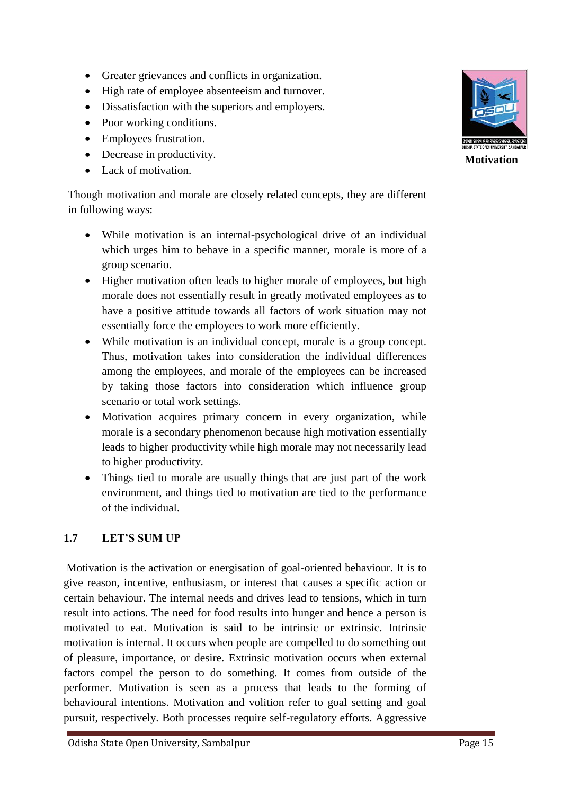- Greater grievances and conflicts in organization.
- High rate of employee absenteeism and turnover.
- Dissatisfaction with the superiors and employers.
- Poor working conditions.
- Employees frustration.
- Decrease in productivity.
- Lack of motivation.

Though motivation and morale are closely related concepts, they are different in following ways:

- While motivation is an internal-psychological drive of an individual which urges him to behave in a specific manner, morale is more of a group scenario.
- Higher motivation often leads to higher morale of employees, but high morale does not essentially result in greatly motivated employees as to have a positive attitude towards all factors of work situation may not essentially force the employees to work more efficiently.
- While motivation is an individual concept, morale is a group concept. Thus, motivation takes into consideration the individual differences among the employees, and morale of the employees can be increased by taking those factors into consideration which influence group scenario or total work settings.
- Motivation acquires primary concern in every organization, while morale is a secondary phenomenon because high motivation essentially leads to higher productivity while high morale may not necessarily lead to higher productivity.
- Things tied to morale are usually things that are just part of the work environment, and things tied to motivation are tied to the performance of the individual.

# **1.7 LET'S SUM UP**

Motivation is the activation or energisation of goal-oriented behaviour. It is to give reason, incentive, enthusiasm, or interest that causes a specific action or certain behaviour. The internal needs and drives lead to tensions, which in turn result into actions. The need for food results into hunger and hence a person is motivated to eat. Motivation is said to be intrinsic or extrinsic. Intrinsic motivation is internal. It occurs when people are compelled to do something out of pleasure, importance, or desire. Extrinsic motivation occurs when external factors compel the person to do something. It comes from outside of the performer. Motivation is seen as a process that leads to the forming of behavioural intentions. Motivation and volition refer to goal setting and goal pursuit, respectively. Both processes require self-regulatory efforts. Aggressive

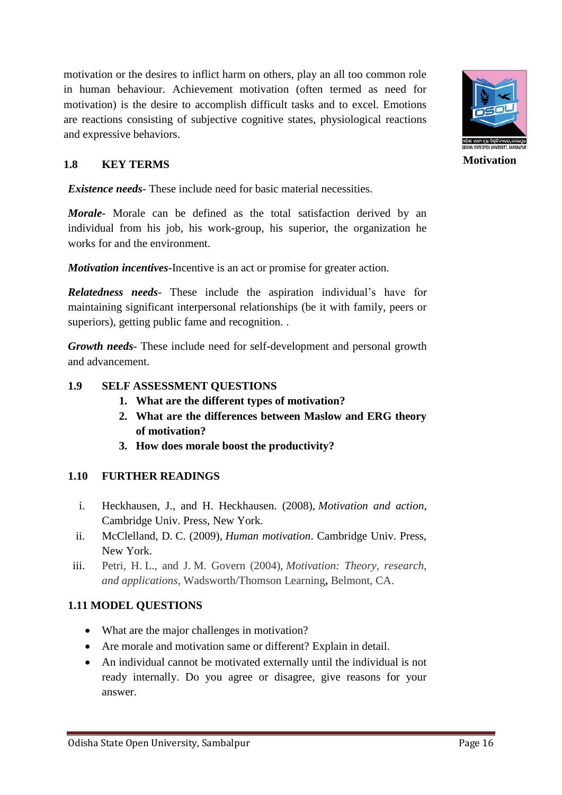motivation or the desires to inflict harm on others, play an all too common role in human behaviour. Achievement motivation (often termed as need for motivation) is the desire to accomplish difficult tasks and to excel. Emotions are reactions consisting of subjective cognitive states, physiological reactions and expressive behaviors.



*Existence needs*- These include need for basic material necessities.

*Morale*- Morale can be defined as the total satisfaction derived by an individual from his job, his work-group, his superior, the organization he works for and the environment.

*Motivation incentives***-**Incentive is an act or promise for greater action.

*Relatedness needs-* These include the aspiration individual's have for maintaining significant interpersonal relationships (be it with family, peers or superiors), getting public fame and recognition. .

*Growth needs*- These include need for self-development and personal growth and advancement.

#### **1.9 SELF ASSESSMENT QUESTIONS**

- **1. What are the different types of motivation?**
- **2. What are the differences between Maslow and ERG theory of motivation?**
- **3. How does morale boost the productivity?**

#### **1.10 FURTHER READINGS**

- i. Heckhausen, J., and H. Heckhausen. (2008), *Motivation and action*, Cambridge Univ. Press, New York.
- ii. McClelland, D. C. (2009), *Human motivation*. Cambridge Univ. Press, New York.
- iii. Petri, H. L., and J. M. Govern (2004), *Motivation: Theory, research, and applications*, Wadsworth/Thomson Learning**,** Belmont, CA.

## **1.11 MODEL QUESTIONS**

- What are the major challenges in motivation?
- Are morale and motivation same or different? Explain in detail.
- An individual cannot be motivated externally until the individual is not ready internally. Do you agree or disagree, give reasons for your answer.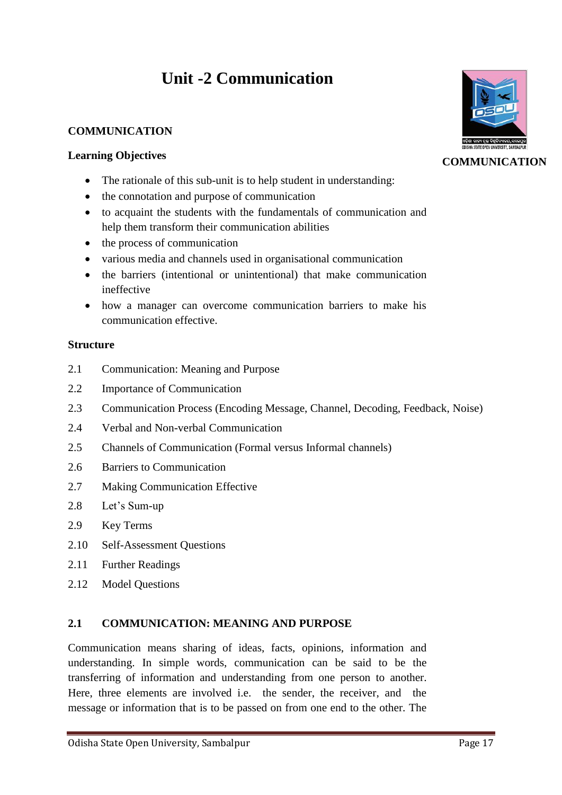# **Unit -2 Communication**

## **COMMUNICATION**

#### **Learning Objectives**

- The rationale of this sub-unit is to help student in understanding:
- the connotation and purpose of communication
- to acquaint the students with the fundamentals of communication and help them transform their communication abilities
- the process of communication
- various media and channels used in organisational communication
- the barriers (intentional or unintentional) that make communication ineffective
- how a manager can overcome communication barriers to make his communication effective.

#### **Structure**

- 2.1 Communication: Meaning and Purpose
- 2.2 Importance of Communication
- 2.3 Communication Process (Encoding Message, Channel, Decoding, Feedback, Noise)
- 2.4 Verbal and Non-verbal Communication
- 2.5 Channels of Communication (Formal versus Informal channels)
- 2.6 Barriers to Communication
- 2.7 Making Communication Effective
- 2.8 Let's Sum-up
- 2.9 Key Terms
- 2.10 Self-Assessment Questions
- 2.11 Further Readings
- 2.12 Model Questions

#### **2.1 COMMUNICATION: MEANING AND PURPOSE**

Communication means sharing of ideas, facts, opinions, information and understanding. In simple words, communication can be said to be the transferring of information and understanding from one person to another. Here, three elements are involved i.e. the sender, the receiver, and the message or information that is to be passed on from one end to the other. The

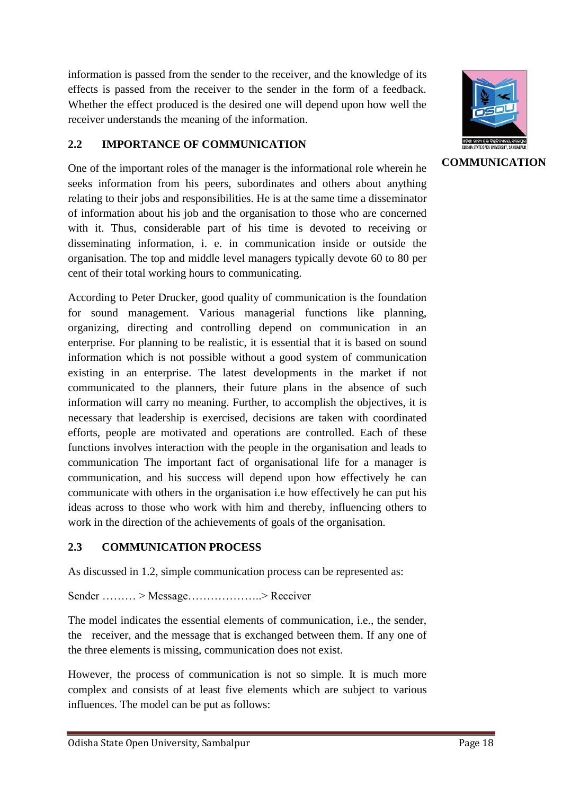information is passed from the sender to the receiver, and the knowledge of its effects is passed from the receiver to the sender in the form of a feedback. Whether the effect produced is the desired one will depend upon how well the receiver understands the meaning of the information.

## **2.2 IMPORTANCE OF COMMUNICATION**

One of the important roles of the manager is the informational role wherein he seeks information from his peers, subordinates and others about anything relating to their jobs and responsibilities. He is at the same time a disseminator of information about his job and the organisation to those who are concerned with it. Thus, considerable part of his time is devoted to receiving or disseminating information, i. e. in communication inside or outside the organisation. The top and middle level managers typically devote 60 to 80 per cent of their total working hours to communicating.

According to Peter Drucker, good quality of communication is the foundation for sound management. Various managerial functions like planning, organizing, directing and controlling depend on communication in an enterprise. For planning to be realistic, it is essential that it is based on sound information which is not possible without a good system of communication existing in an enterprise. The latest developments in the market if not communicated to the planners, their future plans in the absence of such information will carry no meaning. Further, to accomplish the objectives, it is necessary that leadership is exercised, decisions are taken with coordinated efforts, people are motivated and operations are controlled. Each of these functions involves interaction with the people in the organisation and leads to communication The important fact of organisational life for a manager is communication, and his success will depend upon how effectively he can communicate with others in the organisation i.e how effectively he can put his ideas across to those who work with him and thereby, influencing others to work in the direction of the achievements of goals of the organisation.

## **2.3 COMMUNICATION PROCESS**

As discussed in 1.2, simple communication process can be represented as:

Sender ……… > Message………………..> Receiver

The model indicates the essential elements of communication, i.e., the sender, the receiver, and the message that is exchanged between them. If any one of the three elements is missing, communication does not exist.

However, the process of communication is not so simple. It is much more complex and consists of at least five elements which are subject to various influences. The model can be put as follows:

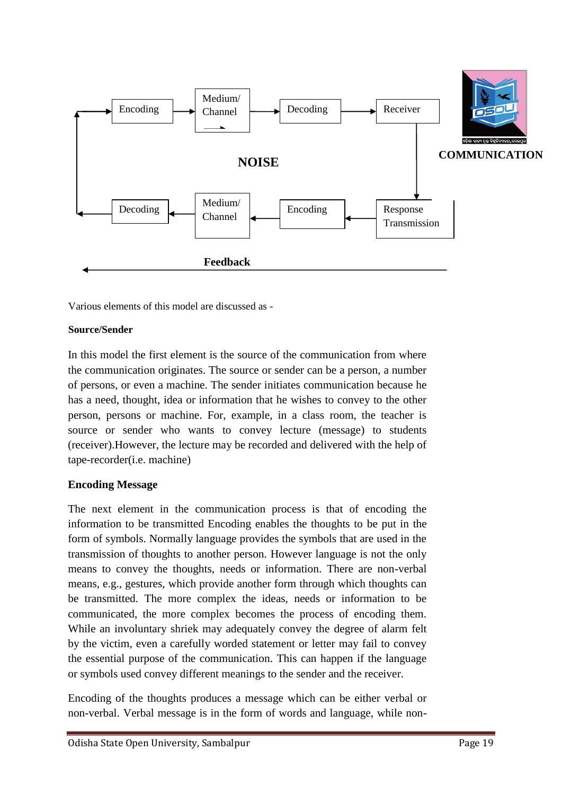

Various elements of this model are discussed as -

#### **Source/Sender**

In this model the first element is the source of the communication from where the communication originates. The source or sender can be a person, a number of persons, or even a machine. The sender initiates communication because he has a need, thought, idea or information that he wishes to convey to the other person, persons or machine. For, example, in a class room, the teacher is source or sender who wants to convey lecture (message) to students (receiver).However, the lecture may be recorded and delivered with the help of tape-recorder(i.e. machine)

## **Encoding Message**

The next element in the communication process is that of encoding the information to be transmitted Encoding enables the thoughts to be put in the form of symbols. Normally language provides the symbols that are used in the transmission of thoughts to another person. However language is not the only means to convey the thoughts, needs or information. There are non-verbal means, e.g., gestures, which provide another form through which thoughts can be transmitted. The more complex the ideas, needs or information to be communicated, the more complex becomes the process of encoding them. While an involuntary shriek may adequately convey the degree of alarm felt by the victim, even a carefully worded statement or letter may fail to convey the essential purpose of the communication. This can happen if the language or symbols used convey different meanings to the sender and the receiver.

Encoding of the thoughts produces a message which can be either verbal or non-verbal. Verbal message is in the form of words and language, while non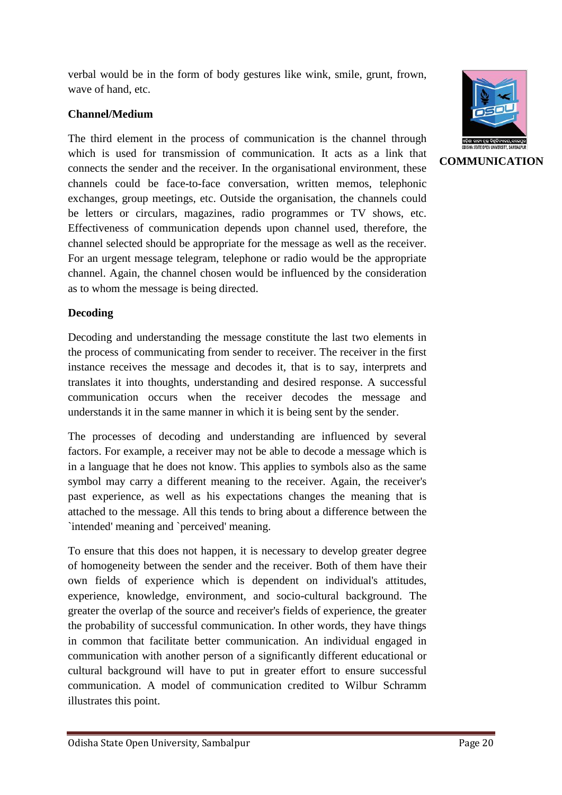verbal would be in the form of body gestures like wink, smile, grunt, frown, wave of hand, etc.

## **Channel/Medium**

The third element in the process of communication is the channel through which is used for transmission of communication. It acts as a link that connects the sender and the receiver. In the organisational environment, these channels could be face-to-face conversation, written memos, telephonic exchanges, group meetings, etc. Outside the organisation, the channels could be letters or circulars, magazines, radio programmes or TV shows, etc. Effectiveness of communication depends upon channel used, therefore, the channel selected should be appropriate for the message as well as the receiver. For an urgent message telegram, telephone or radio would be the appropriate channel. Again, the channel chosen would be influenced by the consideration as to whom the message is being directed.

## **Decoding**

Decoding and understanding the message constitute the last two elements in the process of communicating from sender to receiver. The receiver in the first instance receives the message and decodes it, that is to say, interprets and translates it into thoughts, understanding and desired response. A successful communication occurs when the receiver decodes the message and understands it in the same manner in which it is being sent by the sender.

The processes of decoding and understanding are influenced by several factors. For example, a receiver may not be able to decode a message which is in a language that he does not know. This applies to symbols also as the same symbol may carry a different meaning to the receiver. Again, the receiver's past experience, as well as his expectations changes the meaning that is attached to the message. All this tends to bring about a difference between the `intended' meaning and `perceived' meaning.

To ensure that this does not happen, it is necessary to develop greater degree of homogeneity between the sender and the receiver. Both of them have their own fields of experience which is dependent on individual's attitudes, experience, knowledge, environment, and socio-cultural background. The greater the overlap of the source and receiver's fields of experience, the greater the probability of successful communication. In other words, they have things in common that facilitate better communication. An individual engaged in communication with another person of a significantly different educational or cultural background will have to put in greater effort to ensure successful communication. A model of communication credited to Wilbur Schramm illustrates this point.

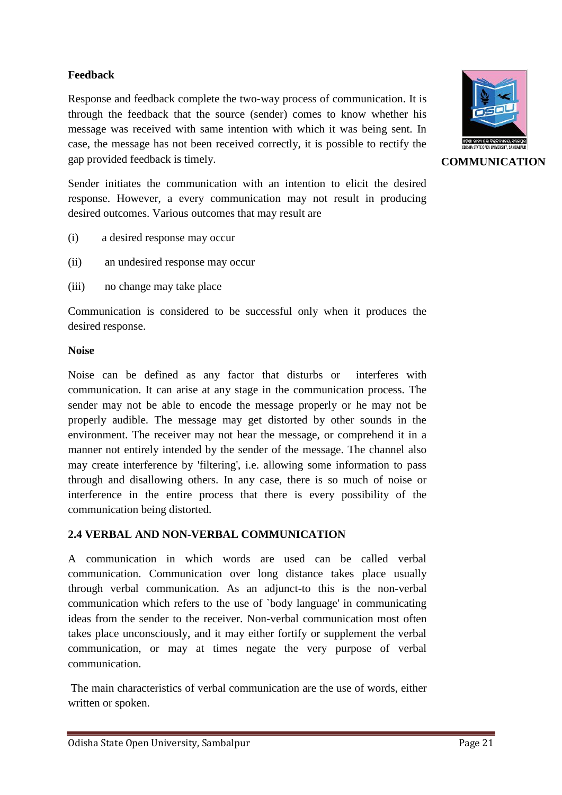# **Feedback**

Response and feedback complete the two-way process of communication. It is through the feedback that the source (sender) comes to know whether his message was received with same intention with which it was being sent. In case, the message has not been received correctly, it is possible to rectify the gap provided feedback is timely.

Sender initiates the communication with an intention to elicit the desired response. However, a every communication may not result in producing desired outcomes. Various outcomes that may result are

- (i) a desired response may occur
- (ii) an undesired response may occur
- (iii) no change may take place

Communication is considered to be successful only when it produces the desired response.

#### **Noise**

Noise can be defined as any factor that disturbs or interferes with communication. It can arise at any stage in the communication process. The sender may not be able to encode the message properly or he may not be properly audible. The message may get distorted by other sounds in the environment. The receiver may not hear the message, or comprehend it in a manner not entirely intended by the sender of the message. The channel also may create interference by 'filtering', i.e. allowing some information to pass through and disallowing others. In any case, there is so much of noise or interference in the entire process that there is every possibility of the communication being distorted.

## **2.4 VERBAL AND NON-VERBAL COMMUNICATION**

A communication in which words are used can be called verbal communication. Communication over long distance takes place usually through verbal communication. As an adjunct-to this is the non-verbal communication which refers to the use of `body language' in communicating ideas from the sender to the receiver. Non-verbal communication most often takes place unconsciously, and it may either fortify or supplement the verbal communication, or may at times negate the very purpose of verbal communication.

The main characteristics of verbal communication are the use of words, either written or spoken.



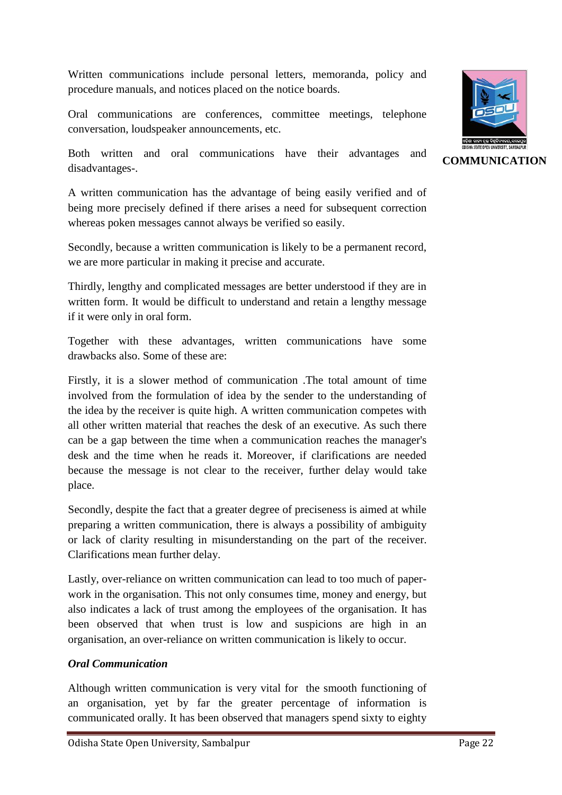Written communications include personal letters, memoranda, policy and procedure manuals, and notices placed on the notice boards.

Oral communications are conferences, committee meetings, telephone conversation, loudspeaker announcements, etc.

Both written and oral communications have their advantages and disadvantages-.

A written communication has the advantage of being easily verified and of being more precisely defined if there arises a need for subsequent correction whereas poken messages cannot always be verified so easily.

Secondly, because a written communication is likely to be a permanent record, we are more particular in making it precise and accurate.

Thirdly, lengthy and complicated messages are better understood if they are in written form. It would be difficult to understand and retain a lengthy message if it were only in oral form.

Together with these advantages, written communications have some drawbacks also. Some of these are:

Firstly, it is a slower method of communication .The total amount of time involved from the formulation of idea by the sender to the understanding of the idea by the receiver is quite high. A written communication competes with all other written material that reaches the desk of an executive. As such there can be a gap between the time when a communication reaches the manager's desk and the time when he reads it. Moreover, if clarifications are needed because the message is not clear to the receiver, further delay would take place.

Secondly, despite the fact that a greater degree of preciseness is aimed at while preparing a written communication, there is always a possibility of ambiguity or lack of clarity resulting in misunderstanding on the part of the receiver. Clarifications mean further delay.

Lastly, over-reliance on written communication can lead to too much of paperwork in the organisation. This not only consumes time, money and energy, but also indicates a lack of trust among the employees of the organisation. It has been observed that when trust is low and suspicions are high in an organisation, an over-reliance on written communication is likely to occur.

## *Oral Communication*

Although written communication is very vital for the smooth functioning of an organisation, yet by far the greater percentage of information is communicated orally. It has been observed that managers spend sixty to eighty

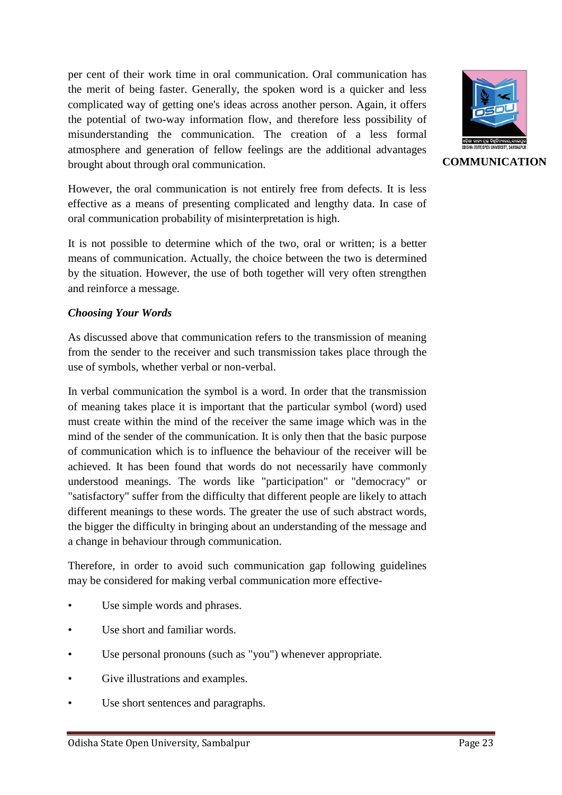per cent of their work time in oral communication. Oral communication has the merit of being faster. Generally, the spoken word is a quicker and less complicated way of getting one's ideas across another person. Again, it offers the potential of two-way information flow, and therefore less possibility of misunderstanding the communication. The creation of a less formal atmosphere and generation of fellow feelings are the additional advantages brought about through oral communication.

However, the oral communication is not entirely free from defects. It is less effective as a means of presenting complicated and lengthy data. In case of oral communication probability of misinterpretation is high.

It is not possible to determine which of the two, oral or written; is a better means of communication. Actually, the choice between the two is determined by the situation. However, the use of both together will very often strengthen and reinforce a message.

## *Choosing Your Words*

As discussed above that communication refers to the transmission of meaning from the sender to the receiver and such transmission takes place through the use of symbols, whether verbal or non-verbal.

In verbal communication the symbol is a word. In order that the transmission of meaning takes place it is important that the particular symbol (word) used must create within the mind of the receiver the same image which was in the mind of the sender of the communication. It is only then that the basic purpose of communication which is to influence the behaviour of the receiver will be achieved. It has been found that words do not necessarily have commonly understood meanings. The words like "participation" or "democracy" or "satisfactory" suffer from the difficulty that different people are likely to attach different meanings to these words. The greater the use of such abstract words, the bigger the difficulty in bringing about an understanding of the message and a change in behaviour through communication.

Therefore, in order to avoid such communication gap following guidelines may be considered for making verbal communication more effective-

- Use simple words and phrases.
- Use short and familiar words.
- Use personal pronouns (such as "you") whenever appropriate.
- Give illustrations and examples.
- Use short sentences and paragraphs.

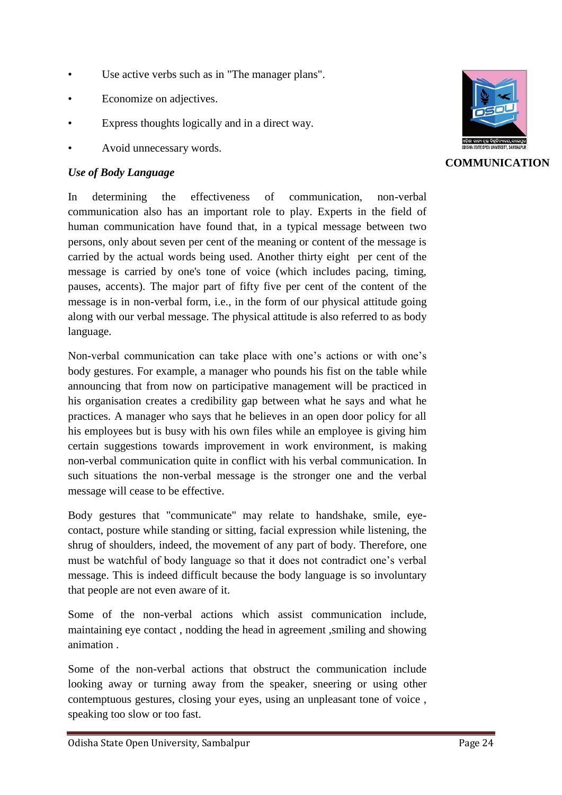- Use active verbs such as in "The manager plans".
- Economize on adjectives.
- Express thoughts logically and in a direct way.
- Avoid unnecessary words.

## *Use of Body Language*

In determining the effectiveness of communication, non-verbal communication also has an important role to play. Experts in the field of human communication have found that, in a typical message between two persons, only about seven per cent of the meaning or content of the message is carried by the actual words being used. Another thirty eight per cent of the message is carried by one's tone of voice (which includes pacing, timing, pauses, accents). The major part of fifty five per cent of the content of the message is in non-verbal form, i.e., in the form of our physical attitude going along with our verbal message. The physical attitude is also referred to as body language.

Non-verbal communication can take place with one's actions or with one's body gestures. For example, a manager who pounds his fist on the table while announcing that from now on participative management will be practiced in his organisation creates a credibility gap between what he says and what he practices. A manager who says that he believes in an open door policy for all his employees but is busy with his own files while an employee is giving him certain suggestions towards improvement in work environment, is making non-verbal communication quite in conflict with his verbal communication. In such situations the non-verbal message is the stronger one and the verbal message will cease to be effective.

Body gestures that "communicate" may relate to handshake, smile, eyecontact, posture while standing or sitting, facial expression while listening, the shrug of shoulders, indeed, the movement of any part of body. Therefore, one must be watchful of body language so that it does not contradict one's verbal message. This is indeed difficult because the body language is so involuntary that people are not even aware of it.

Some of the non-verbal actions which assist communication include, maintaining eye contact , nodding the head in agreement ,smiling and showing animation .

Some of the non-verbal actions that obstruct the communication include looking away or turning away from the speaker, sneering or using other contemptuous gestures, closing your eyes, using an unpleasant tone of voice , speaking too slow or too fast.

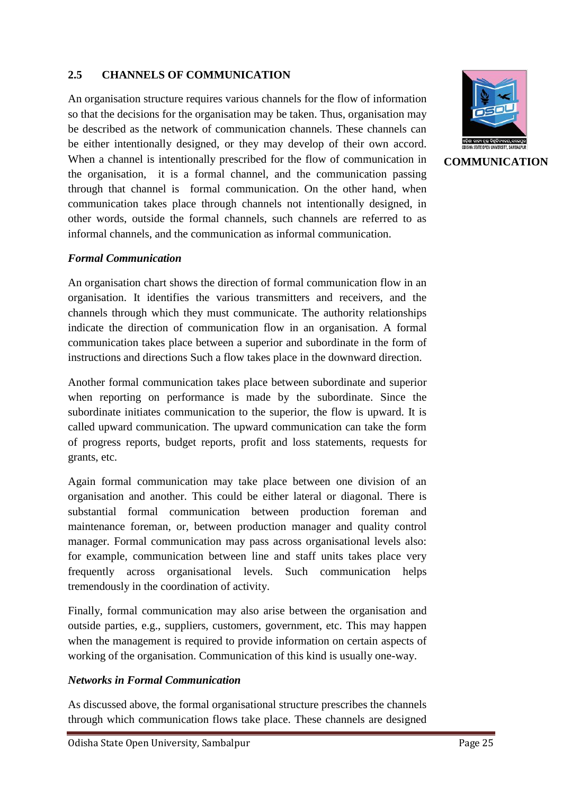## **2.5 CHANNELS OF COMMUNICATION**

An organisation structure requires various channels for the flow of information so that the decisions for the organisation may be taken. Thus, organisation may be described as the network of communication channels. These channels can be either intentionally designed, or they may develop of their own accord. When a channel is intentionally prescribed for the flow of communication in the organisation, it is a formal channel, and the communication passing through that channel is formal communication. On the other hand, when communication takes place through channels not intentionally designed, in other words, outside the formal channels, such channels are referred to as informal channels, and the communication as informal communication.

#### *Formal Communication*

An organisation chart shows the direction of formal communication flow in an organisation. It identifies the various transmitters and receivers, and the channels through which they must communicate. The authority relationships indicate the direction of communication flow in an organisation. A formal communication takes place between a superior and subordinate in the form of instructions and directions Such a flow takes place in the downward direction.

Another formal communication takes place between subordinate and superior when reporting on performance is made by the subordinate. Since the subordinate initiates communication to the superior, the flow is upward. It is called upward communication. The upward communication can take the form of progress reports, budget reports, profit and loss statements, requests for grants, etc.

Again formal communication may take place between one division of an organisation and another. This could be either lateral or diagonal. There is substantial formal communication between production foreman and maintenance foreman, or, between production manager and quality control manager. Formal communication may pass across organisational levels also: for example, communication between line and staff units takes place very frequently across organisational levels. Such communication helps tremendously in the coordination of activity.

Finally, formal communication may also arise between the organisation and outside parties, e.g., suppliers, customers, government, etc. This may happen when the management is required to provide information on certain aspects of working of the organisation. Communication of this kind is usually one-way.

## *Networks in Formal Communication*

As discussed above, the formal organisational structure prescribes the channels through which communication flows take place. These channels are designed

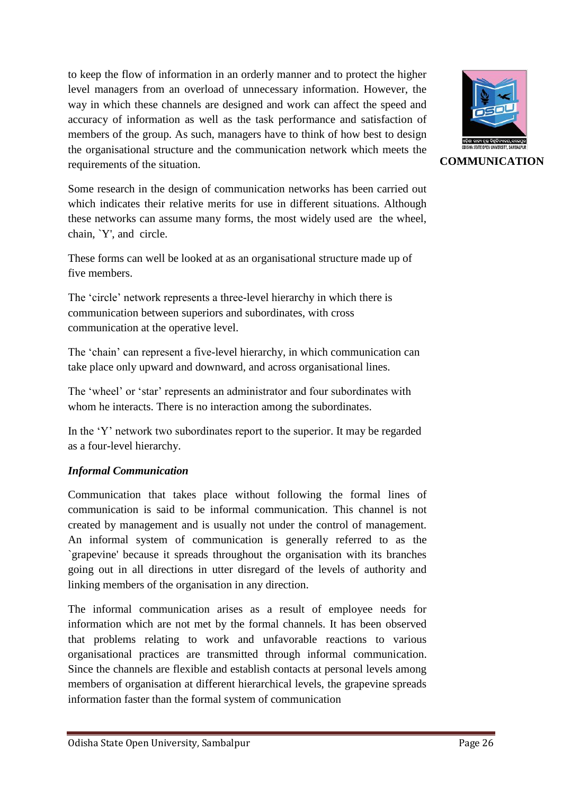to keep the flow of information in an orderly manner and to protect the higher level managers from an overload of unnecessary information. However, the way in which these channels are designed and work can affect the speed and accuracy of information as well as the task performance and satisfaction of members of the group. As such, managers have to think of how best to design the organisational structure and the communication network which meets the requirements of the situation.

Some research in the design of communication networks has been carried out which indicates their relative merits for use in different situations. Although these networks can assume many forms, the most widely used are the wheel, chain, `Y', and circle.

These forms can well be looked at as an organisational structure made up of five members.

The 'circle' network represents a three-level hierarchy in which there is communication between superiors and subordinates, with cross communication at the operative level.

The 'chain' can represent a five-level hierarchy, in which communication can take place only upward and downward, and across organisational lines.

The 'wheel' or 'star' represents an administrator and four subordinates with whom he interacts. There is no interaction among the subordinates.

In the 'Y' network two subordinates report to the superior. It may be regarded as a four-level hierarchy.

## *Informal Communication*

Communication that takes place without following the formal lines of communication is said to be informal communication. This channel is not created by management and is usually not under the control of management. An informal system of communication is generally referred to as the `grapevine' because it spreads throughout the organisation with its branches going out in all directions in utter disregard of the levels of authority and linking members of the organisation in any direction.

The informal communication arises as a result of employee needs for information which are not met by the formal channels. It has been observed that problems relating to work and unfavorable reactions to various organisational practices are transmitted through informal communication. Since the channels are flexible and establish contacts at personal levels among members of organisation at different hierarchical levels, the grapevine spreads information faster than the formal system of communication

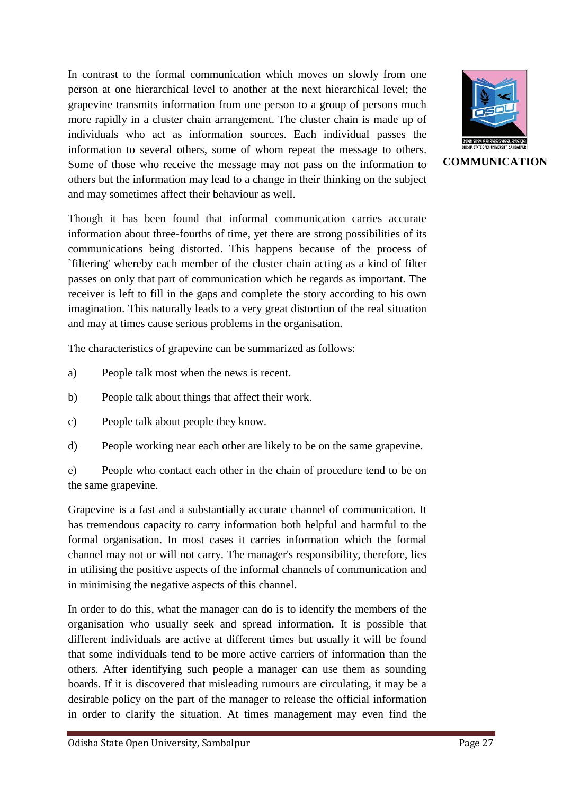In contrast to the formal communication which moves on slowly from one person at one hierarchical level to another at the next hierarchical level; the grapevine transmits information from one person to a group of persons much more rapidly in a cluster chain arrangement. The cluster chain is made up of individuals who act as information sources. Each individual passes the information to several others, some of whom repeat the message to others. Some of those who receive the message may not pass on the information to others but the information may lead to a change in their thinking on the subject and may sometimes affect their behaviour as well.

Though it has been found that informal communication carries accurate information about three-fourths of time, yet there are strong possibilities of its communications being distorted. This happens because of the process of `filtering' whereby each member of the cluster chain acting as a kind of filter passes on only that part of communication which he regards as important. The receiver is left to fill in the gaps and complete the story according to his own imagination. This naturally leads to a very great distortion of the real situation and may at times cause serious problems in the organisation.

The characteristics of grapevine can be summarized as follows:

- a) People talk most when the news is recent.
- b) People talk about things that affect their work.
- c) People talk about people they know.
- d) People working near each other are likely to be on the same grapevine.

e) People who contact each other in the chain of procedure tend to be on the same grapevine.

Grapevine is a fast and a substantially accurate channel of communication. It has tremendous capacity to carry information both helpful and harmful to the formal organisation. In most cases it carries information which the formal channel may not or will not carry. The manager's responsibility, therefore, lies in utilising the positive aspects of the informal channels of communication and in minimising the negative aspects of this channel.

In order to do this, what the manager can do is to identify the members of the organisation who usually seek and spread information. It is possible that different individuals are active at different times but usually it will be found that some individuals tend to be more active carriers of information than the others. After identifying such people a manager can use them as sounding boards. If it is discovered that misleading rumours are circulating, it may be a desirable policy on the part of the manager to release the official information in order to clarify the situation. At times management may even find the

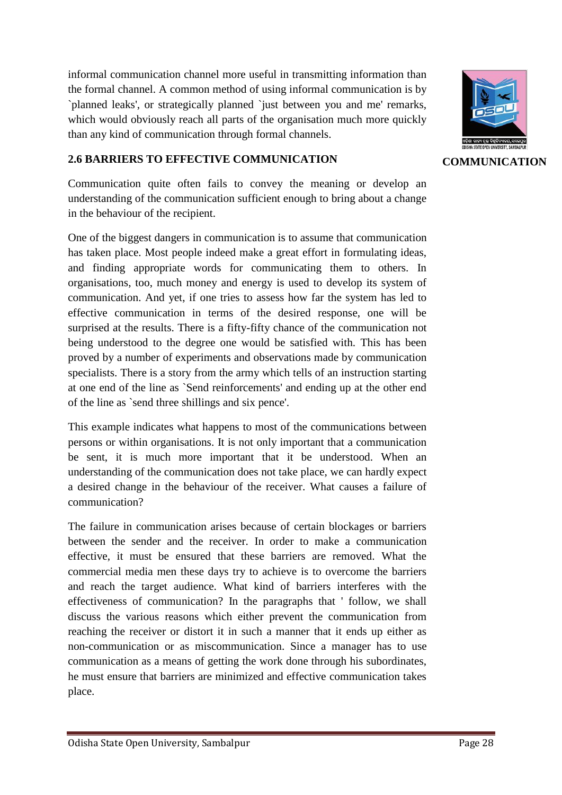informal communication channel more useful in transmitting information than the formal channel. A common method of using informal communication is by `planned leaks', or strategically planned `just between you and me' remarks, which would obviously reach all parts of the organisation much more quickly than any kind of communication through formal channels.



Communication quite often fails to convey the meaning or develop an understanding of the communication sufficient enough to bring about a change in the behaviour of the recipient.

One of the biggest dangers in communication is to assume that communication has taken place. Most people indeed make a great effort in formulating ideas, and finding appropriate words for communicating them to others. In organisations, too, much money and energy is used to develop its system of communication. And yet, if one tries to assess how far the system has led to effective communication in terms of the desired response, one will be surprised at the results. There is a fifty-fifty chance of the communication not being understood to the degree one would be satisfied with. This has been proved by a number of experiments and observations made by communication specialists. There is a story from the army which tells of an instruction starting at one end of the line as `Send reinforcements' and ending up at the other end of the line as `send three shillings and six pence'.

This example indicates what happens to most of the communications between persons or within organisations. It is not only important that a communication be sent, it is much more important that it be understood. When an understanding of the communication does not take place, we can hardly expect a desired change in the behaviour of the receiver. What causes a failure of communication?

The failure in communication arises because of certain blockages or barriers between the sender and the receiver. In order to make a communication effective, it must be ensured that these barriers are removed. What the commercial media men these days try to achieve is to overcome the barriers and reach the target audience. What kind of barriers interferes with the effectiveness of communication? In the paragraphs that ' follow, we shall discuss the various reasons which either prevent the communication from reaching the receiver or distort it in such a manner that it ends up either as non-communication or as miscommunication. Since a manager has to use communication as a means of getting the work done through his subordinates, he must ensure that barriers are minimized and effective communication takes place.

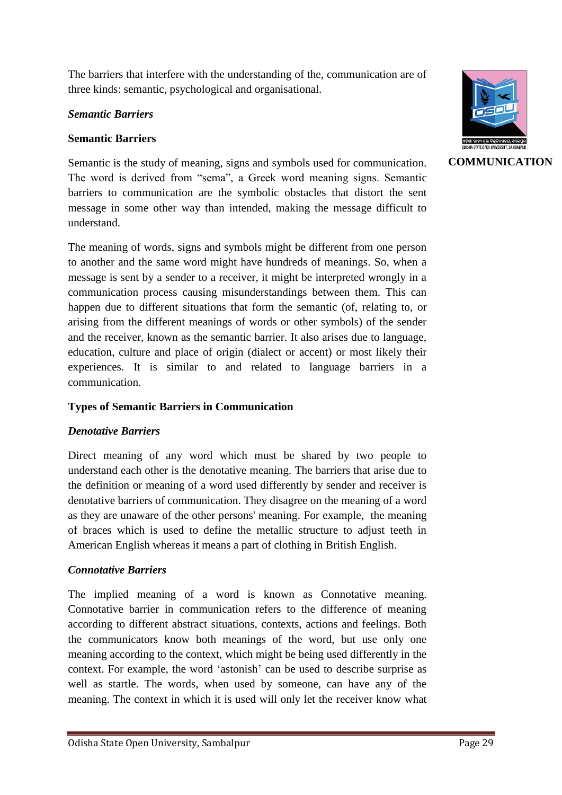The barriers that interfere with the understanding of the, communication are of three kinds: semantic, psychological and organisational.

## *Semantic Barriers*

## **Semantic Barriers**

Semantic is the study of meaning, signs and symbols used for communication. The word is derived from "sema", a Greek word meaning signs. Semantic barriers to communication are the symbolic obstacles that distort the sent message in some other way than intended, making the message difficult to understand.

The meaning of words, signs and symbols might be different from one person to another and the same word might have hundreds of meanings. So, when a message is sent by a sender to a receiver, it might be interpreted wrongly in a communication process causing misunderstandings between them. This can happen due to different situations that form the semantic (of, relating to, or arising from the different meanings of words or other symbols) of the sender and the receiver, known as the semantic barrier. It also arises due to language, education, culture and place of origin (dialect or accent) or most likely their experiences. It is similar to and related to language barriers in a communication.

# **Types of Semantic Barriers in Communication**

# *Denotative Barriers*

Direct meaning of any word which must be shared by two people to understand each other is the denotative meaning. The barriers that arise due to the definition or meaning of a word used differently by sender and receiver is denotative barriers of communication. They disagree on the meaning of a word as they are unaware of the other persons' meaning. For example, the meaning of braces which is used to define the metallic structure to adjust teeth in American English whereas it means a part of clothing in British English.

# *Connotative Barriers*

The implied meaning of a word is known as Connotative meaning. Connotative barrier in communication refers to the difference of meaning according to different abstract situations, contexts, actions and feelings. Both the communicators know both meanings of the word, but use only one meaning according to the context, which might be being used differently in the context. For example, the word 'astonish' can be used to describe surprise as well as startle. The words, when used by someone, can have any of the meaning. The context in which it is used will only let the receiver know what

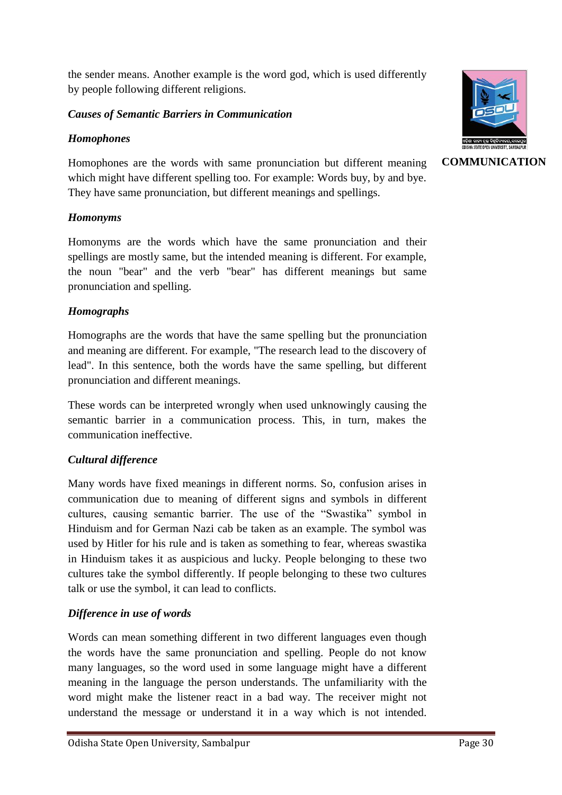the sender means. Another example is the word god, which is used differently by people following different religions.

# *Causes of Semantic Barriers in Communication*

# *Homophones*

Homophones are the words with same pronunciation but different meaning which might have different spelling too. For example: Words buy, by and bye. They have same pronunciation, but different meanings and spellings.

# *Homonyms*

Homonyms are the words which have the same pronunciation and their spellings are mostly same, but the intended meaning is different. For example, the noun "bear" and the verb "bear" has different meanings but same pronunciation and spelling.

# *Homographs*

Homographs are the words that have the same spelling but the pronunciation and meaning are different. For example, "The research lead to the discovery of lead". In this sentence, both the words have the same spelling, but different pronunciation and different meanings.

These words can be interpreted wrongly when used unknowingly causing the semantic barrier in a communication process. This, in turn, makes the communication ineffective.

# *Cultural difference*

Many words have fixed meanings in different norms. So, confusion arises in communication due to meaning of different signs and symbols in different cultures, causing semantic barrier. The use of the "Swastika" symbol in Hinduism and for German Nazi cab be taken as an example. The symbol was used by Hitler for his rule and is taken as something to fear, whereas swastika in Hinduism takes it as auspicious and lucky. People belonging to these two cultures take the symbol differently. If people belonging to these two cultures talk or use the symbol, it can lead to conflicts.

# *Difference in use of words*

Words can mean something different in two different languages even though the words have the same pronunciation and spelling. People do not know many languages, so the word used in some language might have a different meaning in the language the person understands. The unfamiliarity with the word might make the listener react in a bad way. The receiver might not understand the message or understand it in a way which is not intended.

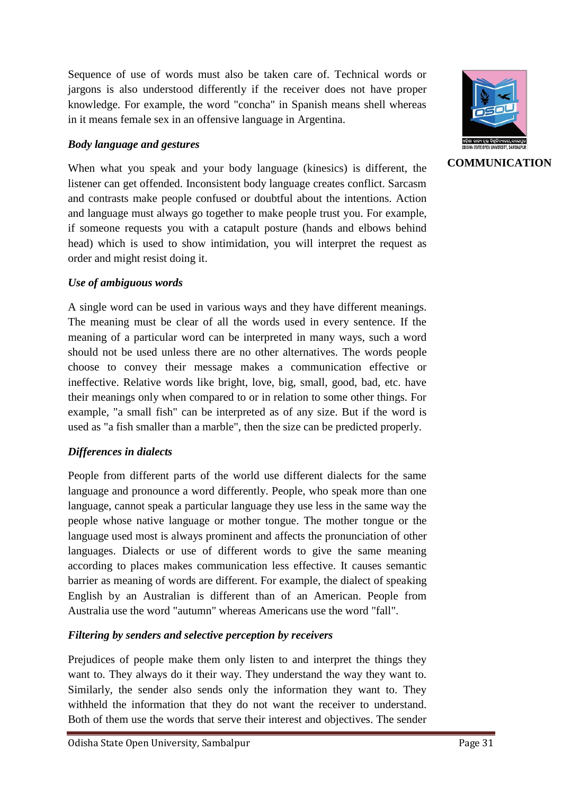Sequence of use of words must also be taken care of. Technical words or jargons is also understood differently if the receiver does not have proper knowledge. For example, the word "concha" in Spanish means shell whereas in it means female sex in an offensive language in Argentina.

## *Body language and gestures*

When what you speak and your body language (kinesics) is different, the listener can get offended. Inconsistent body language creates conflict. Sarcasm and contrasts make people confused or doubtful about the intentions. Action and language must always go together to make people trust you. For example, if someone requests you with a catapult posture (hands and elbows behind head) which is used to show intimidation, you will interpret the request as order and might resist doing it.

## *Use of ambiguous words*

A single word can be used in various ways and they have different meanings. The meaning must be clear of all the words used in every sentence. If the meaning of a particular word can be interpreted in many ways, such a word should not be used unless there are no other alternatives. The words people choose to convey their message makes a communication effective or ineffective. Relative words like bright, love, big, small, good, bad, etc. have their meanings only when compared to or in relation to some other things. For example, "a small fish" can be interpreted as of any size. But if the word is used as "a fish smaller than a marble", then the size can be predicted properly.

# *Differences in dialects*

People from different parts of the world use different dialects for the same language and pronounce a word differently. People, who speak more than one language, cannot speak a particular language they use less in the same way the people whose native language or mother tongue. The mother tongue or the language used most is always prominent and affects the pronunciation of other languages. Dialects or use of different words to give the same meaning according to places makes communication less effective. It causes semantic barrier as meaning of words are different. For example, the dialect of speaking English by an Australian is different than of an American. People from Australia use the word "autumn" whereas Americans use the word "fall".

# *Filtering by senders and selective perception by receivers*

Prejudices of people make them only listen to and interpret the things they want to. They always do it their way. They understand the way they want to. Similarly, the sender also sends only the information they want to. They withheld the information that they do not want the receiver to understand. Both of them use the words that serve their interest and objectives. The sender

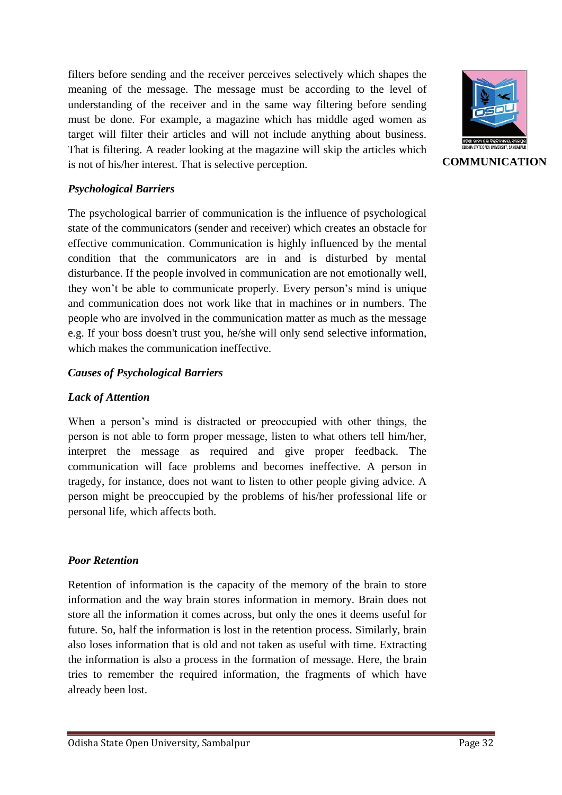filters before sending and the receiver perceives selectively which shapes the meaning of the message. The message must be according to the level of understanding of the receiver and in the same way filtering before sending must be done. For example, a magazine which has middle aged women as target will filter their articles and will not include anything about business. That is filtering. A reader looking at the magazine will skip the articles which is not of his/her interest. That is selective perception.



**COMMUNICATION**

#### *Psychological Barriers*

The psychological barrier of communication is the influence of psychological state of the communicators (sender and receiver) which creates an obstacle for effective communication. Communication is highly influenced by the mental condition that the communicators are in and is disturbed by mental disturbance. If the people involved in communication are not emotionally well, they won't be able to communicate properly. Every person's mind is unique and communication does not work like that in machines or in numbers. The people who are involved in the communication matter as much as the message e.g. If your boss doesn't trust you, he/she will only send selective information, which makes the communication ineffective.

#### *Causes of Psychological Barriers*

#### *Lack of Attention*

When a person's mind is distracted or preoccupied with other things, the person is not able to form proper message, listen to what others tell him/her, interpret the message as required and give proper feedback. The communication will face problems and becomes ineffective. A person in tragedy, for instance, does not want to listen to other people giving advice. A person might be preoccupied by the problems of his/her professional life or personal life, which affects both.

#### *Poor Retention*

Retention of information is the capacity of the memory of the brain to store information and the way brain stores information in memory. Brain does not store all the information it comes across, but only the ones it deems useful for future. So, half the information is lost in the retention process. Similarly, brain also loses information that is old and not taken as useful with time. Extracting the information is also a process in the formation of message. Here, the brain tries to remember the required information, the fragments of which have already been lost.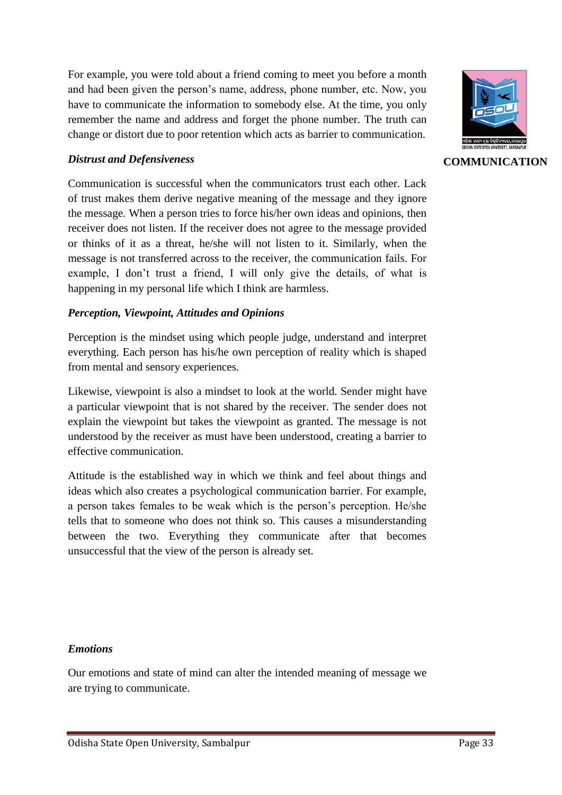For example, you were told about a friend coming to meet you before a month and had been given the person's name, address, phone number, etc. Now, you have to communicate the information to somebody else. At the time, you only remember the name and address and forget the phone number. The truth can change or distort due to poor retention which acts as barrier to communication.

#### *Distrust and Defensiveness*

Communication is successful when the communicators trust each other. Lack of trust makes them derive negative meaning of the message and they ignore the message. When a person tries to force his/her own ideas and opinions, then receiver does not listen. If the receiver does not agree to the message provided or thinks of it as a threat, he/she will not listen to it. Similarly, when the message is not transferred across to the receiver, the communication fails. For example, I don't trust a friend, I will only give the details, of what is happening in my personal life which I think are harmless.

## *Perception, Viewpoint, Attitudes and Opinions*

Perception is the mindset using which people judge, understand and interpret everything. Each person has his/he own perception of reality which is shaped from mental and sensory experiences.

Likewise, viewpoint is also a mindset to look at the world. Sender might have a particular viewpoint that is not shared by the receiver. The sender does not explain the viewpoint but takes the viewpoint as granted. The message is not understood by the receiver as must have been understood, creating a barrier to effective communication.

Attitude is the established way in which we think and feel about things and ideas which also creates a psychological communication barrier. For example, a person takes females to be weak which is the person's perception. He/she tells that to someone who does not think so. This causes a misunderstanding between the two. Everything they communicate after that becomes unsuccessful that the view of the person is already set.

#### *Emotions*

Our emotions and state of mind can alter the intended meaning of message we are trying to communicate.

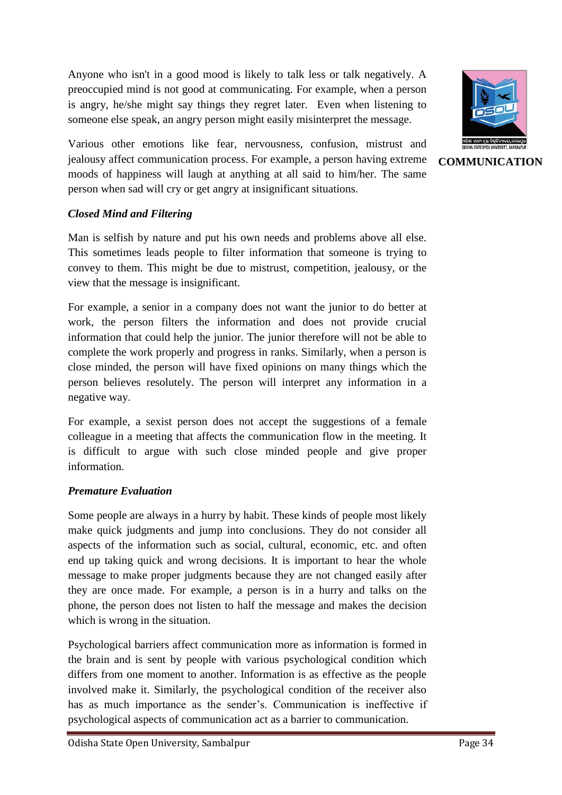Anyone who isn't in a good mood is likely to talk less or talk negatively. A preoccupied mind is not good at communicating. For example, when a person is angry, he/she might say things they regret later. Even when listening to someone else speak, an angry person might easily misinterpret the message.



## *Closed Mind and Filtering*

Man is selfish by nature and put his own needs and problems above all else. This sometimes leads people to filter information that someone is trying to convey to them. This might be due to mistrust, competition, jealousy, or the view that the message is insignificant.

For example, a senior in a company does not want the junior to do better at work, the person filters the information and does not provide crucial information that could help the junior. The junior therefore will not be able to complete the work properly and progress in ranks. Similarly, when a person is close minded, the person will have fixed opinions on many things which the person believes resolutely. The person will interpret any information in a negative way.

For example, a sexist person does not accept the suggestions of a female colleague in a meeting that affects the communication flow in the meeting. It is difficult to argue with such close minded people and give proper information.

## *Premature Evaluation*

Some people are always in a hurry by habit. These kinds of people most likely make quick judgments and jump into conclusions. They do not consider all aspects of the information such as social, cultural, economic, etc. and often end up taking quick and wrong decisions. It is important to hear the whole message to make proper judgments because they are not changed easily after they are once made. For example, a person is in a hurry and talks on the phone, the person does not listen to half the message and makes the decision which is wrong in the situation.

Psychological barriers affect communication more as information is formed in the brain and is sent by people with various psychological condition which differs from one moment to another. Information is as effective as the people involved make it. Similarly, the psychological condition of the receiver also has as much importance as the sender's. Communication is ineffective if psychological aspects of communication act as a barrier to communication.

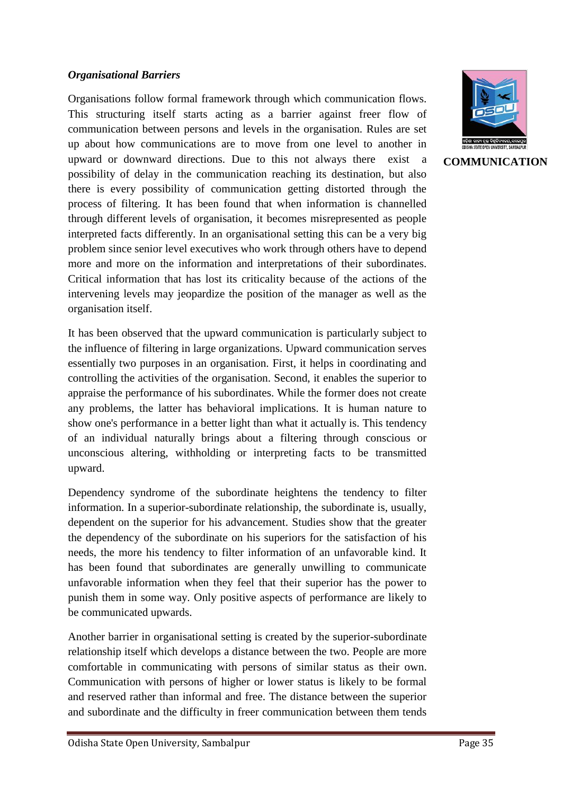## *Organisational Barriers*

Organisations follow formal framework through which communication flows. This structuring itself starts acting as a barrier against freer flow of communication between persons and levels in the organisation. Rules are set up about how communications are to move from one level to another in upward or downward directions. Due to this not always there exist a possibility of delay in the communication reaching its destination, but also there is every possibility of communication getting distorted through the process of filtering. It has been found that when information is channelled through different levels of organisation, it becomes misrepresented as people interpreted facts differently. In an organisational setting this can be a very big problem since senior level executives who work through others have to depend more and more on the information and interpretations of their subordinates. Critical information that has lost its criticality because of the actions of the intervening levels may jeopardize the position of the manager as well as the organisation itself.

It has been observed that the upward communication is particularly subject to the influence of filtering in large organizations. Upward communication serves essentially two purposes in an organisation. First, it helps in coordinating and controlling the activities of the organisation. Second, it enables the superior to appraise the performance of his subordinates. While the former does not create any problems, the latter has behavioral implications. It is human nature to show one's performance in a better light than what it actually is. This tendency of an individual naturally brings about a filtering through conscious or unconscious altering, withholding or interpreting facts to be transmitted upward.

Dependency syndrome of the subordinate heightens the tendency to filter information. In a superior-subordinate relationship, the subordinate is, usually, dependent on the superior for his advancement. Studies show that the greater the dependency of the subordinate on his superiors for the satisfaction of his needs, the more his tendency to filter information of an unfavorable kind. It has been found that subordinates are generally unwilling to communicate unfavorable information when they feel that their superior has the power to punish them in some way. Only positive aspects of performance are likely to be communicated upwards.

Another barrier in organisational setting is created by the superior-subordinate relationship itself which develops a distance between the two. People are more comfortable in communicating with persons of similar status as their own. Communication with persons of higher or lower status is likely to be formal and reserved rather than informal and free. The distance between the superior and subordinate and the difficulty in freer communication between them tends

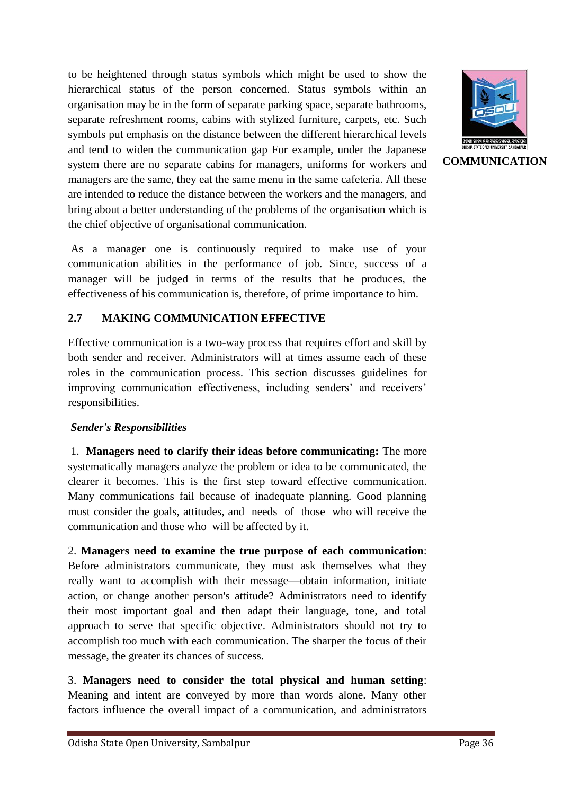to be heightened through status symbols which might be used to show the hierarchical status of the person concerned. Status symbols within an organisation may be in the form of separate parking space, separate bathrooms, separate refreshment rooms, cabins with stylized furniture, carpets, etc. Such symbols put emphasis on the distance between the different hierarchical levels and tend to widen the communication gap For example, under the Japanese system there are no separate cabins for managers, uniforms for workers and managers are the same, they eat the same menu in the same cafeteria. All these are intended to reduce the distance between the workers and the managers, and bring about a better understanding of the problems of the organisation which is the chief objective of organisational communication.

As a manager one is continuously required to make use of your communication abilities in the performance of job. Since, success of a manager will be judged in terms of the results that he produces, the effectiveness of his communication is, therefore, of prime importance to him.

## **2.7 MAKING COMMUNICATION EFFECTIVE**

Effective communication is a two-way process that requires effort and skill by both sender and receiver. Administrators will at times assume each of these roles in the communication process. This section discusses guidelines for improving communication effectiveness, including senders' and receivers' responsibilities.

#### *Sender's Responsibilities*

1. **Managers need to clarify their ideas before communicating:** The more systematically managers analyze the problem or idea to be communicated, the clearer it becomes. This is the first step toward effective communication. Many communications fail because of inadequate planning. Good planning must consider the goals, attitudes, and needs of those who will receive the communication and those who will be affected by it.

2. **Managers need to examine the true purpose of each communication**: Before administrators communicate, they must ask themselves what they really want to accomplish with their message—obtain information, initiate action, or change another person's attitude? Administrators need to identify their most important goal and then adapt their language, tone, and total approach to serve that specific objective. Administrators should not try to accomplish too much with each communication. The sharper the focus of their message, the greater its chances of success.

3. **Managers need to consider the total physical and human setting**: Meaning and intent are conveyed by more than words alone. Many other factors influence the overall impact of a communication, and administrators

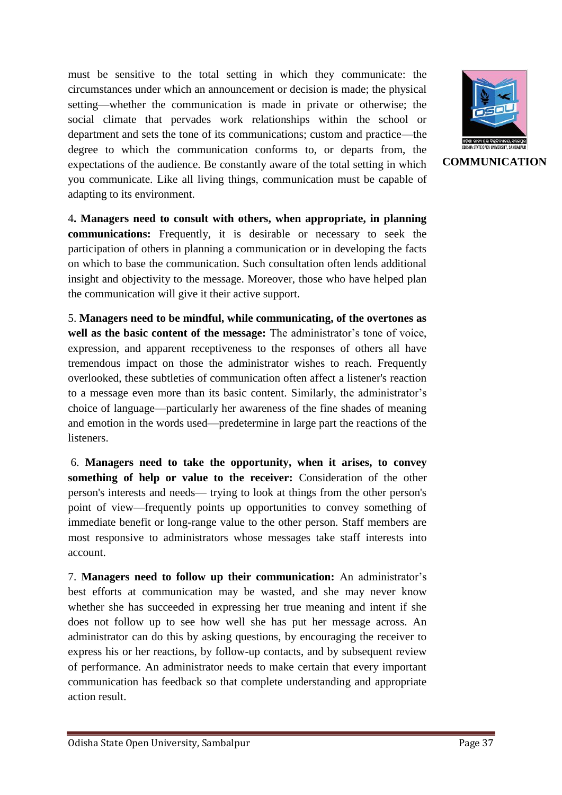must be sensitive to the total setting in which they communicate: the circumstances under which an announcement or decision is made; the physical setting—whether the communication is made in private or otherwise; the social climate that pervades work relationships within the school or department and sets the tone of its communications; custom and practice—the degree to which the communication conforms to, or departs from, the expectations of the audience. Be constantly aware of the total setting in which you communicate. Like all living things, communication must be capable of adapting to its environment.

4**. Managers need to consult with others, when appropriate, in planning communications:** Frequently, it is desirable or necessary to seek the participation of others in planning a communication or in developing the facts on which to base the communication. Such consultation often lends additional insight and objectivity to the message. Moreover, those who have helped plan the communication will give it their active support.

5. **Managers need to be mindful, while communicating, of the overtones as well as the basic content of the message:** The administrator's tone of voice, expression, and apparent receptiveness to the responses of others all have tremendous impact on those the administrator wishes to reach. Frequently overlooked, these subtleties of communication often affect a listener's reaction to a message even more than its basic content. Similarly, the administrator's choice of language—particularly her awareness of the fine shades of meaning and emotion in the words used—predetermine in large part the reactions of the listeners.

6. **Managers need to take the opportunity, when it arises, to convey something of help or value to the receiver:** Consideration of the other person's interests and needs— trying to look at things from the other person's point of view—frequently points up opportunities to convey something of immediate benefit or long-range value to the other person. Staff members are most responsive to administrators whose messages take staff interests into account.

7. **Managers need to follow up their communication:** An administrator's best efforts at communication may be wasted, and she may never know whether she has succeeded in expressing her true meaning and intent if she does not follow up to see how well she has put her message across. An administrator can do this by asking questions, by encouraging the receiver to express his or her reactions, by follow-up contacts, and by subsequent review of performance. An administrator needs to make certain that every important communication has feedback so that complete understanding and appropriate action result.



**COMMUNICATION**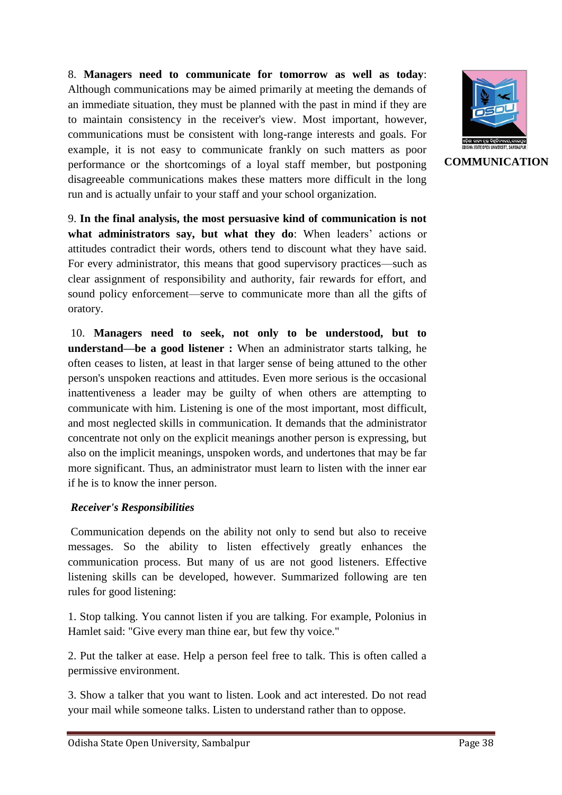8. **Managers need to communicate for tomorrow as well as today**: Although communications may be aimed primarily at meeting the demands of an immediate situation, they must be planned with the past in mind if they are to maintain consistency in the receiver's view. Most important, however, communications must be consistent with long-range interests and goals. For example, it is not easy to communicate frankly on such matters as poor performance or the shortcomings of a loyal staff member, but postponing disagreeable communications makes these matters more difficult in the long run and is actually unfair to your staff and your school organization.

9. **In the final analysis, the most persuasive kind of communication is not what administrators say, but what they do**: When leaders' actions or attitudes contradict their words, others tend to discount what they have said. For every administrator, this means that good supervisory practices—such as clear assignment of responsibility and authority, fair rewards for effort, and sound policy enforcement—serve to communicate more than all the gifts of oratory.

10. **Managers need to seek, not only to be understood, but to understand—be a good listener :** When an administrator starts talking, he often ceases to listen, at least in that larger sense of being attuned to the other person's unspoken reactions and attitudes. Even more serious is the occasional inattentiveness a leader may be guilty of when others are attempting to communicate with him. Listening is one of the most important, most difficult, and most neglected skills in communication. It demands that the administrator concentrate not only on the explicit meanings another person is expressing, but also on the implicit meanings, unspoken words, and undertones that may be far more significant. Thus, an administrator must learn to listen with the inner ear if he is to know the inner person.

#### *Receiver's Responsibilities*

Communication depends on the ability not only to send but also to receive messages. So the ability to listen effectively greatly enhances the communication process. But many of us are not good listeners. Effective listening skills can be developed, however. Summarized following are ten rules for good listening:

1. Stop talking. You cannot listen if you are talking. For example, Polonius in Hamlet said: "Give every man thine ear, but few thy voice."

2. Put the talker at ease. Help a person feel free to talk. This is often called a permissive environment.

3. Show a talker that you want to listen. Look and act interested. Do not read your mail while someone talks. Listen to understand rather than to oppose.

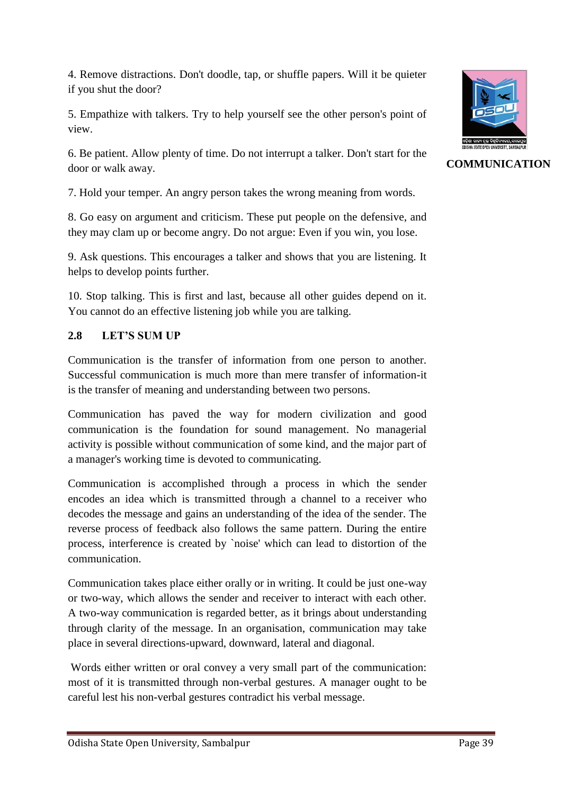4. Remove distractions. Don't doodle, tap, or shuffle papers. Will it be quieter if you shut the door?

5. Empathize with talkers. Try to help yourself see the other person's point of view.

6. Be patient. Allow plenty of time. Do not interrupt a talker. Don't start for the door or walk away.

7. Hold your temper. An angry person takes the wrong meaning from words.

8. Go easy on argument and criticism. These put people on the defensive, and they may clam up or become angry. Do not argue: Even if you win, you lose.

9. Ask questions. This encourages a talker and shows that you are listening. It helps to develop points further.

10. Stop talking. This is first and last, because all other guides depend on it. You cannot do an effective listening job while you are talking.

# **2.8 LET'S SUM UP**

Communication is the transfer of information from one person to another. Successful communication is much more than mere transfer of information-it is the transfer of meaning and understanding between two persons.

Communication has paved the way for modern civilization and good communication is the foundation for sound management. No managerial activity is possible without communication of some kind, and the major part of a manager's working time is devoted to communicating.

Communication is accomplished through a process in which the sender encodes an idea which is transmitted through a channel to a receiver who decodes the message and gains an understanding of the idea of the sender. The reverse process of feedback also follows the same pattern. During the entire process, interference is created by `noise' which can lead to distortion of the communication.

Communication takes place either orally or in writing. It could be just one-way or two-way, which allows the sender and receiver to interact with each other. A two-way communication is regarded better, as it brings about understanding through clarity of the message. In an organisation, communication may take place in several directions-upward, downward, lateral and diagonal.

Words either written or oral convey a very small part of the communication: most of it is transmitted through non-verbal gestures. A manager ought to be careful lest his non-verbal gestures contradict his verbal message.

**COMMUNICATION**

#### Odisha State Open University, Sambalpur **Page 39** Page 39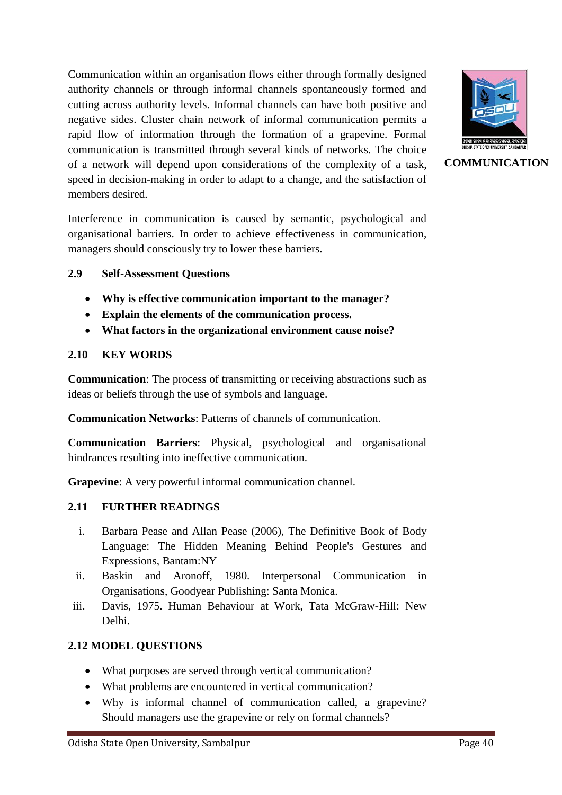Communication within an organisation flows either through formally designed authority channels or through informal channels spontaneously formed and cutting across authority levels. Informal channels can have both positive and negative sides. Cluster chain network of informal communication permits a rapid flow of information through the formation of a grapevine. Formal communication is transmitted through several kinds of networks. The choice of a network will depend upon considerations of the complexity of a task, speed in decision-making in order to adapt to a change, and the satisfaction of members desired.

Interference in communication is caused by semantic, psychological and organisational barriers. In order to achieve effectiveness in communication, managers should consciously try to lower these barriers.

#### **2.9 Self-Assessment Questions**

- **Why is effective communication important to the manager?**
- **Explain the elements of the communication process.**
- **What factors in the organizational environment cause noise?**

#### **2.10 KEY WORDS**

**Communication**: The process of transmitting or receiving abstractions such as ideas or beliefs through the use of symbols and language.

**Communication Networks**: Patterns of channels of communication.

**Communication Barriers**: Physical, psychological and organisational hindrances resulting into ineffective communication.

**Grapevine**: A very powerful informal communication channel.

#### **2.11 FURTHER READINGS**

- i. Barbara Pease and Allan Pease (2006), The Definitive Book of Body Language: The Hidden Meaning Behind People's Gestures and Expressions, Bantam:NY
- ii. Baskin and Aronoff, 1980. Interpersonal Communication in Organisations, Goodyear Publishing: Santa Monica.
- iii. Davis, 1975. Human Behaviour at Work, Tata McGraw-Hill: New Delhi.

#### **2.12 MODEL QUESTIONS**

- What purposes are served through vertical communication?
- What problems are encountered in vertical communication?
- Why is informal channel of communication called, a grapevine? Should managers use the grapevine or rely on formal channels?



**COMMUNICATION**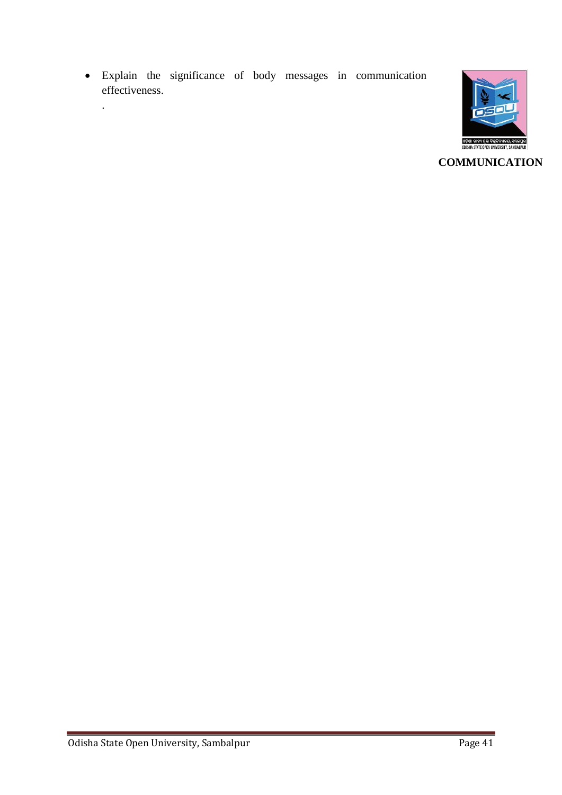Explain the significance of body messages in communication effectiveness.

.



**COMMUNICATION**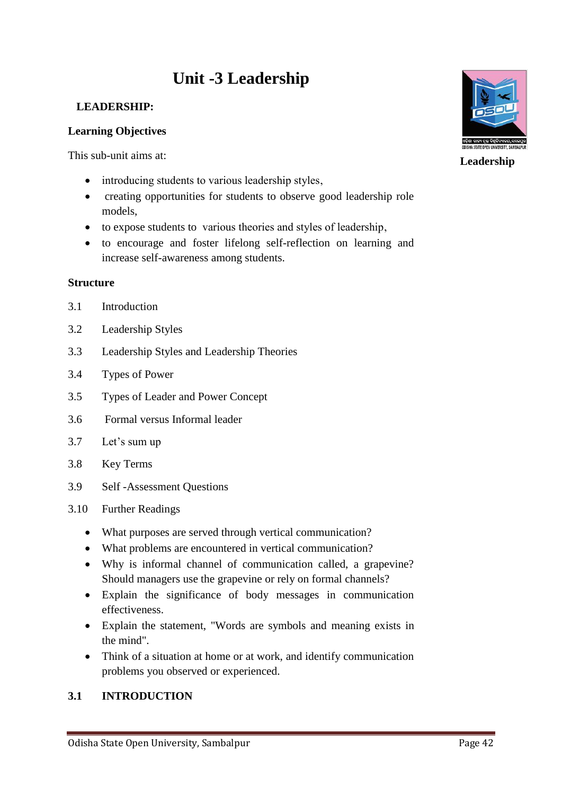# **Unit -3 Leadership**

## **LEADERSHIP:**

#### **Learning Objectives**

This sub-unit aims at:

- introducing students to various leadership styles,
- creating opportunities for students to observe good leadership role models,
- to expose students to various theories and styles of leadership,
- to encourage and foster lifelong self-reflection on learning and increase self-awareness among students.

#### **Structure**

- 3.1 Introduction
- 3.2 Leadership Styles
- 3.3 Leadership Styles and Leadership Theories
- 3.4 Types of Power
- 3.5 Types of Leader and Power Concept
- 3.6 Formal versus Informal leader
- 3.7 Let's sum up
- 3.8 Key Terms
- 3.9 Self -Assessment Questions
- 3.10 Further Readings
	- What purposes are served through vertical communication?
	- What problems are encountered in vertical communication?
	- Why is informal channel of communication called, a grapevine? Should managers use the grapevine or rely on formal channels?
	- Explain the significance of body messages in communication effectiveness.
	- Explain the statement, "Words are symbols and meaning exists in the mind".
	- Think of a situation at home or at work, and identify communication problems you observed or experienced.

#### **3.1 INTRODUCTION**



**Leadership**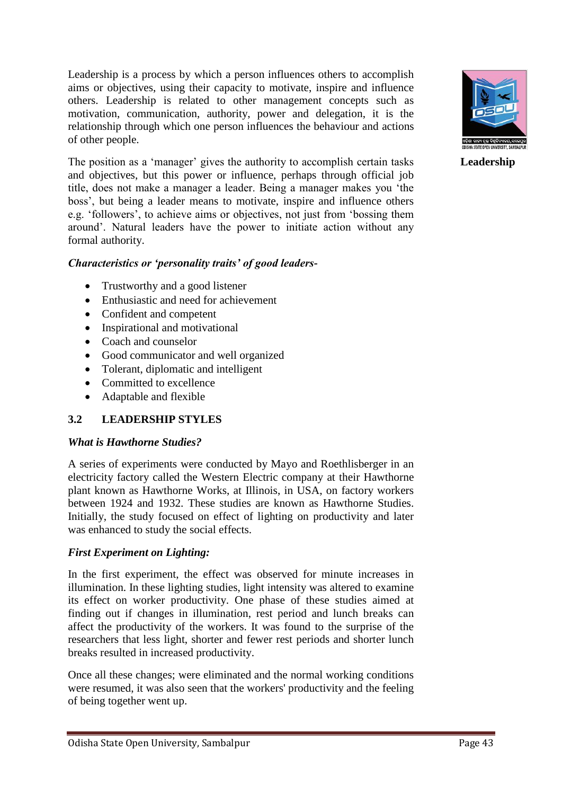Leadership is a process by which a person influences others to accomplish aims or objectives, using their capacity to motivate, inspire and influence others. Leadership is related to other management concepts such as motivation, communication, authority, power and delegation, it is the relationship through which one person influences the behaviour and actions of other people.

The position as a 'manager' gives the authority to accomplish certain tasks and objectives, but this power or influence, perhaps through official job title, does not make a manager a leader. Being a manager makes you 'the boss', but being a leader means to motivate, inspire and influence others e.g. 'followers', to achieve aims or objectives, not just from 'bossing them around'. Natural leaders have the power to initiate action without any formal authority.

#### *Characteristics or 'personality traits' of good leaders-*

- Trustworthy and a good listener
- Enthusiastic and need for achievement
- Confident and competent
- Inspirational and motivational
- Coach and counselor
- Good communicator and well organized
- Tolerant, diplomatic and intelligent
- Committed to excellence
- Adaptable and flexible

## **3.2 LEADERSHIP STYLES**

#### *What is Hawthorne Studies?*

A series of experiments were conducted by Mayo and Roethlisberger in an electricity factory called the Western Electric company at their Hawthorne plant known as Hawthorne Works, at Illinois, in USA, on factory workers between 1924 and 1932. These studies are known as Hawthorne Studies. Initially, the study focused on effect of lighting on productivity and later was enhanced to study the social effects.

#### *First Experiment on Lighting:*

In the first experiment, the effect was observed for minute increases in illumination. In these lighting studies, light intensity was altered to examine its effect on worker productivity. One phase of these studies aimed at finding out if changes in illumination, rest period and lunch breaks can affect the productivity of the workers. It was found to the surprise of the researchers that less light, shorter and fewer rest periods and shorter lunch breaks resulted in increased productivity.

Once all these changes; were eliminated and the normal working conditions were resumed, it was also seen that the workers' productivity and the feeling of being together went up.



**Leadership**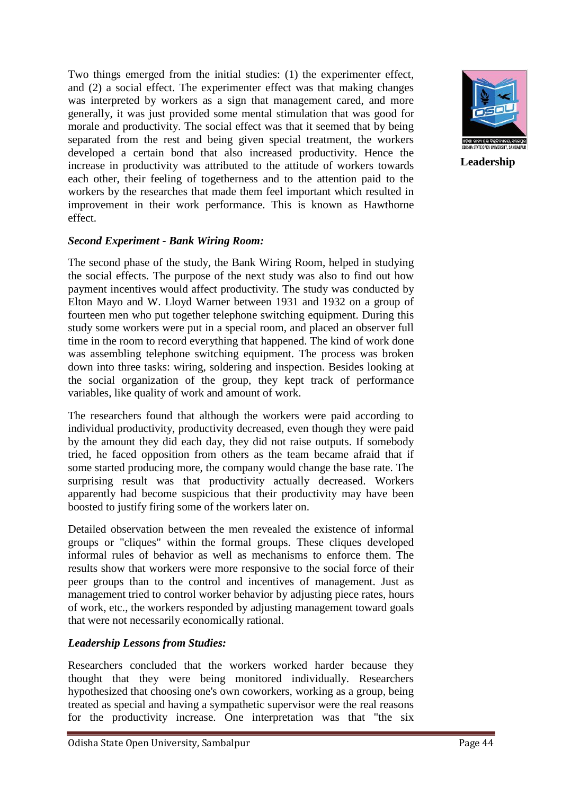Two things emerged from the initial studies: (1) the experimenter effect, and (2) a social effect. The experimenter effect was that making changes was interpreted by workers as a sign that management cared, and more generally, it was just provided some mental stimulation that was good for morale and productivity. The social effect was that it seemed that by being separated from the rest and being given special treatment, the workers developed a certain bond that also increased productivity. Hence the increase in productivity was attributed to the attitude of workers towards each other, their feeling of togetherness and to the attention paid to the workers by the researches that made them feel important which resulted in improvement in their work performance. This is known as Hawthorne effect.

#### *Second Experiment - Bank Wiring Room:*

The second phase of the study, the Bank Wiring Room, helped in studying the social effects. The purpose of the next study was also to find out how payment incentives would affect productivity. The study was conducted by Elton Mayo and W. Lloyd Warner between 1931 and 1932 on a group of fourteen men who put together telephone switching equipment. During this study some workers were put in a special room, and placed an observer full time in the room to record everything that happened. The kind of work done was assembling telephone switching equipment. The process was broken down into three tasks: wiring, soldering and inspection. Besides looking at the social organization of the group, they kept track of performance variables, like quality of work and amount of work.

The researchers found that although the workers were paid according to individual productivity, productivity decreased, even though they were paid by the amount they did each day, they did not raise outputs. If somebody tried, he faced opposition from others as the team became afraid that if some started producing more, the company would change the base rate. The surprising result was that productivity actually decreased. Workers apparently had become suspicious that their productivity may have been boosted to justify firing some of the workers later on.

Detailed observation between the men revealed the existence of informal groups or "cliques" within the formal groups. These cliques developed informal rules of behavior as well as mechanisms to enforce them. The results show that workers were more responsive to the social force of their peer groups than to the control and incentives of management. Just as management tried to control worker behavior by adjusting piece rates, hours of work, etc., the workers responded by adjusting management toward goals that were not necessarily economically rational.

#### *Leadership Lessons from Studies:*

Researchers concluded that the workers worked harder because they thought that they were being monitored individually. Researchers hypothesized that choosing one's own coworkers, working as a group, being treated as special and having a sympathetic supervisor were the real reasons for the productivity increase. One interpretation was that "the six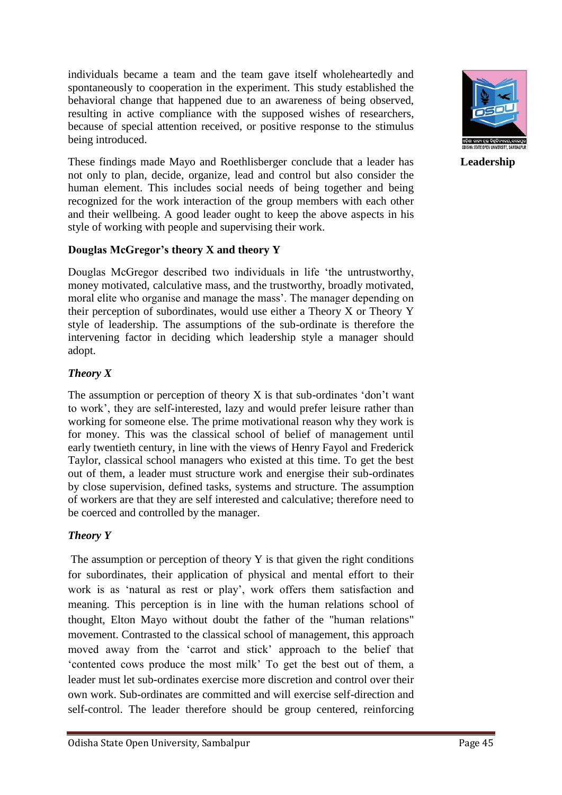individuals became a team and the team gave itself wholeheartedly and spontaneously to cooperation in the experiment. This study established the behavioral change that happened due to an awareness of being observed, resulting in active compliance with the supposed wishes of researchers, because of special attention received, or positive response to the stimulus being introduced.

These findings made Mayo and Roethlisberger conclude that a leader has not only to plan, decide, organize, lead and control but also consider the human element. This includes social needs of being together and being recognized for the work interaction of the group members with each other and their wellbeing. A good leader ought to keep the above aspects in his style of working with people and supervising their work.

#### **Douglas McGregor's theory X and theory Y**

Douglas McGregor described two individuals in life 'the untrustworthy, money motivated, calculative mass, and the trustworthy, broadly motivated, moral elite who organise and manage the mass'. The manager depending on their perception of subordinates, would use either a Theory X or Theory Y style of leadership. The assumptions of the sub-ordinate is therefore the intervening factor in deciding which leadership style a manager should adopt.

## *Theory X*

The assumption or perception of theory  $X$  is that sub-ordinates 'don't want to work', they are self-interested, lazy and would prefer leisure rather than working for someone else. The prime motivational reason why they work is for money. This was the classical school of belief of management until early twentieth century, in line with the views of Henry Fayol and Frederick Taylor, classical school managers who existed at this time. To get the best out of them, a leader must structure work and energise their sub-ordinates by close supervision, defined tasks, systems and structure. The assumption of workers are that they are self interested and calculative; therefore need to be coerced and controlled by the manager.

## *Theory Y*

The assumption or perception of theory Y is that given the right conditions for subordinates, their application of physical and mental effort to their work is as 'natural as rest or play', work offers them satisfaction and meaning. This perception is in line with the human relations school of thought, Elton Mayo without doubt the father of the "human relations" movement. Contrasted to the classical school of management, this approach moved away from the 'carrot and stick' approach to the belief that 'contented cows produce the most milk' To get the best out of them, a leader must let sub-ordinates exercise more discretion and control over their own work. Sub-ordinates are committed and will exercise self-direction and self-control. The leader therefore should be group centered, reinforcing

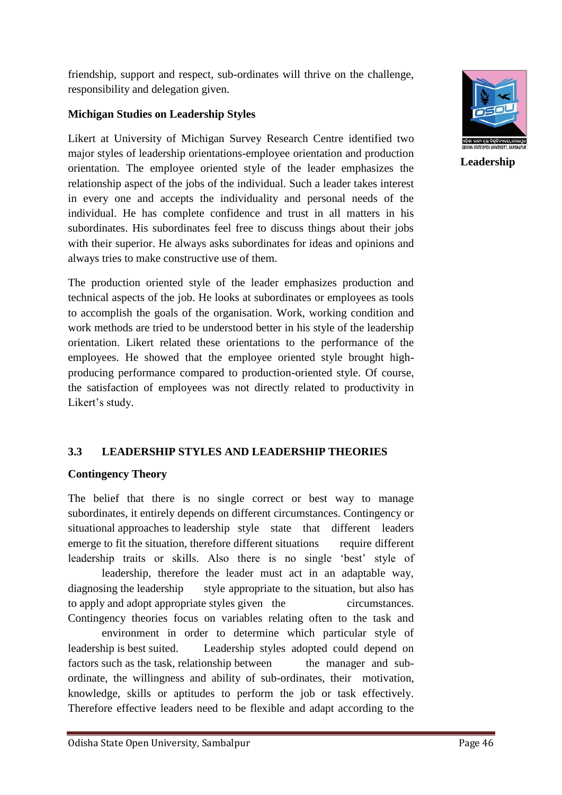friendship, support and respect, sub-ordinates will thrive on the challenge, responsibility and delegation given.

### **Michigan Studies on Leadership Styles**

Likert at University of Michigan Survey Research Centre identified two major styles of leadership orientations-employee orientation and production orientation. The employee oriented style of the leader emphasizes the relationship aspect of the jobs of the individual. Such a leader takes interest in every one and accepts the individuality and personal needs of the individual. He has complete confidence and trust in all matters in his subordinates. His subordinates feel free to discuss things about their jobs with their superior. He always asks subordinates for ideas and opinions and always tries to make constructive use of them.

The production oriented style of the leader emphasizes production and technical aspects of the job. He looks at subordinates or employees as tools to accomplish the goals of the organisation. Work, working condition and work methods are tried to be understood better in his style of the leadership orientation. Likert related these orientations to the performance of the employees. He showed that the employee oriented style brought highproducing performance compared to production-oriented style. Of course, the satisfaction of employees was not directly related to productivity in Likert's study.

# **3.3 LEADERSHIP STYLES AND LEADERSHIP THEORIES**

## **Contingency Theory**

The belief that there is no single correct or best way to manage subordinates, it entirely depends on different circumstances. Contingency or situational approaches to leadership style state that different leaders emerge to fit the situation, therefore different situations require different leadership traits or skills. Also there is no single 'best' style of

leadership, therefore the leader must act in an adaptable way, diagnosing the leadership style appropriate to the situation, but also has to apply and adopt appropriate styles given the circumstances. Contingency theories focus on variables relating often to the task and

environment in order to determine which particular style of leadership is best suited. Leadership styles adopted could depend on factors such as the task, relationship between the manager and subordinate, the willingness and ability of sub-ordinates, their motivation, knowledge, skills or aptitudes to perform the job or task effectively. Therefore effective leaders need to be flexible and adapt according to the

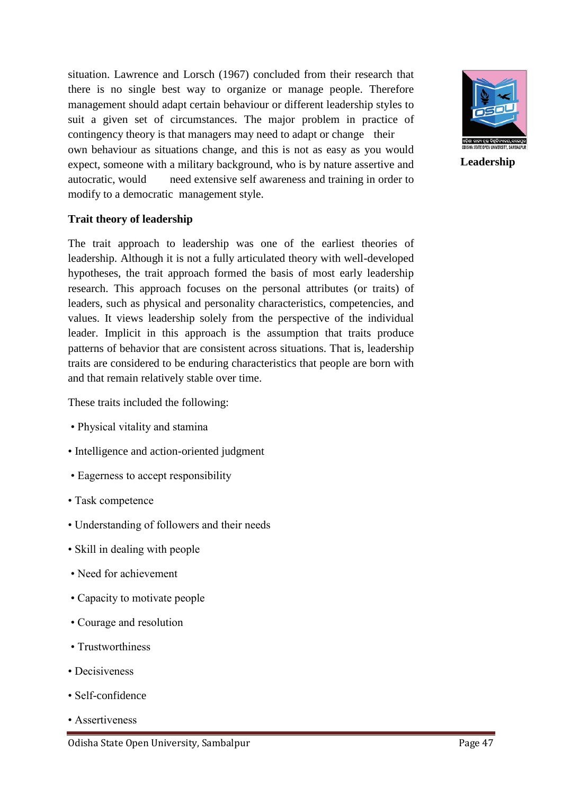situation. Lawrence and Lorsch (1967) concluded from their research that there is no single best way to organize or manage people. Therefore management should adapt certain behaviour or different leadership styles to suit a given set of circumstances. The major problem in practice of contingency theory is that managers may need to adapt or change their own behaviour as situations change, and this is not as easy as you would expect, someone with a military background, who is by nature assertive and autocratic, would need extensive self awareness and training in order to modify to a democratic management style.

#### **Trait theory of leadership**

The trait approach to leadership was one of the earliest theories of leadership. Although it is not a fully articulated theory with well-developed hypotheses, the trait approach formed the basis of most early leadership research. This approach focuses on the personal attributes (or traits) of leaders, such as physical and personality characteristics, competencies, and values. It views leadership solely from the perspective of the individual leader. Implicit in this approach is the assumption that traits produce patterns of behavior that are consistent across situations. That is, leadership traits are considered to be enduring characteristics that people are born with and that remain relatively stable over time.

These traits included the following:

- Physical vitality and stamina
- Intelligence and action-oriented judgment
- Eagerness to accept responsibility
- Task competence
- Understanding of followers and their needs
- Skill in dealing with people
- Need for achievement
- Capacity to motivate people
- Courage and resolution
- Trustworthiness
- Decisiveness
- Self-confidence
- Assertiveness

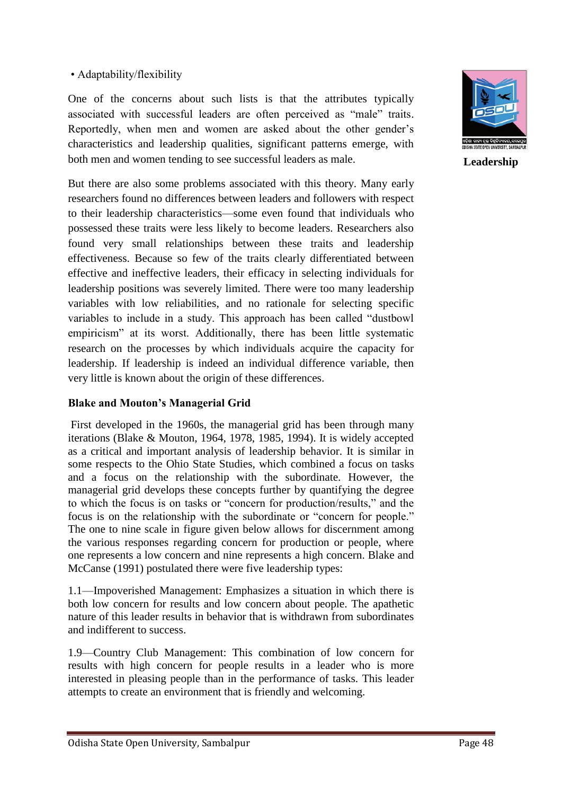### • Adaptability/flexibility

One of the concerns about such lists is that the attributes typically associated with successful leaders are often perceived as "male" traits. Reportedly, when men and women are asked about the other gender's characteristics and leadership qualities, significant patterns emerge, with both men and women tending to see successful leaders as male.

But there are also some problems associated with this theory. Many early researchers found no differences between leaders and followers with respect to their leadership characteristics—some even found that individuals who possessed these traits were less likely to become leaders. Researchers also found very small relationships between these traits and leadership effectiveness. Because so few of the traits clearly differentiated between effective and ineffective leaders, their efficacy in selecting individuals for leadership positions was severely limited. There were too many leadership variables with low reliabilities, and no rationale for selecting specific variables to include in a study. This approach has been called "dustbowl empiricism" at its worst. Additionally, there has been little systematic research on the processes by which individuals acquire the capacity for leadership. If leadership is indeed an individual difference variable, then very little is known about the origin of these differences.

### **Blake and Mouton's Managerial Grid**

First developed in the 1960s, the managerial grid has been through many iterations (Blake & Mouton, 1964, 1978, 1985, 1994). It is widely accepted as a critical and important analysis of leadership behavior. It is similar in some respects to the Ohio State Studies, which combined a focus on tasks and a focus on the relationship with the subordinate. However, the managerial grid develops these concepts further by quantifying the degree to which the focus is on tasks or "concern for production/results," and the focus is on the relationship with the subordinate or "concern for people." The one to nine scale in figure given below allows for discernment among the various responses regarding concern for production or people, where one represents a low concern and nine represents a high concern. Blake and McCanse (1991) postulated there were five leadership types:

1.1—Impoverished Management: Emphasizes a situation in which there is both low concern for results and low concern about people. The apathetic nature of this leader results in behavior that is withdrawn from subordinates and indifferent to success.

1.9—Country Club Management: This combination of low concern for results with high concern for people results in a leader who is more interested in pleasing people than in the performance of tasks. This leader attempts to create an environment that is friendly and welcoming.

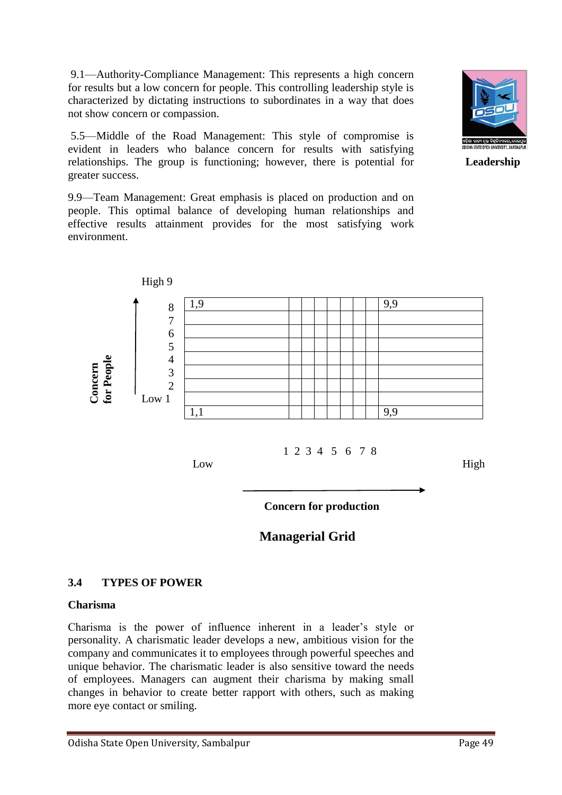9.1—Authority-Compliance Management: This represents a high concern for results but a low concern for people. This controlling leadership style is characterized by dictating instructions to subordinates in a way that does not show concern or compassion.

5.5—Middle of the Road Management: This style of compromise is evident in leaders who balance concern for results with satisfying relationships. The group is functioning; however, there is potential for greater success.

9.9—Team Management: Great emphasis is placed on production and on people. This optimal balance of developing human relationships and effective results attainment provides for the most satisfying work environment.



**Concern for production**

# **Managerial Grid**

## **3.4 TYPES OF POWER**

#### **Charisma**

Charisma is the power of influence inherent in a leader's style or personality. A charismatic leader develops a new, ambitious vision for the company and communicates it to employees through powerful speeches and unique behavior. The charismatic leader is also sensitive toward the needs of employees. Managers can augment their charisma by making small changes in behavior to create better rapport with others, such as making more eye contact or smiling.

![](_page_48_Picture_10.jpeg)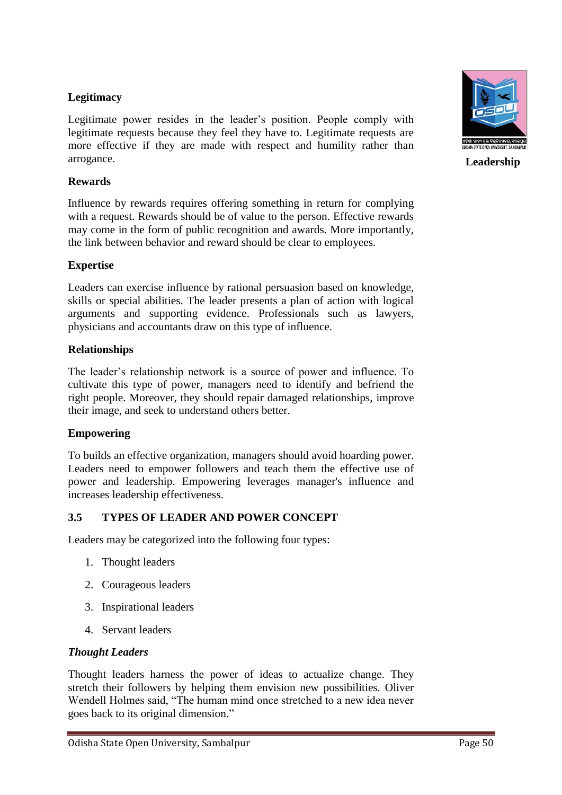### **Legitimacy**

Legitimate power resides in the leader's position. People comply with legitimate requests because they feel they have to. Legitimate requests are more effective if they are made with respect and humility rather than arrogance.

#### **Rewards**

Influence by rewards requires offering something in return for complying with a request. Rewards should be of value to the person. Effective rewards may come in the form of public recognition and awards. More importantly, the link between behavior and reward should be clear to employees.

#### **Expertise**

Leaders can exercise influence by rational persuasion based on knowledge, skills or special abilities. The leader presents a plan of action with logical arguments and supporting evidence. Professionals such as lawyers, physicians and accountants draw on this type of influence.

#### **Relationships**

The leader's relationship network is a source of power and influence. To cultivate this type of power, managers need to identify and befriend the right people. Moreover, they should repair damaged relationships, improve their image, and seek to understand others better.

#### **Empowering**

To builds an effective organization, managers should avoid hoarding power. Leaders need to empower followers and teach them the effective use of power and leadership. Empowering leverages manager's influence and increases leadership effectiveness.

#### **3.5 TYPES OF LEADER AND POWER CONCEPT**

Leaders may be categorized into the following four types:

- 1. Thought leaders
- 2. Courageous leaders
- 3. Inspirational leaders
- 4. Servant leaders

#### *Thought Leaders*

Thought leaders harness the power of ideas to actualize change. They stretch their followers by helping them envision new possibilities. Oliver Wendell Holmes said, "The human mind once stretched to a new idea never goes back to its original dimension."

![](_page_49_Picture_19.jpeg)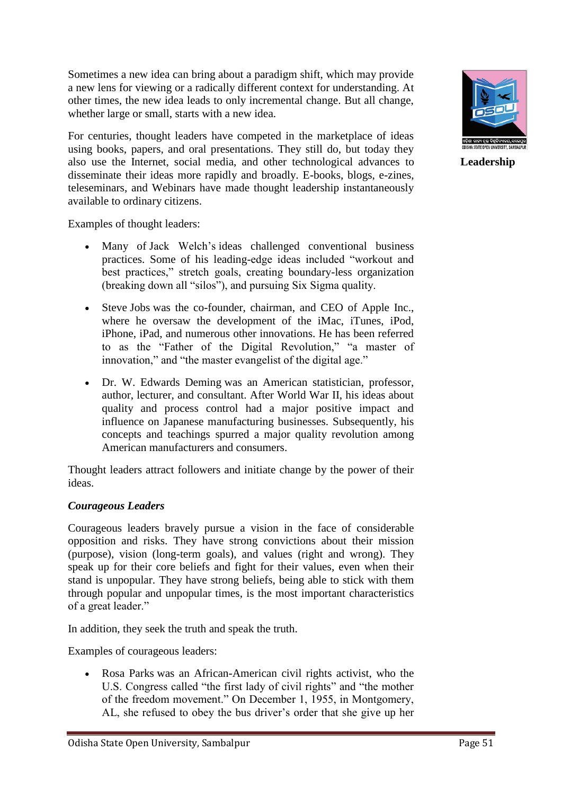Sometimes a new idea can bring about a paradigm shift, which may provide a new lens for viewing or a radically different context for understanding. At other times, the new idea leads to only incremental change. But all change, whether large or small, starts with a new idea.

For centuries, thought leaders have competed in the marketplace of ideas using books, papers, and oral presentations. They still do, but today they also use the Internet, social media, and other technological advances to disseminate their ideas more rapidly and broadly. E-books, blogs, e-zines, teleseminars, and Webinars have made thought leadership instantaneously available to ordinary citizens.

Examples of thought leaders:

- Many of Jack Welch's ideas challenged conventional business practices. Some of his leading-edge ideas included "workout and best practices," stretch goals, creating boundary-less organization (breaking down all "silos"), and pursuing Six Sigma quality.
- Steve Jobs was the co-founder, chairman, and CEO of Apple Inc., where he oversaw the development of the *iMac*, *iTunes*, *iPod*, iPhone, iPad, and numerous other innovations. He has been referred to as the "Father of the Digital Revolution," "a master of innovation," and "the master evangelist of the digital age."
- Dr. W. Edwards Deming was an American statistician, professor, author, lecturer, and consultant. After World War II, his ideas about quality and process control had a major positive impact and influence on Japanese manufacturing businesses. Subsequently, his concepts and teachings spurred a major quality revolution among American manufacturers and consumers.

Thought leaders attract followers and initiate change by the power of their ideas.

#### *Courageous Leaders*

Courageous leaders bravely pursue a vision in the face of considerable opposition and risks. They have strong convictions about their mission (purpose), vision (long-term goals), and values (right and wrong). They speak up for their core beliefs and fight for their values, even when their stand is unpopular. They have strong beliefs, being able to stick with them through popular and unpopular times, is the most important characteristics of a great leader."

In addition, they seek the truth and speak the truth.

Examples of courageous leaders:

 Rosa Parks was an African-American civil rights activist, who the U.S. Congress called "the first lady of civil rights" and "the mother of the freedom movement." On December 1, 1955, in Montgomery, AL, she refused to obey the bus driver's order that she give up her

![](_page_50_Picture_12.jpeg)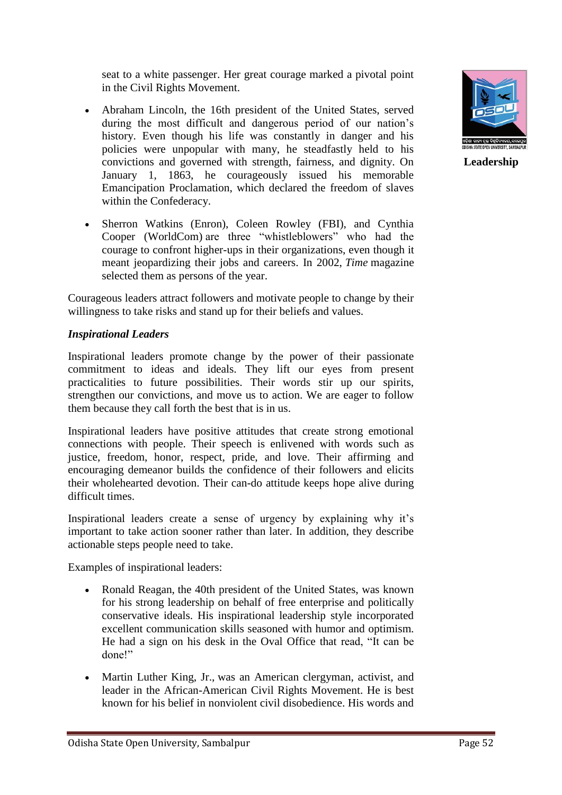seat to a white passenger. Her great courage marked a pivotal point in the Civil Rights Movement.

- Abraham Lincoln, the 16th president of the United States, served during the most difficult and dangerous period of our nation's history. Even though his life was constantly in danger and his policies were unpopular with many, he steadfastly held to his convictions and governed with strength, fairness, and dignity. On January 1, 1863, he courageously issued his memorable Emancipation Proclamation, which declared the freedom of slaves within the Confederacy.
- Sherron Watkins (Enron), Coleen Rowley (FBI), and Cynthia Cooper (WorldCom) are three "whistleblowers" who had the courage to confront higher-ups in their organizations, even though it meant jeopardizing their jobs and careers. In 2002, *Time* magazine selected them as persons of the year.

Courageous leaders attract followers and motivate people to change by their willingness to take risks and stand up for their beliefs and values.

#### *Inspirational Leaders*

Inspirational leaders promote change by the power of their passionate commitment to ideas and ideals. They lift our eyes from present practicalities to future possibilities. Their words stir up our spirits, strengthen our convictions, and move us to action. We are eager to follow them because they call forth the best that is in us.

Inspirational leaders have positive attitudes that create strong emotional connections with people. Their speech is enlivened with words such as justice, freedom, honor, respect, pride, and love. Their affirming and encouraging demeanor builds the confidence of their followers and elicits their wholehearted devotion. Their can-do attitude keeps hope alive during difficult times.

Inspirational leaders create a sense of urgency by explaining why it's important to take action sooner rather than later. In addition, they describe actionable steps people need to take.

Examples of inspirational leaders:

- Ronald Reagan, the 40th president of the United States, was known for his strong leadership on behalf of free enterprise and politically conservative ideals. His inspirational leadership style incorporated excellent communication skills seasoned with humor and optimism. He had a sign on his desk in the Oval Office that read, "It can be done!"
- Martin Luther King, Jr., was an American clergyman, activist, and leader in the African-American Civil Rights Movement. He is best known for his belief in nonviolent civil disobedience. His words and

![](_page_51_Picture_11.jpeg)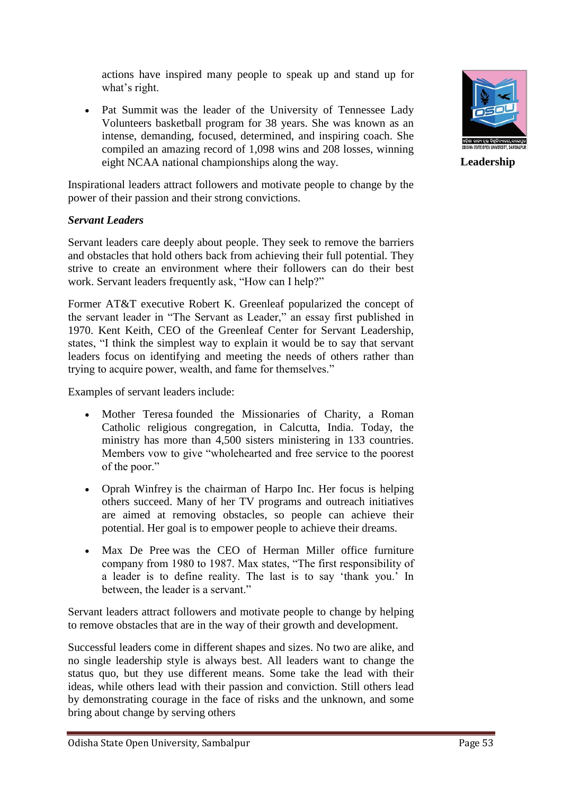actions have inspired many people to speak up and stand up for what's right.

 Pat Summit was the leader of the University of Tennessee Lady Volunteers basketball program for 38 years. She was known as an intense, demanding, focused, determined, and inspiring coach. She compiled an amazing record of 1,098 wins and 208 losses, winning eight NCAA national championships along the way.

Inspirational leaders attract followers and motivate people to change by the power of their passion and their strong convictions.

#### *Servant Leaders*

Servant leaders care deeply about people. They seek to remove the barriers and obstacles that hold others back from achieving their full potential. They strive to create an environment where their followers can do their best work. Servant leaders frequently ask, "How can I help?"

Former AT&T executive Robert K. Greenleaf popularized the concept of the servant leader in "The Servant as Leader," an essay first published in 1970. Kent Keith, CEO of the Greenleaf Center for Servant Leadership, states, "I think the simplest way to explain it would be to say that servant leaders focus on identifying and meeting the needs of others rather than trying to acquire power, wealth, and fame for themselves."

Examples of servant leaders include:

- Mother Teresa founded the Missionaries of Charity, a Roman Catholic religious congregation, in Calcutta, India. Today, the ministry has more than 4,500 sisters ministering in 133 countries. Members vow to give "wholehearted and free service to the poorest of the poor."
- Oprah Winfrey is the chairman of Harpo Inc. Her focus is helping others succeed. Many of her TV programs and outreach initiatives are aimed at removing obstacles, so people can achieve their potential. Her goal is to empower people to achieve their dreams.
- Max De Pree was the CEO of Herman Miller office furniture company from 1980 to 1987. Max states, "The first responsibility of a leader is to define reality. The last is to say 'thank you.' In between, the leader is a servant."

Servant leaders attract followers and motivate people to change by helping to remove obstacles that are in the way of their growth and development.

Successful leaders come in different shapes and sizes. No two are alike, and no single leadership style is always best. All leaders want to change the status quo, but they use different means. Some take the lead with their ideas, while others lead with their passion and conviction. Still others lead by demonstrating courage in the face of risks and the unknown, and some bring about change by serving others

![](_page_52_Picture_12.jpeg)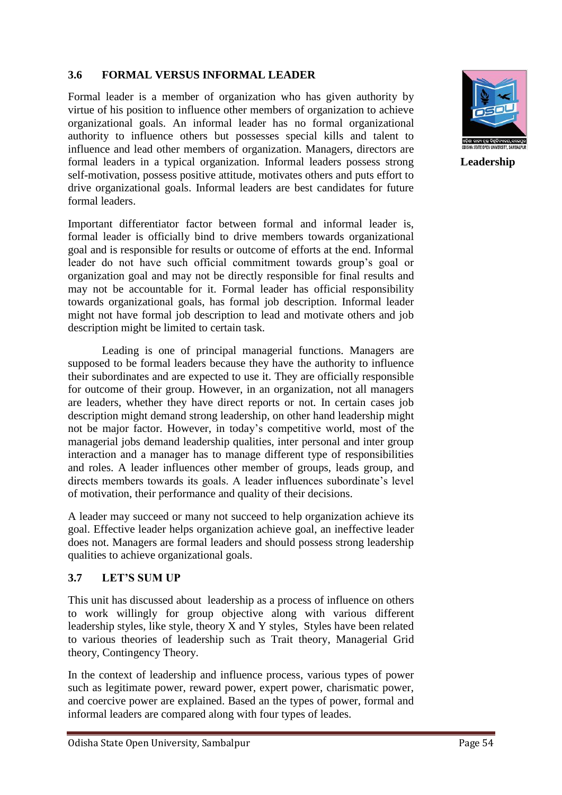#### **3.6 FORMAL VERSUS INFORMAL LEADER**

Formal leader is a member of organization who has given authority by virtue of his position to influence other members of organization to achieve organizational goals. An informal leader has no formal organizational authority to influence others but possesses special kills and talent to influence and lead other members of organization. Managers, directors are formal leaders in a typical organization. Informal leaders possess strong self-motivation, possess positive attitude, motivates others and puts effort to drive organizational goals. Informal leaders are best candidates for future formal leaders.

Important differentiator factor between formal and informal leader is, formal leader is officially bind to drive members towards organizational goal and is responsible for results or outcome of efforts at the end. Informal leader do not have such official commitment towards group's goal or organization goal and may not be directly responsible for final results and may not be accountable for it. Formal leader has official responsibility towards organizational goals, has formal job description. Informal leader might not have formal job description to lead and motivate others and job description might be limited to certain task.

 Leading is one of principal managerial functions. Managers are supposed to be formal leaders because they have the authority to influence their subordinates and are expected to use it. They are officially responsible for outcome of their group. However, in an organization, not all managers are leaders, whether they have direct reports or not. In certain cases job description might demand strong leadership, on other hand leadership might not be major factor. However, in today's competitive world, most of the managerial jobs demand leadership qualities, inter personal and inter group interaction and a manager has to manage different type of responsibilities and roles. A leader influences other member of groups, leads group, and directs members towards its goals. A leader influences subordinate's level of motivation, their performance and quality of their decisions.

A leader may succeed or many not succeed to help organization achieve its goal. Effective leader helps organization achieve goal, an ineffective leader does not. Managers are formal leaders and should possess strong leadership qualities to achieve organizational goals.

## **3.7 LET'S SUM UP**

This unit has discussed about leadership as a process of influence on others to work willingly for group objective along with various different leadership styles, like style, theory X and Y styles, Styles have been related to various theories of leadership such as Trait theory, Managerial Grid theory, Contingency Theory.

In the context of leadership and influence process, various types of power such as legitimate power, reward power, expert power, charismatic power, and coercive power are explained. Based an the types of power, formal and informal leaders are compared along with four types of leades.

![](_page_53_Picture_8.jpeg)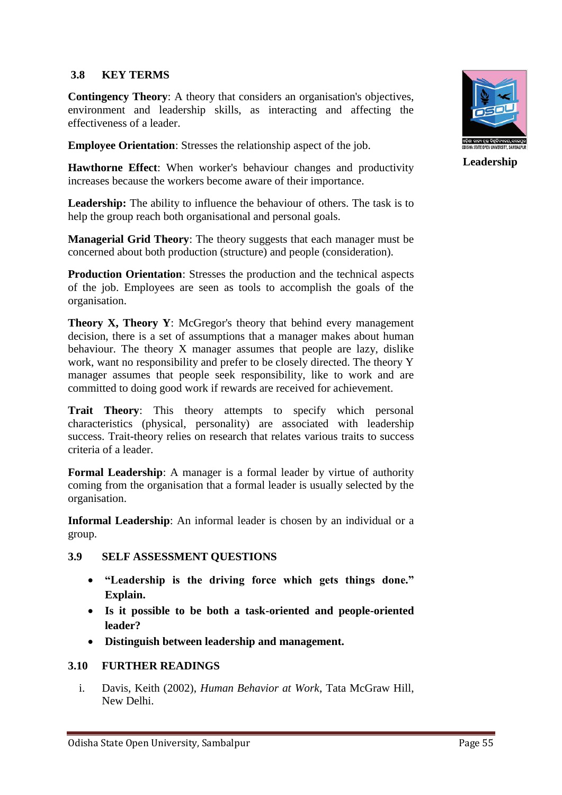### **3.8 KEY TERMS**

**Contingency Theory**: A theory that considers an organisation's objectives, environment and leadership skills, as interacting and affecting the effectiveness of a leader.

**Employee Orientation**: Stresses the relationship aspect of the job.

**Hawthorne Effect**: When worker's behaviour changes and productivity increases because the workers become aware of their importance.

**Leadership:** The ability to influence the behaviour of others. The task is to help the group reach both organisational and personal goals.

**Managerial Grid Theory**: The theory suggests that each manager must be concerned about both production (structure) and people (consideration).

**Production Orientation**: Stresses the production and the technical aspects of the job. Employees are seen as tools to accomplish the goals of the organisation.

**Theory X, Theory Y:** McGregor's theory that behind every management decision, there is a set of assumptions that a manager makes about human behaviour. The theory X manager assumes that people are lazy, dislike work, want no responsibility and prefer to be closely directed. The theory Y manager assumes that people seek responsibility, like to work and are committed to doing good work if rewards are received for achievement.

**Trait Theory:** This theory attempts to specify which personal characteristics (physical, personality) are associated with leadership success. Trait-theory relies on research that relates various traits to success criteria of a leader.

**Formal Leadership**: A manager is a formal leader by virtue of authority coming from the organisation that a formal leader is usually selected by the organisation.

**Informal Leadership**: An informal leader is chosen by an individual or a group.

#### **3.9 SELF ASSESSMENT QUESTIONS**

- **"Leadership is the driving force which gets things done." Explain.**
- **Is it possible to be both a task-oriented and people-oriented leader?**
- **Distinguish between leadership and management.**

#### **3.10 FURTHER READINGS**

i. Davis, Keith (2002), *Human Behavior at Work*, Tata McGraw Hill, New Delhi.

![](_page_54_Picture_17.jpeg)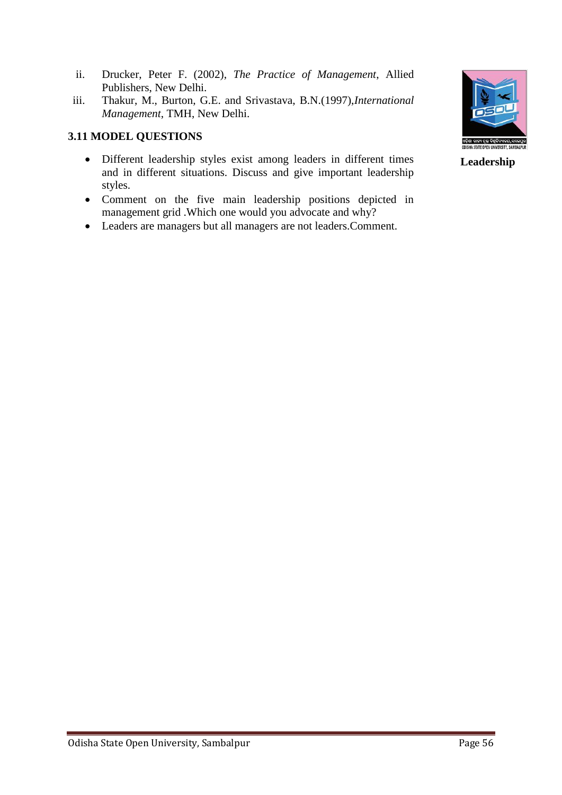- ii. Drucker, Peter F. (2002), *The Practice of Management*, Allied Publishers, New Delhi.
- iii. Thakur, M., Burton, G.E. and Srivastava, B.N.(1997),*International Management*, TMH, New Delhi.

# **3.11 MODEL QUESTIONS**

- Different leadership styles exist among leaders in different times and in different situations. Discuss and give important leadership styles.
- Comment on the five main leadership positions depicted in management grid .Which one would you advocate and why?
- Leaders are managers but all managers are not leaders.Comment.

![](_page_55_Picture_6.jpeg)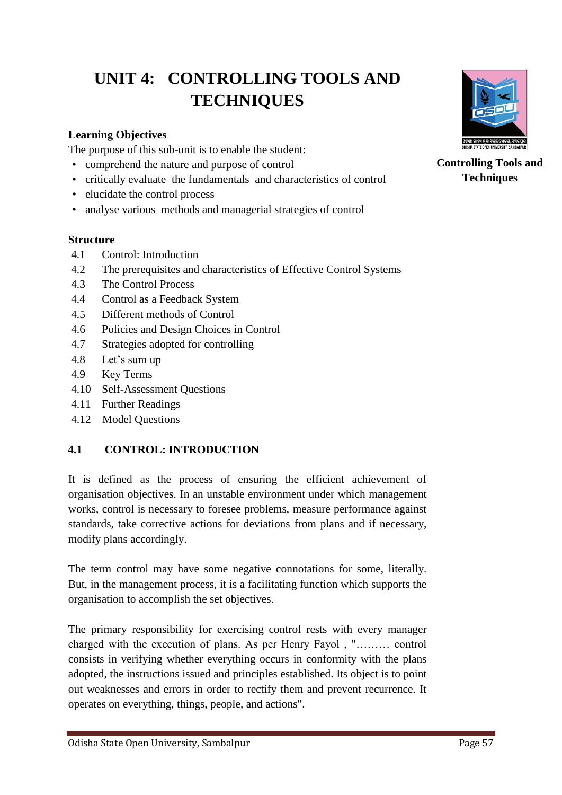# **UNIT 4: CONTROLLING TOOLS AND TECHNIQUES**

## **Learning Objectives**

The purpose of this sub-unit is to enable the student:

- comprehend the nature and purpose of control
- critically evaluate the fundamentals and characteristics of control
- elucidate the control process
- analyse various methods and managerial strategies of control

#### **Structure**

- 4.1 Control: Introduction
- 4.2 The prerequisites and characteristics of Effective Control Systems
- 4.3 The Control Process
- 4.4 Control as a Feedback System
- 4.5 Different methods of Control
- 4.6 Policies and Design Choices in Control
- 4.7 Strategies adopted for controlling
- 4.8 Let's sum up
- 4.9 Key Terms
- 4.10 Self-Assessment Questions
- 4.11 Further Readings
- 4.12 Model Questions

## **4.1 CONTROL: INTRODUCTION**

It is defined as the process of ensuring the efficient achievement of organisation objectives. In an unstable environment under which management works, control is necessary to foresee problems, measure performance against standards, take corrective actions for deviations from plans and if necessary, modify plans accordingly.

The term control may have some negative connotations for some, literally. But, in the management process, it is a facilitating function which supports the organisation to accomplish the set objectives.

The primary responsibility for exercising control rests with every manager charged with the execution of plans. As per Henry Fayol , "……… control consists in verifying whether everything occurs in conformity with the plans adopted, the instructions issued and principles established. Its object is to point out weaknesses and errors in order to rectify them and prevent recurrence. It operates on everything, things, people, and actions".

![](_page_56_Picture_24.jpeg)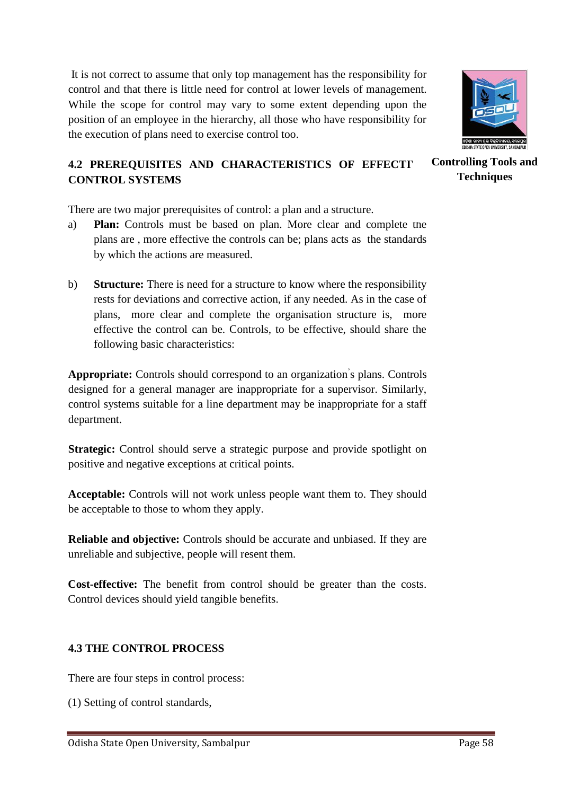It is not correct to assume that only top management has the responsibility for control and that there is little need for control at lower levels of management. While the scope for control may vary to some extent depending upon the position of an employee in the hierarchy, all those who have responsibility for the execution of plans need to exercise control too.

![](_page_57_Picture_1.jpeg)

**Controlling Tools and Techniques**

# **4.2 PREREQUISITES AND CHARACTERISTICS OF EFFECTIVE CONTROL SYSTEMS**

There are two major prerequisites of control: a plan and a structure.

- a) **Plan:** Controls must be based on plan. More clear and complete the plans are , more effective the controls can be; plans acts as the standards by which the actions are measured.
- b) **Structure:** There is need for a structure to know where the responsibility rests for deviations and corrective action, if any needed. As in the case of plans, more clear and complete the organisation structure is, more effective the control can be. Controls, to be effective, should share the following basic characteristics:

Appropriate: Controls should correspond to an organization<sup>'</sup>s plans. Controls designed for a general manager are inappropriate for a supervisor. Similarly, control systems suitable for a line department may be inappropriate for a staff department.

**Strategic:** Control should serve a strategic purpose and provide spotlight on positive and negative exceptions at critical points.

**Acceptable:** Controls will not work unless people want them to. They should be acceptable to those to whom they apply.

**Reliable and objective:** Controls should be accurate and unbiased. If they are unreliable and subjective, people will resent them.

**Cost-effective:** The benefit from control should be greater than the costs. Control devices should yield tangible benefits.

## **4.3 THE CONTROL PROCESS**

There are four steps in control process:

(1) Setting of control standards,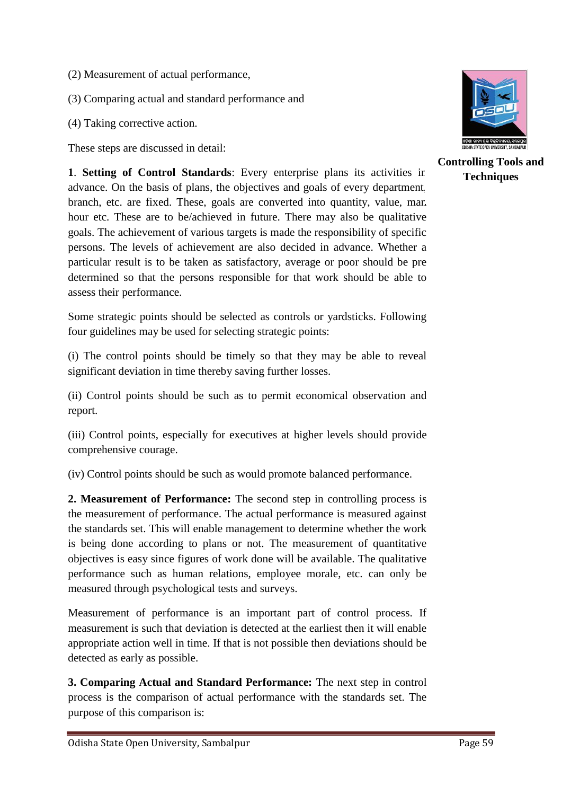- (2) Measurement of actual performance,
- (3) Comparing actual and standard performance and
- (4) Taking corrective action.

These steps are discussed in detail:

**1**. **Setting of Control Standards**: Every enterprise plans its activities in advance. On the basis of plans, the objectives and goals of every department, branch, etc. are fixed. These, goals are converted into quantity, value, man hour etc. These are to be/achieved in future. There may also be qualitative goals. The achievement of various targets is made the responsibility of specific persons. The levels of achievement are also decided in advance. Whether a particular result is to be taken as satisfactory, average or poor should be pre determined so that the persons responsible for that work should be able to assess their performance.

Some strategic points should be selected as controls or yardsticks. Following four guidelines may be used for selecting strategic points:

(i) The control points should be timely so that they may be able to reveal significant deviation in time thereby saving further losses.

(ii) Control points should be such as to permit economical observation and report.

(iii) Control points, especially for executives at higher levels should provide comprehensive courage.

(iv) Control points should be such as would promote balanced performance.

**2. Measurement of Performance:** The second step in controlling process is the measurement of performance. The actual performance is measured against the standards set. This will enable management to determine whether the work is being done according to plans or not. The measurement of quantitative objectives is easy since figures of work done will be available. The qualitative performance such as human relations, employee morale, etc. can only be measured through psychological tests and surveys.

Measurement of performance is an important part of control process. If measurement is such that deviation is detected at the earliest then it will enable appropriate action well in time. If that is not possible then deviations should be detected as early as possible.

**3. Comparing Actual and Standard Performance:** The next step in control process is the comparison of actual performance with the standards set. The purpose of this comparison is:

![](_page_58_Picture_13.jpeg)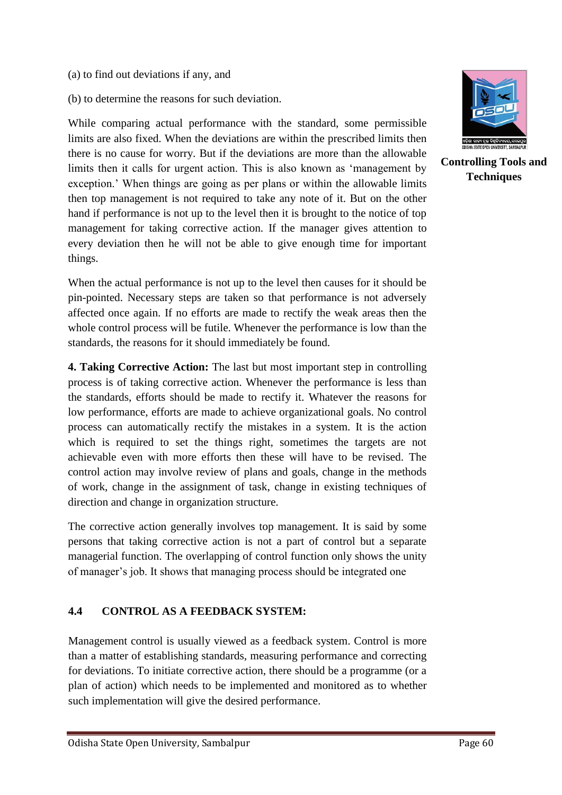- (a) to find out deviations if any, and
- (b) to determine the reasons for such deviation.

While comparing actual performance with the standard, some permissible limits are also fixed. When the deviations are within the prescribed limits then there is no cause for worry. But if the deviations are more than the allowable limits then it calls for urgent action. This is also known as 'management by exception.' When things are going as per plans or within the allowable limits then top management is not required to take any note of it. But on the other hand if performance is not up to the level then it is brought to the notice of top management for taking corrective action. If the manager gives attention to every deviation then he will not be able to give enough time for important things.

When the actual performance is not up to the level then causes for it should be pin-pointed. Necessary steps are taken so that performance is not adversely affected once again. If no efforts are made to rectify the weak areas then the whole control process will be futile. Whenever the performance is low than the standards, the reasons for it should immediately be found.

**4. Taking Corrective Action:** The last but most important step in controlling process is of taking corrective action. Whenever the performance is less than the standards, efforts should be made to rectify it. Whatever the reasons for low performance, efforts are made to achieve organizational goals. No control process can automatically rectify the mistakes in a system. It is the action which is required to set the things right, sometimes the targets are not achievable even with more efforts then these will have to be revised. The control action may involve review of plans and goals, change in the methods of work, change in the assignment of task, change in existing techniques of direction and change in organization structure.

The corrective action generally involves top management. It is said by some persons that taking corrective action is not a part of control but a separate managerial function. The overlapping of control function only shows the unity of manager's job. It shows that managing process should be integrated one

## **4.4 CONTROL AS A FEEDBACK SYSTEM:**

Management control is usually viewed as a feedback system. Control is more than a matter of establishing standards, measuring performance and correcting for deviations. To initiate corrective action, there should be a programme (or a plan of action) which needs to be implemented and monitored as to whether such implementation will give the desired performance.

![](_page_59_Picture_8.jpeg)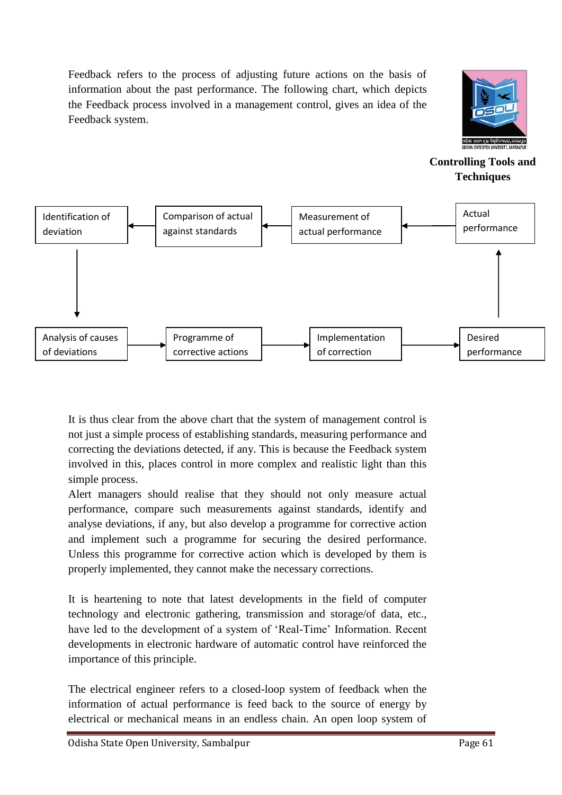Feedback refers to the process of adjusting future actions on the basis of information about the past performance. The following chart, which depicts the Feedback process involved in a management control, gives an idea of the Feedback system.

![](_page_60_Picture_1.jpeg)

**Controlling Tools and Techniques**

![](_page_60_Figure_3.jpeg)

It is thus clear from the above chart that the system of management control is not just a simple process of establishing standards, measuring performance and correcting the deviations detected, if any. This is because the Feedback system involved in this, places control in more complex and realistic light than this simple process.

Alert managers should realise that they should not only measure actual performance, compare such measurements against standards, identify and analyse deviations, if any, but also develop a programme for corrective action and implement such a programme for securing the desired performance. Unless this programme for corrective action which is developed by them is properly implemented, they cannot make the necessary corrections.

It is heartening to note that latest developments in the field of computer technology and electronic gathering, transmission and storage/of data, etc., have led to the development of a system of 'Real-Time' Information. Recent developments in electronic hardware of automatic control have reinforced the importance of this principle.

The electrical engineer refers to a closed-loop system of feedback when the information of actual performance is feed back to the source of energy by electrical or mechanical means in an endless chain. An open loop system of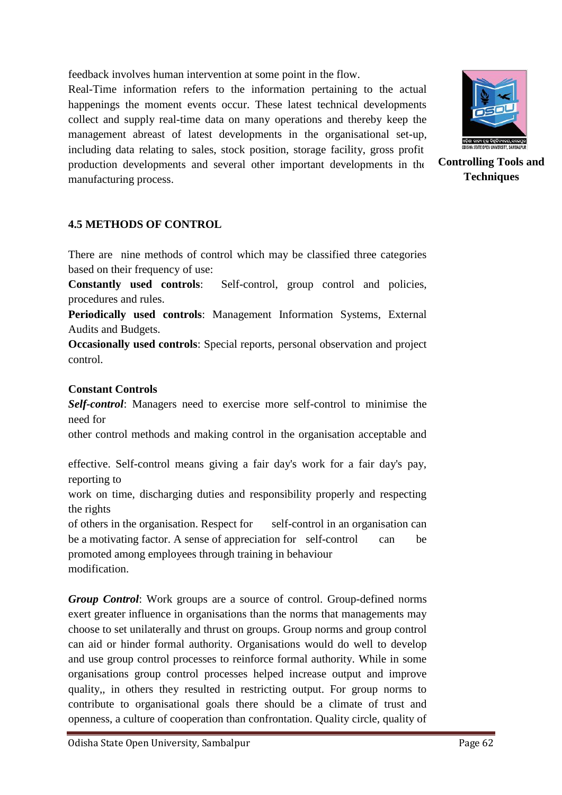feedback involves human intervention at some point in the flow.

Real-Time information refers to the information pertaining to the actual happenings the moment events occur. These latest technical developments collect and supply real-time data on many operations and thereby keep the management abreast of latest developments in the organisational set-up, including data relating to sales, stock position, storage facility, gross profit production developments and several other important developments in the manufacturing process.

![](_page_61_Picture_2.jpeg)

There are nine methods of control which may be classified three categories based on their frequency of use:

**Constantly used controls**: Self-control, group control and policies, procedures and rules.

**Periodically used controls**: Management Information Systems, External Audits and Budgets.

**Occasionally used controls**: Special reports, personal observation and project control.

#### **Constant Controls**

*Self-control*: Managers need to exercise more self-control to minimise the need for

other control methods and making control in the organisation acceptable and

effective. Self-control means giving a fair day's work for a fair day's pay, reporting to

work on time, discharging duties and responsibility properly and respecting the rights

of others in the organisation. Respect for self-control in an organisation can be a motivating factor. A sense of appreciation for self-control can be promoted among employees through training in behaviour modification.

*Group Control*: Work groups are a source of control. Group-defined norms exert greater influence in organisations than the norms that managements may choose to set unilaterally and thrust on groups. Group norms and group control can aid or hinder formal authority. Organisations would do well to develop and use group control processes to reinforce formal authority. While in some organisations group control processes helped increase output and improve quality,, in others they resulted in restricting output. For group norms to contribute to organisational goals there should be a climate of trust and openness, a culture of cooperation than confrontation. Quality circle, quality of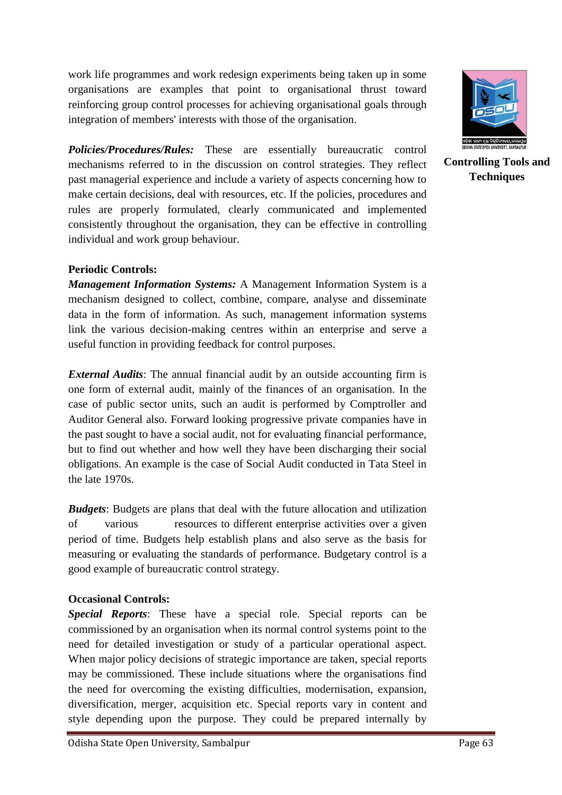work life programmes and work redesign experiments being taken up in some organisations are examples that point to organisational thrust toward reinforcing group control processes for achieving organisational goals through integration of members' interests with those of the organisation.

*Policies/Procedures/Rules:* These are essentially bureaucratic control mechanisms referred to in the discussion on control strategies. They reflect past managerial experience and include a variety of aspects concerning how to make certain decisions, deal with resources, etc. If the policies, procedures and rules are properly formulated, clearly communicated and implemented consistently throughout the organisation, they can be effective in controlling individual and work group behaviour.

#### **Periodic Controls:**

*Management Information Systems:* A Management Information System is a mechanism designed to collect, combine, compare, analyse and disseminate data in the form of information. As such, management information systems link the various decision-making centres within an enterprise and serve a useful function in providing feedback for control purposes.

*External Audits*: The annual financial audit by an outside accounting firm is one form of external audit, mainly of the finances of an organisation. In the case of public sector units, such an audit is performed by Comptroller and Auditor General also. Forward looking progressive private companies have in the past sought to have a social audit, not for evaluating financial performance, but to find out whether and how well they have been discharging their social obligations. An example is the case of Social Audit conducted in Tata Steel in the late 1970s.

*Budgets*: Budgets are plans that deal with the future allocation and utilization of various resources to different enterprise activities over a given period of time. Budgets help establish plans and also serve as the basis for measuring or evaluating the standards of performance. Budgetary control is a good example of bureaucratic control strategy.

## **Occasional Controls:**

*Special Reports*: These have a special role. Special reports can be commissioned by an organisation when its normal control systems point to the need for detailed investigation or study of a particular operational aspect. When major policy decisions of strategic importance are taken, special reports may be commissioned. These include situations where the organisations find the need for overcoming the existing difficulties, modernisation, expansion, diversification, merger, acquisition etc. Special reports vary in content and style depending upon the purpose. They could be prepared internally by

![](_page_62_Picture_9.jpeg)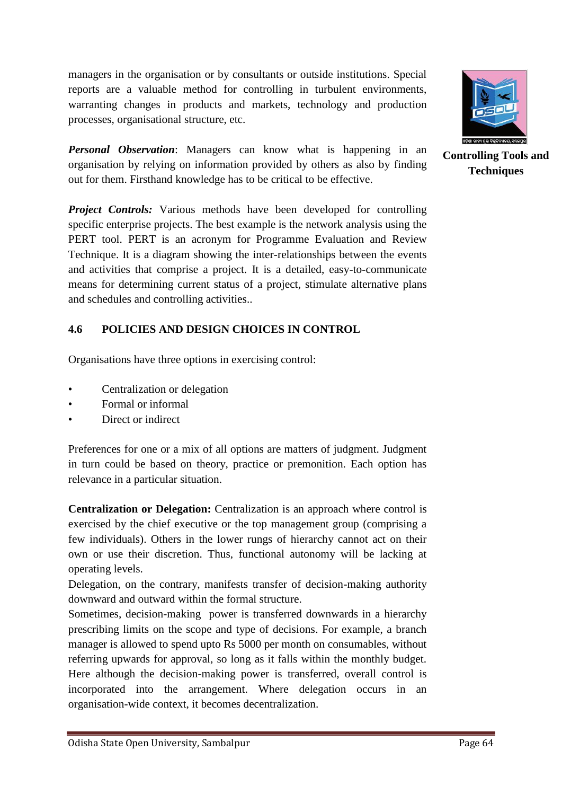managers in the organisation or by consultants or outside institutions. Special reports are a valuable method for controlling in turbulent environments, warranting changes in products and markets, technology and production processes, organisational structure, etc.

*Personal Observation*: Managers can know what is happening in an organisation by relying on information provided by others as also by finding out for them. Firsthand knowledge has to be critical to be effective.

*Project Controls:* Various methods have been developed for controlling specific enterprise projects. The best example is the network analysis using the PERT tool. PERT is an acronym for Programme Evaluation and Review Technique. It is a diagram showing the inter-relationships between the events and activities that comprise a project. It is a detailed, easy-to-communicate means for determining current status of a project, stimulate alternative plans and schedules and controlling activities..

## **4.6 POLICIES AND DESIGN CHOICES IN CONTROL**

Organisations have three options in exercising control:

- Centralization or delegation
- Formal or informal
- Direct or indirect

Preferences for one or a mix of all options are matters of judgment. Judgment in turn could be based on theory, practice or premonition. Each option has relevance in a particular situation.

**Centralization or Delegation:** Centralization is an approach where control is exercised by the chief executive or the top management group (comprising a few individuals). Others in the lower rungs of hierarchy cannot act on their own or use their discretion. Thus, functional autonomy will be lacking at operating levels.

Delegation, on the contrary, manifests transfer of decision-making authority downward and outward within the formal structure.

Sometimes, decision-making power is transferred downwards in a hierarchy prescribing limits on the scope and type of decisions. For example, a branch manager is allowed to spend upto Rs 5000 per month on consumables, without referring upwards for approval, so long as it falls within the monthly budget. Here although the decision-making power is transferred, overall control is incorporated into the arrangement. Where delegation occurs in an organisation-wide context, it becomes decentralization.

![](_page_63_Picture_12.jpeg)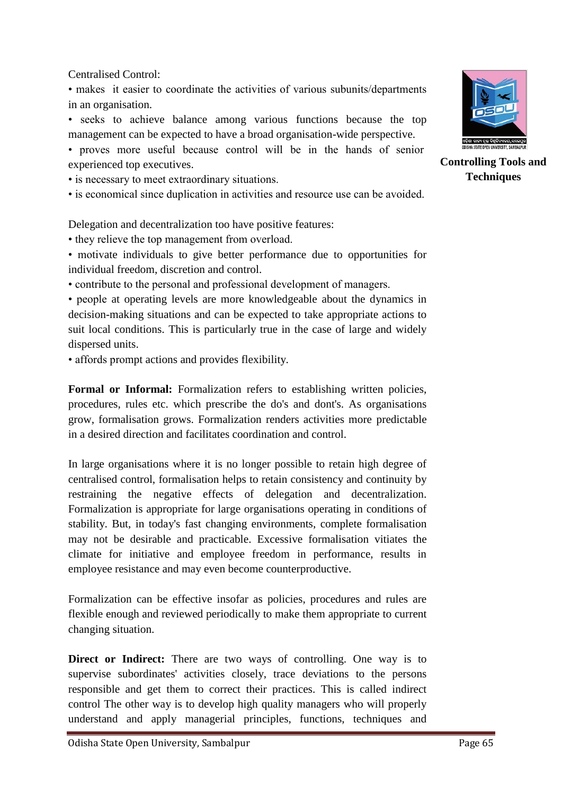Centralised Control:

• makes it easier to coordinate the activities of various subunits/departments in an organisation.

• seeks to achieve balance among various functions because the top management can be expected to have a broad organisation-wide perspective.

• proves more useful because control will be in the hands of senior, experienced top executives.

- is necessary to meet extraordinary situations.
- is economical since duplication in activities and resource use can be avoided.

Delegation and decentralization too have positive features:

• they relieve the top management from overload.

• motivate individuals to give better performance due to opportunities for individual freedom, discretion and control.

• contribute to the personal and professional development of managers.

• people at operating levels are more knowledgeable about the dynamics in decision-making situations and can be expected to take appropriate actions to suit local conditions. This is particularly true in the case of large and widely dispersed units.

• affords prompt actions and provides flexibility.

**Formal or Informal:** Formalization refers to establishing written policies, procedures, rules etc. which prescribe the do's and dont's. As organisations grow, formalisation grows. Formalization renders activities more predictable in a desired direction and facilitates coordination and control.

In large organisations where it is no longer possible to retain high degree of centralised control, formalisation helps to retain consistency and continuity by restraining the negative effects of delegation and decentralization. Formalization is appropriate for large organisations operating in conditions of stability. But, in today's fast changing environments, complete formalisation may not be desirable and practicable. Excessive formalisation vitiates the climate for initiative and employee freedom in performance, results in employee resistance and may even become counterproductive.

Formalization can be effective insofar as policies, procedures and rules are flexible enough and reviewed periodically to make them appropriate to current changing situation.

**Direct or Indirect:** There are two ways of controlling. One way is to supervise subordinates' activities closely, trace deviations to the persons responsible and get them to correct their practices. This is called indirect control The other way is to develop high quality managers who will properly understand and apply managerial principles, functions, techniques and

![](_page_64_Picture_17.jpeg)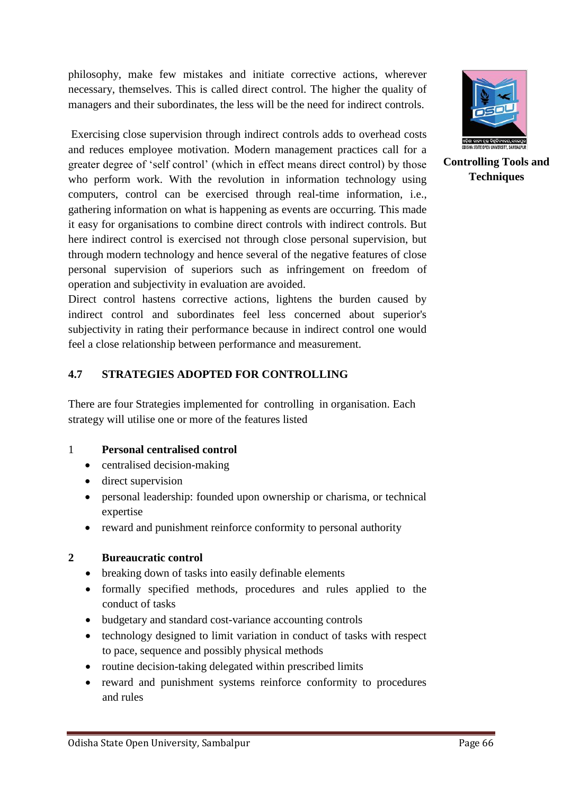philosophy, make few mistakes and initiate corrective actions, wherever necessary, themselves. This is called direct control. The higher the quality of managers and their subordinates, the less will be the need for indirect controls.

Exercising close supervision through indirect controls adds to overhead costs and reduces employee motivation. Modern management practices call for a greater degree of 'self control' (which in effect means direct control) by those who perform work. With the revolution in information technology using computers, control can be exercised through real-time information, i.e., gathering information on what is happening as events are occurring. This made it easy for organisations to combine direct controls with indirect controls. But here indirect control is exercised not through close personal supervision, but through modern technology and hence several of the negative features of close personal supervision of superiors such as infringement on freedom of operation and subjectivity in evaluation are avoided.

Direct control hastens corrective actions, lightens the burden caused by indirect control and subordinates feel less concerned about superior's subjectivity in rating their performance because in indirect control one would feel a close relationship between performance and measurement.

#### **4.7 STRATEGIES ADOPTED FOR CONTROLLING**

There are four Strategies implemented for controlling in organisation. Each strategy will utilise one or more of the features listed

#### 1 **Personal centralised control**

- centralised decision-making
- direct supervision
- personal leadership: founded upon ownership or charisma, or technical expertise
- reward and punishment reinforce conformity to personal authority

#### **2 Bureaucratic control**

- breaking down of tasks into easily definable elements
- formally specified methods, procedures and rules applied to the conduct of tasks
- budgetary and standard cost-variance accounting controls
- technology designed to limit variation in conduct of tasks with respect to pace, sequence and possibly physical methods
- routine decision-taking delegated within prescribed limits
- reward and punishment systems reinforce conformity to procedures and rules

![](_page_65_Picture_17.jpeg)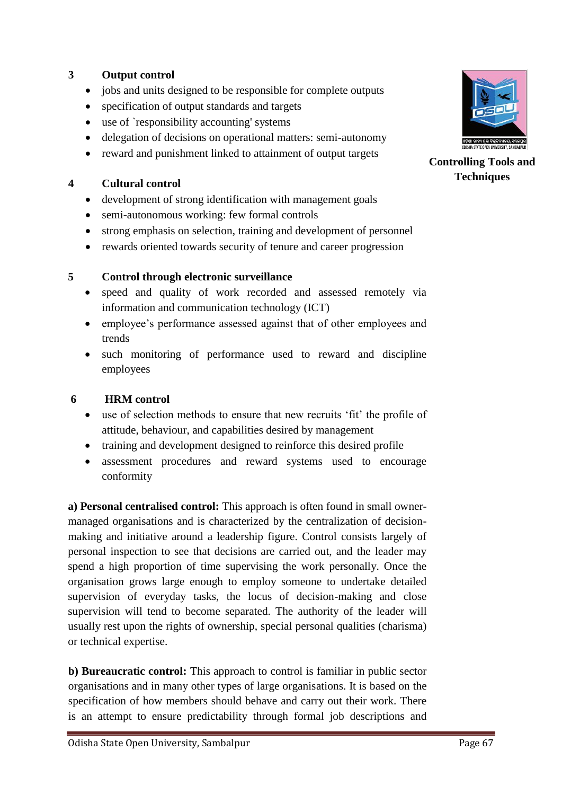### **3 Output control**

- jobs and units designed to be responsible for complete outputs
- specification of output standards and targets
- use of `responsibility accounting' systems
- delegation of decisions on operational matters: semi-autonomy
- reward and punishment linked to attainment of output targets

#### **4 Cultural control**

- development of strong identification with management goals
- semi-autonomous working: few formal controls
- strong emphasis on selection, training and development of personnel
- rewards oriented towards security of tenure and career progression

#### **5 Control through electronic surveillance**

- speed and quality of work recorded and assessed remotely via information and communication technology (ICT)
- employee's performance assessed against that of other employees and trends
- such monitoring of performance used to reward and discipline employees

#### **6 HRM control**

- use of selection methods to ensure that new recruits 'fit' the profile of attitude, behaviour, and capabilities desired by management
- training and development designed to reinforce this desired profile
- assessment procedures and reward systems used to encourage conformity

**a) Personal centralised control:** This approach is often found in small ownermanaged organisations and is characterized by the centralization of decisionmaking and initiative around a leadership figure. Control consists largely of personal inspection to see that decisions are carried out, and the leader may spend a high proportion of time supervising the work personally. Once the organisation grows large enough to employ someone to undertake detailed supervision of everyday tasks, the locus of decision-making and close supervision will tend to become separated. The authority of the leader will usually rest upon the rights of ownership, special personal qualities (charisma) or technical expertise.

**b) Bureaucratic control:** This approach to control is familiar in public sector organisations and in many other types of large organisations. It is based on the specification of how members should behave and carry out their work. There is an attempt to ensure predictability through formal job descriptions and

![](_page_66_Picture_21.jpeg)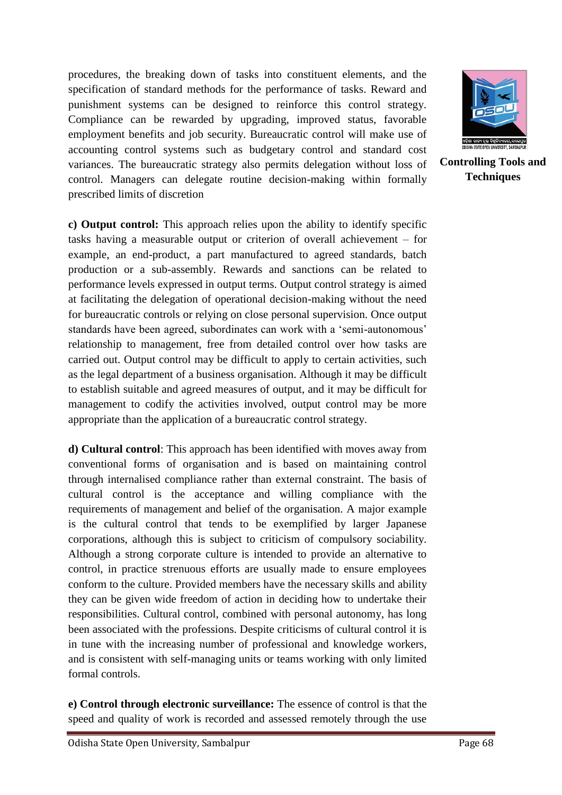procedures, the breaking down of tasks into constituent elements, and the specification of standard methods for the performance of tasks. Reward and punishment systems can be designed to reinforce this control strategy. Compliance can be rewarded by upgrading, improved status, favorable employment benefits and job security. Bureaucratic control will make use of accounting control systems such as budgetary control and standard cost variances. The bureaucratic strategy also permits delegation without loss of control. Managers can delegate routine decision-making within formally prescribed limits of discretion

**c) Output control:** This approach relies upon the ability to identify specific tasks having a measurable output or criterion of overall achievement – for example, an end-product, a part manufactured to agreed standards, batch production or a sub-assembly. Rewards and sanctions can be related to performance levels expressed in output terms. Output control strategy is aimed at facilitating the delegation of operational decision-making without the need for bureaucratic controls or relying on close personal supervision. Once output standards have been agreed, subordinates can work with a 'semi-autonomous' relationship to management, free from detailed control over how tasks are carried out. Output control may be difficult to apply to certain activities, such as the legal department of a business organisation. Although it may be difficult to establish suitable and agreed measures of output, and it may be difficult for management to codify the activities involved, output control may be more appropriate than the application of a bureaucratic control strategy.

**d) Cultural control**: This approach has been identified with moves away from conventional forms of organisation and is based on maintaining control through internalised compliance rather than external constraint. The basis of cultural control is the acceptance and willing compliance with the requirements of management and belief of the organisation. A major example is the cultural control that tends to be exemplified by larger Japanese corporations, although this is subject to criticism of compulsory sociability. Although a strong corporate culture is intended to provide an alternative to control, in practice strenuous efforts are usually made to ensure employees conform to the culture. Provided members have the necessary skills and ability they can be given wide freedom of action in deciding how to undertake their responsibilities. Cultural control, combined with personal autonomy, has long been associated with the professions. Despite criticisms of cultural control it is in tune with the increasing number of professional and knowledge workers, and is consistent with self-managing units or teams working with only limited formal controls.

**e) Control through electronic surveillance:** The essence of control is that the speed and quality of work is recorded and assessed remotely through the use

![](_page_67_Picture_5.jpeg)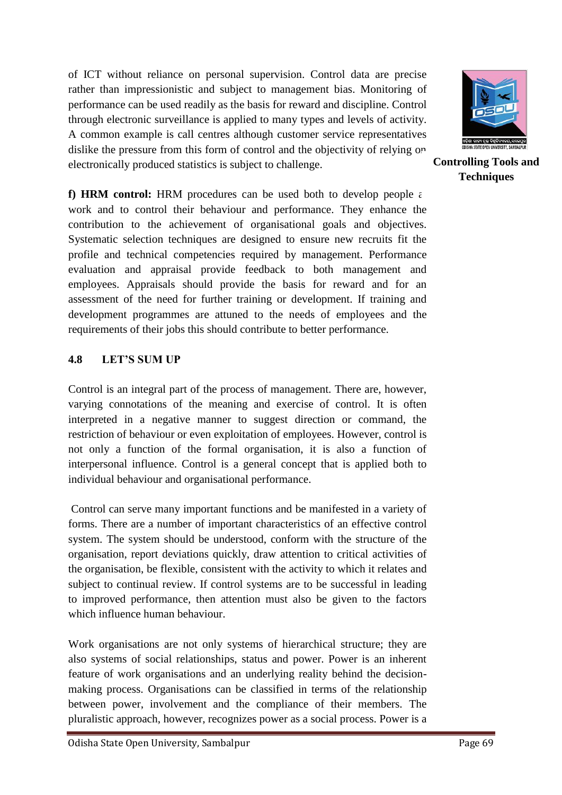of ICT without reliance on personal supervision. Control data are precise rather than impressionistic and subject to management bias. Monitoring of performance can be used readily as the basis for reward and discipline. Control through electronic surveillance is applied to many types and levels of activity. A common example is call centres although customer service representatives dislike the pressure from this form of control and the objectivity of relying on electronically produced statistics is subject to challenge.

**f) HRM control:** HRM procedures can be used both to develop people at work and to control their behaviour and performance. They enhance the contribution to the achievement of organisational goals and objectives. Systematic selection techniques are designed to ensure new recruits fit the profile and technical competencies required by management. Performance evaluation and appraisal provide feedback to both management and employees. Appraisals should provide the basis for reward and for an assessment of the need for further training or development. If training and development programmes are attuned to the needs of employees and the requirements of their jobs this should contribute to better performance.

#### **4.8 LET'S SUM UP**

Control is an integral part of the process of management. There are, however, varying connotations of the meaning and exercise of control. It is often interpreted in a negative manner to suggest direction or command, the restriction of behaviour or even exploitation of employees. However, control is not only a function of the formal organisation, it is also a function of interpersonal influence. Control is a general concept that is applied both to individual behaviour and organisational performance.

Control can serve many important functions and be manifested in a variety of forms. There are a number of important characteristics of an effective control system. The system should be understood, conform with the structure of the organisation, report deviations quickly, draw attention to critical activities of the organisation, be flexible, consistent with the activity to which it relates and subject to continual review. If control systems are to be successful in leading to improved performance, then attention must also be given to the factors which influence human behaviour.

Work organisations are not only systems of hierarchical structure; they are also systems of social relationships, status and power. Power is an inherent feature of work organisations and an underlying reality behind the decisionmaking process. Organisations can be classified in terms of the relationship between power, involvement and the compliance of their members. The pluralistic approach, however, recognizes power as a social process. Power is a

![](_page_68_Picture_7.jpeg)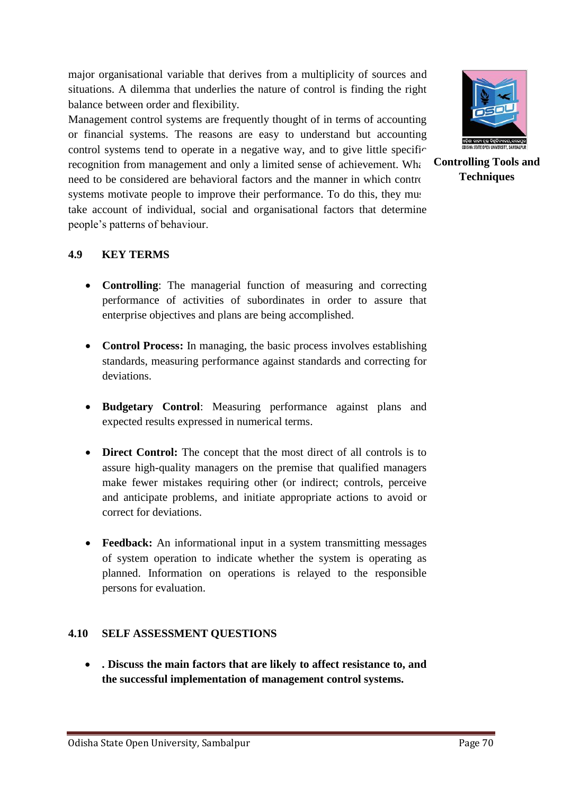major organisational variable that derives from a multiplicity of sources and situations. A dilemma that underlies the nature of control is finding the right balance between order and flexibility.

Management control systems are frequently thought of in terms of accounting or financial systems. The reasons are easy to understand but accounting control systems tend to operate in a negative way, and to give little specific recognition from management and only a limited sense of achievement. What need to be considered are behavioral factors and the manner in which control systems motivate people to improve their performance. To do this, they must take account of individual, social and organisational factors that determine people's patterns of behaviour.

#### **4.9 KEY TERMS**

- **Controlling**: The managerial function of measuring and correcting performance of activities of subordinates in order to assure that enterprise objectives and plans are being accomplished.
- **Control Process:** In managing, the basic process involves establishing standards, measuring performance against standards and correcting for deviations.
- **Budgetary Control**: Measuring performance against plans and expected results expressed in numerical terms.
- **Direct Control:** The concept that the most direct of all controls is to assure high-quality managers on the premise that qualified managers make fewer mistakes requiring other (or indirect; controls, perceive and anticipate problems, and initiate appropriate actions to avoid or correct for deviations.
- **Feedback:** An informational input in a system transmitting messages of system operation to indicate whether the system is operating as planned. Information on operations is relayed to the responsible persons for evaluation.

#### **4.10 SELF ASSESSMENT QUESTIONS**

 **. Discuss the main factors that are likely to affect resistance to, and the successful implementation of management control systems.**

![](_page_69_Picture_10.jpeg)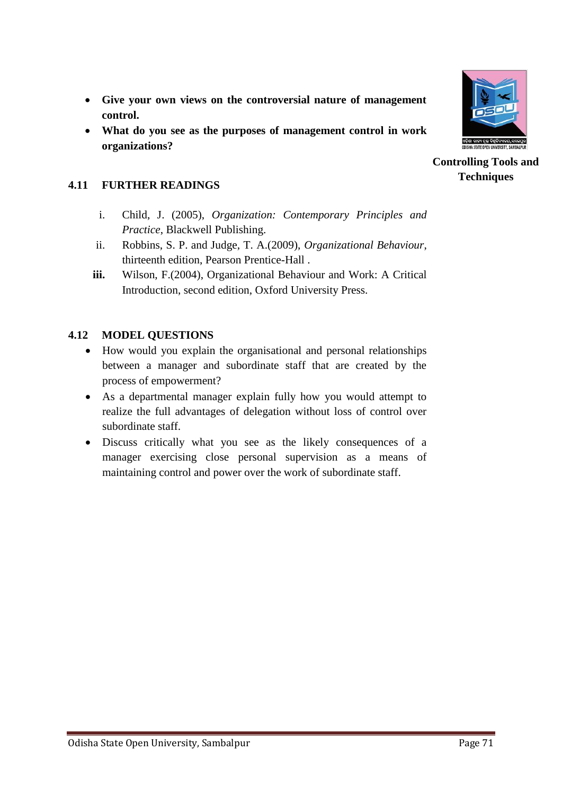- **Give your own views on the controversial nature of management control.**
- **What do you see as the purposes of management control in work organizations?**

#### **4.11 FURTHER READINGS**

- i. Child, J. (2005), *Organization: Contemporary Principles and Practice*, Blackwell Publishing.
- ii. Robbins, S. P. and Judge, T. A.(2009), *Organizational Behaviour*, thirteenth edition, Pearson Prentice-Hall .
- **iii.** Wilson, F.(2004), Organizational Behaviour and Work: A Critical Introduction, second edition, Oxford University Press.

#### **4.12 MODEL QUESTIONS**

- How would you explain the organisational and personal relationships between a manager and subordinate staff that are created by the process of empowerment?
- As a departmental manager explain fully how you would attempt to realize the full advantages of delegation without loss of control over subordinate staff.
- Discuss critically what you see as the likely consequences of a manager exercising close personal supervision as a means of maintaining control and power over the work of subordinate staff.

![](_page_70_Picture_11.jpeg)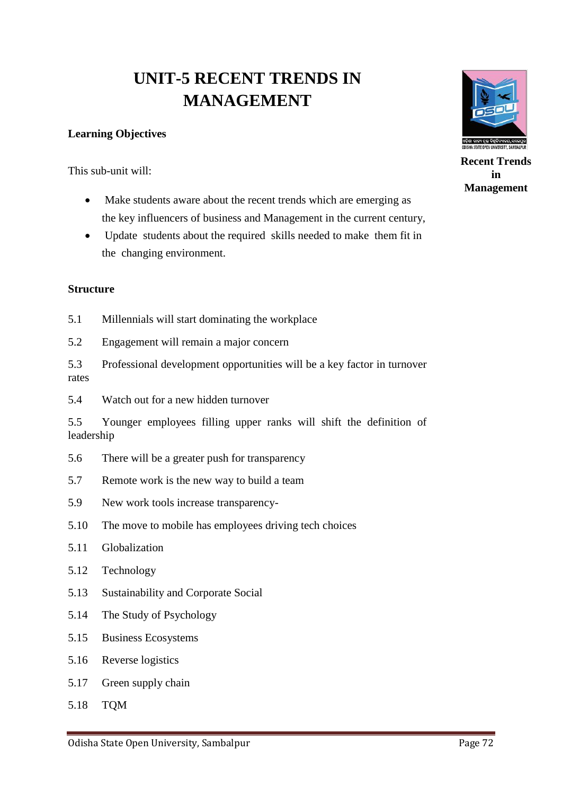# **UNIT-5 RECENT TRENDS IN MANAGEMENT**

#### **Learning Objectives**

This sub-unit will:

- Make students aware about the recent trends which are emerging as the key influencers of business and Management in the current century,
- Update students about the required skills needed to make them fit in the changing environment.

#### **Structure**

- 5.1 Millennials will start dominating the workplace
- 5.2 Engagement will remain a major concern
- 5.3 Professional development opportunities will be a key factor in turnover rates
- 5.4 Watch out for a new hidden turnover

5.5 Younger employees filling upper ranks will shift the definition of leadership

- 5.6 There will be a greater push for transparency
- 5.7 Remote work is the new way to build a team
- 5.9 New work tools increase transparency-
- 5.10 The move to mobile has employees driving tech choices
- 5.11 Globalization
- 5.12 Technology
- 5.13 Sustainability and Corporate Social
- 5.14 The Study of Psychology
- 5.15 Business Ecosystems
- 5.16 Reverse logistics
- 5.17 Green supply chain
- 5.18 TQM

![](_page_71_Picture_23.jpeg)

**Recent Trends in Management**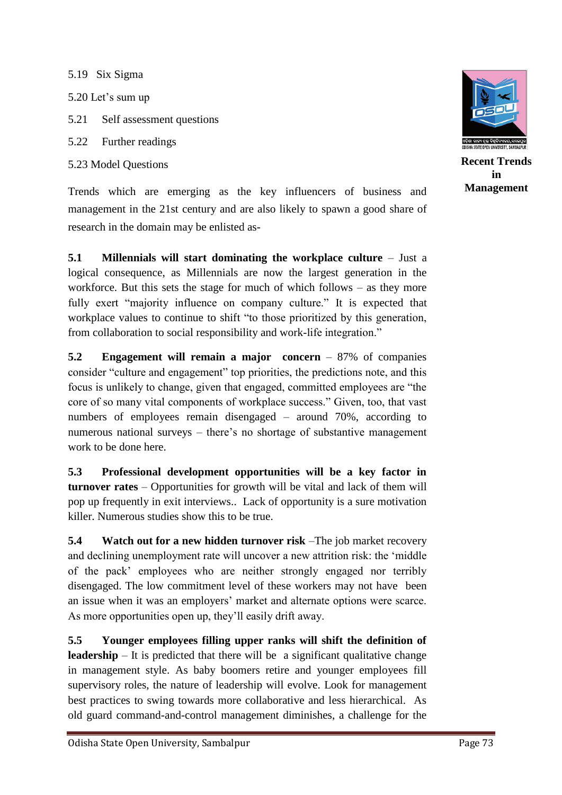5.19 Six Sigma

5.20 Let's sum up

- 5.21 Self assessment questions
- 5.22 Further readings
- 5.23 Model Questions

Trends which are emerging as the key influencers of business and management in the 21st century and are also likely to spawn a good share of research in the domain may be enlisted as-

**5.1 Millennials will start dominating the workplace culture** – Just a logical consequence, as Millennials are now the largest generation in the workforce. But this sets the stage for much of which follows – as they more fully exert "majority influence on company culture." It is expected that workplace values to continue to shift "to those prioritized by this generation, from collaboration to social responsibility and work-life integration."

**5.2 Engagement will remain a major concern** – 87% of companies consider "culture and engagement" top priorities, the predictions note, and this focus is unlikely to change, given that engaged, committed employees are "the core of so many vital components of workplace success." Given, too, that vast numbers of employees remain disengaged – around 70%, according to numerous national surveys – there's no shortage of substantive management work to be done here.

**5.3 Professional development opportunities will be a key factor in turnover rates** – Opportunities for growth will be vital and lack of them will pop up frequently in exit interviews.. Lack of opportunity is a sure motivation killer. Numerous studies show this to be true.

**5.4 Watch out for a new hidden turnover risk** –The job market recovery and declining unemployment rate will uncover a new attrition risk: the 'middle of the pack' employees who are neither strongly engaged nor terribly disengaged. The low commitment level of these workers may not have been an issue when it was an employers' market and alternate options were scarce. As more opportunities open up, they'll easily drift away.

**5.5 Younger employees filling upper ranks will shift the definition of leadership** – It is predicted that there will be a significant qualitative change in management style. As baby boomers retire and younger employees fill supervisory roles, the nature of leadership will evolve. Look for management best practices to swing towards more collaborative and less hierarchical. As old guard command-and-control management diminishes, a challenge for the

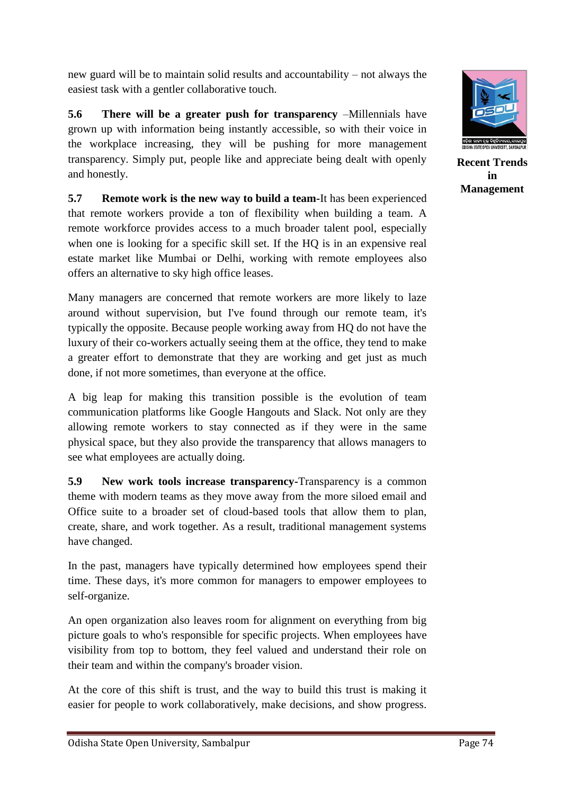new guard will be to maintain solid results and accountability – not always the easiest task with a gentler collaborative touch.

**5.6 There will be a greater push for transparency** –Millennials have grown up with information being instantly accessible, so with their voice in the workplace increasing, they will be pushing for more management transparency. Simply put, people like and appreciate being dealt with openly and honestly.

**5.7 Remote work is the new way to build a team-**It has been experienced that remote workers provide a ton of flexibility when building a team. A remote workforce provides access to a much broader talent pool, especially when one is looking for a specific skill set. If the HQ is in an expensive real estate market like Mumbai or Delhi, working with remote employees also offers an alternative to sky high office leases.

Many managers are concerned that remote workers are more likely to laze around without supervision, but I've found through our remote team, it's typically the opposite. Because people working away from HQ do not have the luxury of their co-workers actually seeing them at the office, they tend to make a greater effort to demonstrate that they are working and get just as much done, if not more sometimes, than everyone at the office.

A big leap for making this transition possible is the evolution of team communication platforms like Google Hangouts and Slack. Not only are they allowing remote workers to stay connected as if they were in the same physical space, but they also provide the transparency that allows managers to see what employees are actually doing.

**5.9 New work tools increase transparency-**Transparency is a common theme with modern teams as they move away from the more siloed email and Office suite to a broader set of cloud-based tools that allow them to plan, create, share, and work together. As a result, traditional management systems have changed.

In the past, managers have typically determined how employees spend their time. These days, it's more common for managers to empower employees to self-organize.

An open organization also leaves room for alignment on everything from big picture goals to who's responsible for specific projects. When employees have visibility from top to bottom, they feel valued and understand their role on their team and within the company's broader vision.

At the core of this shift is trust, and the way to build this trust is making it easier for people to work collaboratively, make decisions, and show progress.

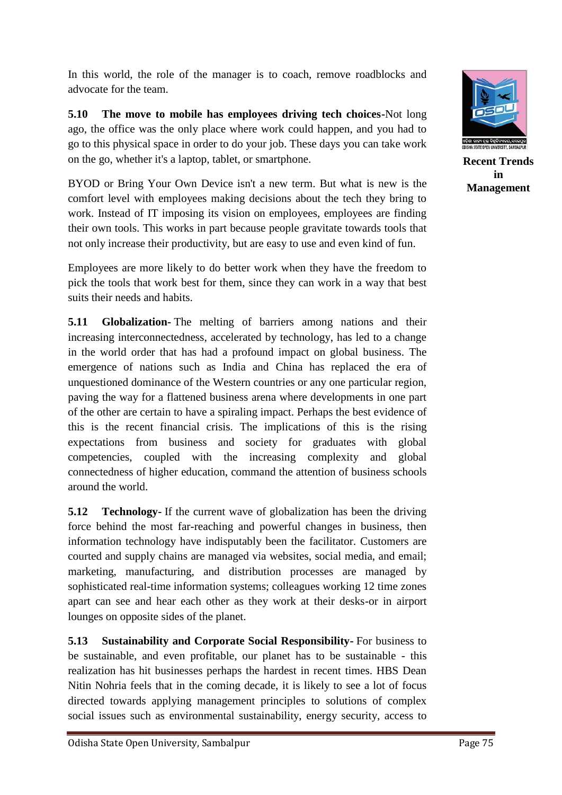In this world, the role of the manager is to coach, remove roadblocks and advocate for the team.

**5.10 The move to mobile has employees driving tech choices-**Not long ago, the office was the only place where work could happen, and you had to go to this physical space in order to do your job. These days you can take work on the go, whether it's a laptop, tablet, or smartphone.

BYOD or Bring Your Own Device isn't a new term. But what is new is the comfort level with employees making decisions about the tech they bring to work. Instead of IT imposing its vision on employees, employees are finding their own tools. This works in part because people gravitate towards tools that not only increase their productivity, but are easy to use and even kind of fun.

Employees are more likely to do better work when they have the freedom to pick the tools that work best for them, since they can work in a way that best suits their needs and habits.

**5.11 Globalization-** The melting of barriers among nations and their increasing interconnectedness, accelerated by technology, has led to a change in the world order that has had a profound impact on global business. The emergence of nations such as India and China has replaced the era of unquestioned dominance of the Western countries or any one particular region, paving the way for a flattened business arena where developments in one part of the other are certain to have a spiraling impact. Perhaps the best evidence of this is the recent financial crisis. The implications of this is the rising expectations from business and society for graduates with global competencies, coupled with the increasing complexity and global connectedness of higher education, command the attention of business schools around the world.

**5.12 Technology-** If the current wave of globalization has been the driving force behind the most far-reaching and powerful changes in business, then information technology have indisputably been the facilitator. Customers are courted and supply chains are managed via websites, social media, and email; marketing, manufacturing, and distribution processes are managed by sophisticated real-time information systems; colleagues working 12 time zones apart can see and hear each other as they work at their desks-or in airport lounges on opposite sides of the planet.

**5.13 Sustainability and Corporate Social Responsibility-** For business to be sustainable, and even profitable, our planet has to be sustainable - this realization has hit businesses perhaps the hardest in recent times. HBS Dean Nitin Nohria feels that in the coming decade, it is likely to see a lot of focus directed towards applying management principles to solutions of complex social issues such as environmental sustainability, energy security, access to

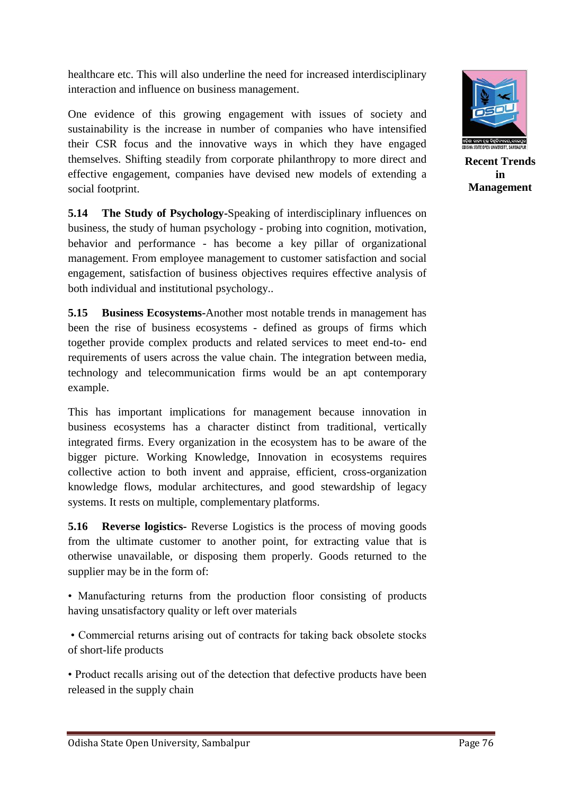healthcare etc. This will also underline the need for increased interdisciplinary interaction and influence on business management.

One evidence of this growing engagement with issues of society and sustainability is the increase in number of companies who have intensified their CSR focus and the innovative ways in which they have engaged themselves. Shifting steadily from corporate philanthropy to more direct and effective engagement, companies have devised new models of extending a social footprint.

**5.14 The Study of Psychology-**Speaking of interdisciplinary influences on business, the study of human psychology - probing into cognition, motivation, behavior and performance - has become a key pillar of organizational management. From employee management to customer satisfaction and social engagement, satisfaction of business objectives requires effective analysis of both individual and institutional psychology..

**5.15 Business Ecosystems-**Another most notable trends in management has been the rise of business ecosystems - defined as groups of firms which together provide complex products and related services to meet end-to- end requirements of users across the value chain. The integration between media, technology and telecommunication firms would be an apt contemporary example.

This has important implications for management because innovation in business ecosystems has a character distinct from traditional, vertically integrated firms. Every organization in the ecosystem has to be aware of the bigger picture. Working Knowledge, Innovation in ecosystems requires collective action to both invent and appraise, efficient, cross-organization knowledge flows, modular architectures, and good stewardship of legacy systems. It rests on multiple, complementary platforms.

**5.16 Reverse logistics-** Reverse Logistics is the process of moving goods from the ultimate customer to another point, for extracting value that is otherwise unavailable, or disposing them properly. Goods returned to the supplier may be in the form of:

• Manufacturing returns from the production floor consisting of products having unsatisfactory quality or left over materials

• Commercial returns arising out of contracts for taking back obsolete stocks of short-life products

• Product recalls arising out of the detection that defective products have been released in the supply chain



**Recent Trends in Management**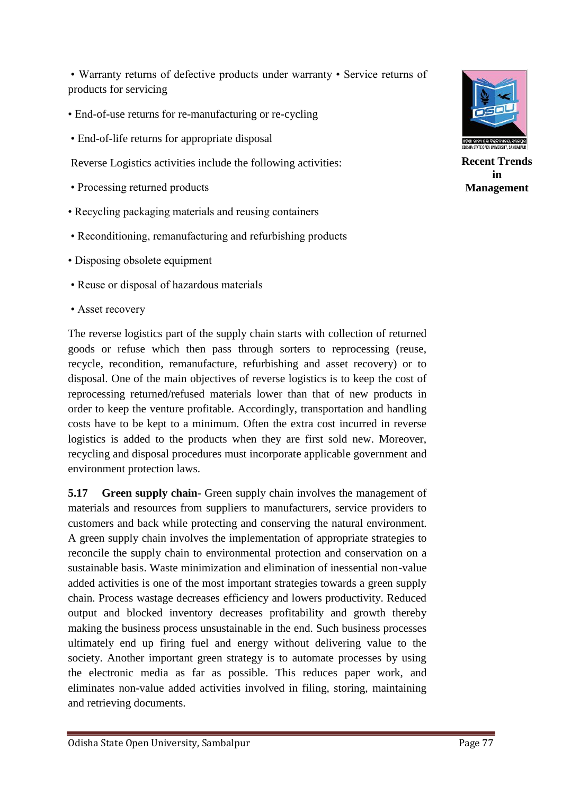• Warranty returns of defective products under warranty • Service returns of products for servicing

- End-of-use returns for re-manufacturing or re-cycling
- End-of-life returns for appropriate disposal
- Reverse Logistics activities include the following activities:
- Processing returned products
- Recycling packaging materials and reusing containers
- Reconditioning, remanufacturing and refurbishing products
- Disposing obsolete equipment
- Reuse or disposal of hazardous materials
- Asset recovery

The reverse logistics part of the supply chain starts with collection of returned goods or refuse which then pass through sorters to reprocessing (reuse, recycle, recondition, remanufacture, refurbishing and asset recovery) or to disposal. One of the main objectives of reverse logistics is to keep the cost of reprocessing returned/refused materials lower than that of new products in order to keep the venture profitable. Accordingly, transportation and handling costs have to be kept to a minimum. Often the extra cost incurred in reverse logistics is added to the products when they are first sold new. Moreover, recycling and disposal procedures must incorporate applicable government and environment protection laws.

**5.17 Green supply chain**- Green supply chain involves the management of materials and resources from suppliers to manufacturers, service providers to customers and back while protecting and conserving the natural environment. A green supply chain involves the implementation of appropriate strategies to reconcile the supply chain to environmental protection and conservation on a sustainable basis. Waste minimization and elimination of inessential non-value added activities is one of the most important strategies towards a green supply chain. Process wastage decreases efficiency and lowers productivity. Reduced output and blocked inventory decreases profitability and growth thereby making the business process unsustainable in the end. Such business processes ultimately end up firing fuel and energy without delivering value to the society. Another important green strategy is to automate processes by using the electronic media as far as possible. This reduces paper work, and eliminates non-value added activities involved in filing, storing, maintaining and retrieving documents.

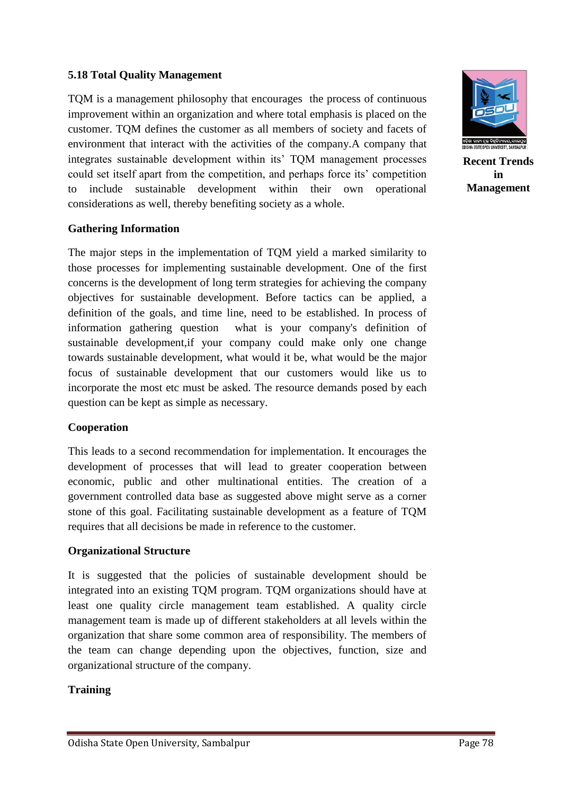### **5.18 Total Quality Management**

TQM is a management philosophy that encourages the process of continuous improvement within an organization and where total emphasis is placed on the customer. TQM defines the customer as all members of society and facets of environment that interact with the activities of the company.A company that integrates sustainable development within its' TQM management processes could set itself apart from the competition, and perhaps force its' competition to include sustainable development within their own operational considerations as well, thereby benefiting society as a whole.

### **Gathering Information**

The major steps in the implementation of TQM yield a marked similarity to those processes for implementing sustainable development. One of the first concerns is the development of long term strategies for achieving the company objectives for sustainable development. Before tactics can be applied, a definition of the goals, and time line, need to be established. In process of information gathering question what is your company's definition of sustainable development,if your company could make only one change towards sustainable development, what would it be, what would be the major focus of sustainable development that our customers would like us to incorporate the most etc must be asked. The resource demands posed by each question can be kept as simple as necessary.

### **Cooperation**

This leads to a second recommendation for implementation. It encourages the development of processes that will lead to greater cooperation between economic, public and other multinational entities. The creation of a government controlled data base as suggested above might serve as a corner stone of this goal. Facilitating sustainable development as a feature of TQM requires that all decisions be made in reference to the customer.

### **Organizational Structure**

It is suggested that the policies of sustainable development should be integrated into an existing TQM program. TQM organizations should have at least one quality circle management team established. A quality circle management team is made up of different stakeholders at all levels within the organization that share some common area of responsibility. The members of the team can change depending upon the objectives, function, size and organizational structure of the company.

### **Training**

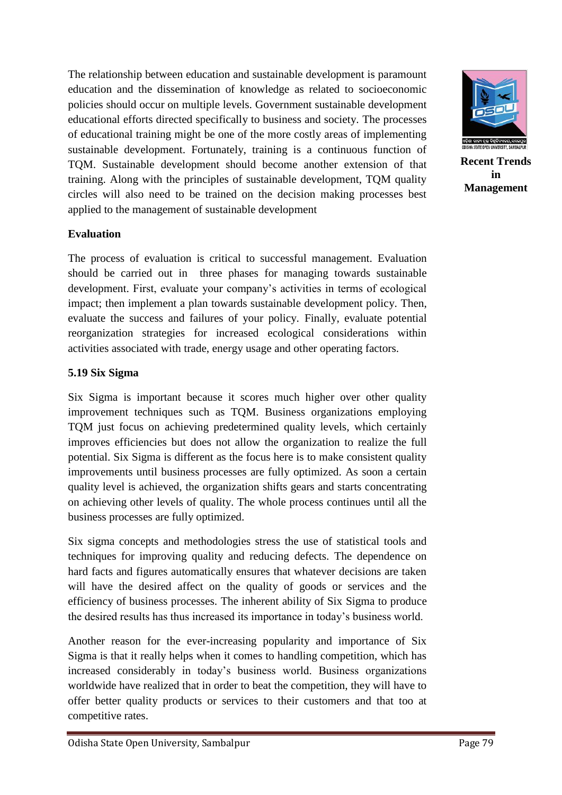The relationship between education and sustainable development is paramount education and the dissemination of knowledge as related to socioeconomic policies should occur on multiple levels. Government sustainable development educational efforts directed specifically to business and society. The processes of educational training might be one of the more costly areas of implementing sustainable development. Fortunately, training is a continuous function of TQM. Sustainable development should become another extension of that training. Along with the principles of sustainable development, TQM quality circles will also need to be trained on the decision making processes best applied to the management of sustainable development



The process of evaluation is critical to successful management. Evaluation should be carried out in three phases for managing towards sustainable development. First, evaluate your company's activities in terms of ecological impact; then implement a plan towards sustainable development policy. Then, evaluate the success and failures of your policy. Finally, evaluate potential reorganization strategies for increased ecological considerations within activities associated with trade, energy usage and other operating factors.

#### **5.19 Six Sigma**

Six Sigma is important because it scores much higher over other quality improvement techniques such as TQM. Business organizations employing TQM just focus on achieving predetermined quality levels, which certainly improves efficiencies but does not allow the organization to realize the full potential. Six Sigma is different as the focus here is to make consistent quality improvements until business processes are fully optimized. As soon a certain quality level is achieved, the organization shifts gears and starts concentrating on achieving other levels of quality. The whole process continues until all the business processes are fully optimized.

Six sigma concepts and methodologies stress the use of statistical tools and techniques for improving quality and reducing defects. The dependence on hard facts and figures automatically ensures that whatever decisions are taken will have the desired affect on the quality of goods or services and the efficiency of business processes. The inherent ability of Six Sigma to produce the desired results has thus increased its importance in today's business world.

Another reason for the ever-increasing popularity and importance of Six Sigma is that it really helps when it comes to handling competition, which has increased considerably in today's business world. Business organizations worldwide have realized that in order to beat the competition, they will have to offer better quality products or services to their customers and that too at competitive rates.

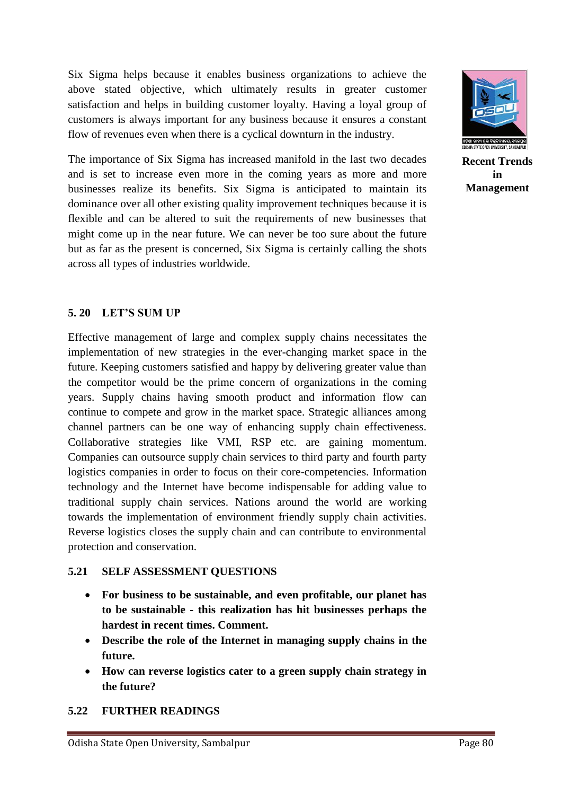Six Sigma helps because it enables business organizations to achieve the above stated objective, which ultimately results in greater customer satisfaction and helps in building customer loyalty. Having a loyal group of customers is always important for any business because it ensures a constant flow of revenues even when there is a cyclical downturn in the industry.

The importance of Six Sigma has increased manifold in the last two decades and is set to increase even more in the coming years as more and more businesses realize its benefits. Six Sigma is anticipated to maintain its dominance over all other existing quality improvement techniques because it is flexible and can be altered to suit the requirements of new businesses that might come up in the near future. We can never be too sure about the future but as far as the present is concerned, Six Sigma is certainly calling the shots across all types of industries worldwide.

### **5. 20 LET'S SUM UP**

Effective management of large and complex supply chains necessitates the implementation of new strategies in the ever-changing market space in the future. Keeping customers satisfied and happy by delivering greater value than the competitor would be the prime concern of organizations in the coming years. Supply chains having smooth product and information flow can continue to compete and grow in the market space. Strategic alliances among channel partners can be one way of enhancing supply chain effectiveness. Collaborative strategies like VMI, RSP etc. are gaining momentum. Companies can outsource supply chain services to third party and fourth party logistics companies in order to focus on their core-competencies. Information technology and the Internet have become indispensable for adding value to traditional supply chain services. Nations around the world are working towards the implementation of environment friendly supply chain activities. Reverse logistics closes the supply chain and can contribute to environmental protection and conservation.

### **5.21 SELF ASSESSMENT QUESTIONS**

- **For business to be sustainable, and even profitable, our planet has to be sustainable - this realization has hit businesses perhaps the hardest in recent times. Comment.**
- **Describe the role of the Internet in managing supply chains in the future.**
- **How can reverse logistics cater to a green supply chain strategy in the future?**

### **5.22 FURTHER READINGS**

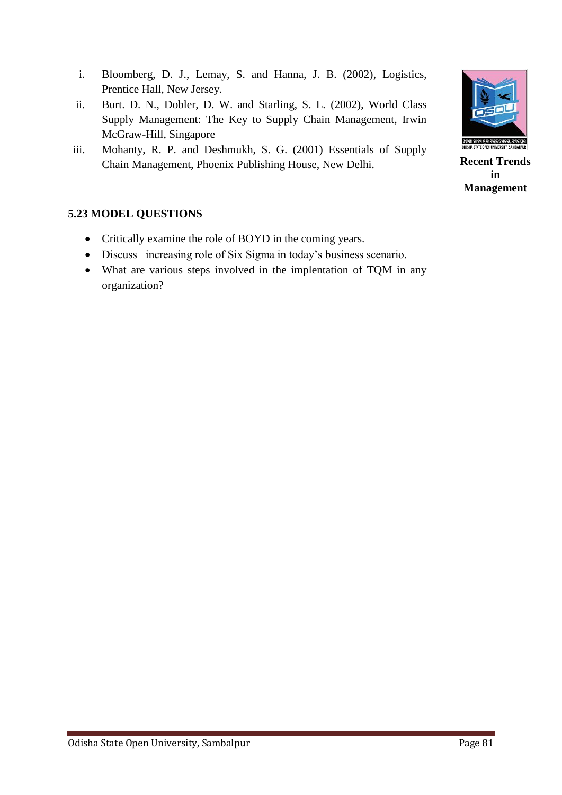- i. Bloomberg, D. J., Lemay, S. and Hanna, J. B. (2002), Logistics, Prentice Hall, New Jersey.
- ii. Burt. D. N., Dobler, D. W. and Starling, S. L. (2002), World Class Supply Management: The Key to Supply Chain Management, Irwin McGraw-Hill, Singapore
- iii. Mohanty, R. P. and Deshmukh, S. G. (2001) Essentials of Supply Chain Management, Phoenix Publishing House, New Delhi.



**Recent Trends in Management**

# **5.23 MODEL QUESTIONS**

- Critically examine the role of BOYD in the coming years.
- Discuss increasing role of Six Sigma in today's business scenario.
- What are various steps involved in the implentation of TQM in any organization?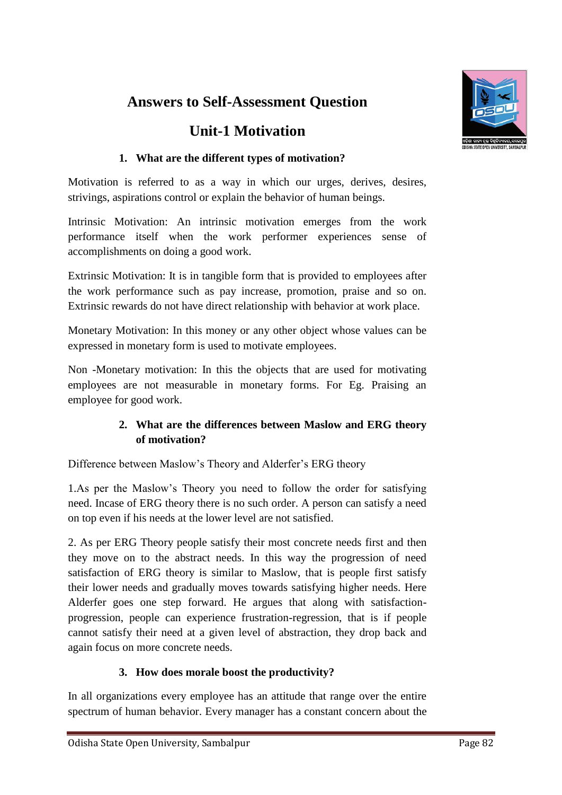# **Answers to Self-Assessment Question**

# **Unit-1 Motivation**

# **1. What are the different types of motivation?**

Motivation is referred to as a way in which our urges, derives, desires, strivings, aspirations control or explain the behavior of human beings.

Intrinsic Motivation: An intrinsic motivation emerges from the work performance itself when the work performer experiences sense of accomplishments on doing a good work.

Extrinsic Motivation: It is in tangible form that is provided to employees after the work performance such as pay increase, promotion, praise and so on. Extrinsic rewards do not have direct relationship with behavior at work place.

Monetary Motivation: In this money or any other object whose values can be expressed in monetary form is used to motivate employees.

Non -Monetary motivation: In this the objects that are used for motivating employees are not measurable in monetary forms. For Eg. Praising an employee for good work.

# **2. What are the differences between Maslow and ERG theory of motivation?**

Difference between Maslow's Theory and Alderfer's ERG theory

1.As per the Maslow's Theory you need to follow the order for satisfying need. Incase of ERG theory there is no such order. A person can satisfy a need on top even if his needs at the lower level are not satisfied.

2. As per ERG Theory people satisfy their most concrete needs first and then they move on to the abstract needs. In this way the progression of need satisfaction of ERG theory is similar to Maslow, that is people first satisfy their lower needs and gradually moves towards satisfying higher needs. Here Alderfer goes one step forward. He argues that along with satisfactionprogression, people can experience frustration-regression, that is if people cannot satisfy their need at a given level of abstraction, they drop back and again focus on more concrete needs.

# **3. How does morale boost the productivity?**

In all organizations every employee has an attitude that range over the entire spectrum of human behavior. Every manager has a constant concern about the

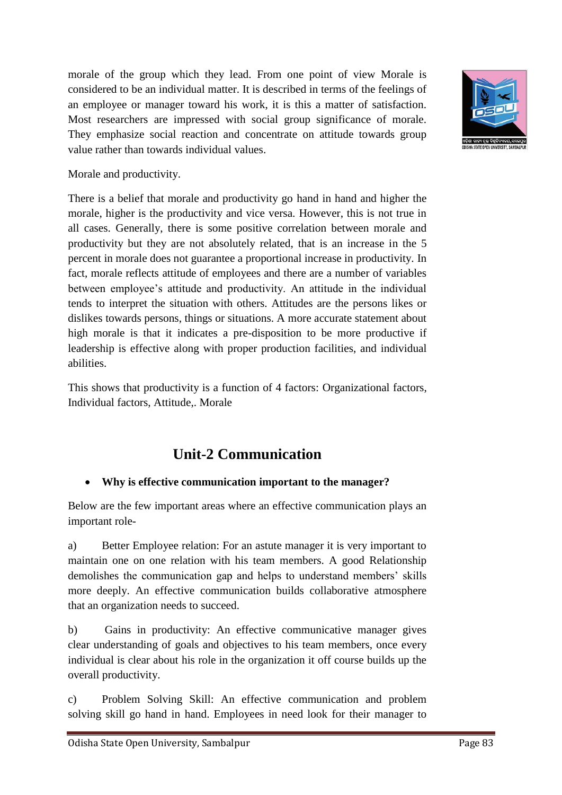morale of the group which they lead. From one point of view Morale is considered to be an individual matter. It is described in terms of the feelings of an employee or manager toward his work, it is this a matter of satisfaction. Most researchers are impressed with social group significance of morale. They emphasize social reaction and concentrate on attitude towards group value rather than towards individual values.



Morale and productivity.

There is a belief that morale and productivity go hand in hand and higher the morale, higher is the productivity and vice versa. However, this is not true in all cases. Generally, there is some positive correlation between morale and productivity but they are not absolutely related, that is an increase in the 5 percent in morale does not guarantee a proportional increase in productivity. In fact, morale reflects attitude of employees and there are a number of variables between employee's attitude and productivity. An attitude in the individual tends to interpret the situation with others. Attitudes are the persons likes or dislikes towards persons, things or situations. A more accurate statement about high morale is that it indicates a pre-disposition to be more productive if leadership is effective along with proper production facilities, and individual abilities.

This shows that productivity is a function of 4 factors: Organizational factors, Individual factors, Attitude,. Morale

# **Unit-2 Communication**

## **Why is effective communication important to the manager?**

Below are the few important areas where an effective communication plays an important role-

a) Better Employee relation: For an astute manager it is very important to maintain one on one relation with his team members. A good Relationship demolishes the communication gap and helps to understand members' skills more deeply. An effective communication builds collaborative atmosphere that an organization needs to succeed.

b) Gains in productivity: An effective communicative manager gives clear understanding of goals and objectives to his team members, once every individual is clear about his role in the organization it off course builds up the overall productivity.

c) Problem Solving Skill: An effective communication and problem solving skill go hand in hand. Employees in need look for their manager to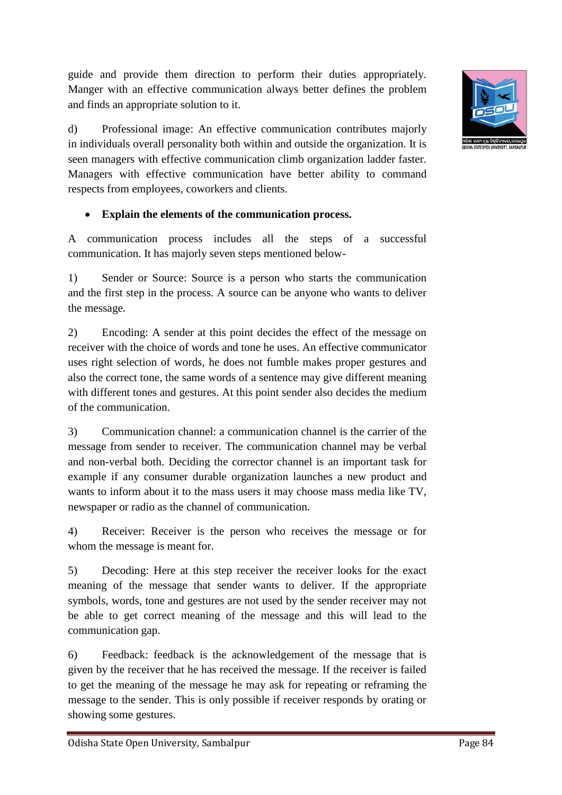guide and provide them direction to perform their duties appropriately. Manger with an effective communication always better defines the problem and finds an appropriate solution to it.



### **Explain the elements of the communication process.**

A communication process includes all the steps of a successful communication. It has majorly seven steps mentioned below-

1) Sender or Source: Source is a person who starts the communication and the first step in the process. A source can be anyone who wants to deliver the message.

2) Encoding: A sender at this point decides the effect of the message on receiver with the choice of words and tone he uses. An effective communicator uses right selection of words, he does not fumble makes proper gestures and also the correct tone, the same words of a sentence may give different meaning with different tones and gestures. At this point sender also decides the medium of the communication.

3) Communication channel: a communication channel is the carrier of the message from sender to receiver. The communication channel may be verbal and non-verbal both. Deciding the corrector channel is an important task for example if any consumer durable organization launches a new product and wants to inform about it to the mass users it may choose mass media like TV, newspaper or radio as the channel of communication.

4) Receiver: Receiver is the person who receives the message or for whom the message is meant for.

5) Decoding: Here at this step receiver the receiver looks for the exact meaning of the message that sender wants to deliver. If the appropriate symbols, words, tone and gestures are not used by the sender receiver may not be able to get correct meaning of the message and this will lead to the communication gap.

6) Feedback: feedback is the acknowledgement of the message that is given by the receiver that he has received the message. If the receiver is failed to get the meaning of the message he may ask for repeating or reframing the message to the sender. This is only possible if receiver responds by orating or showing some gestures.

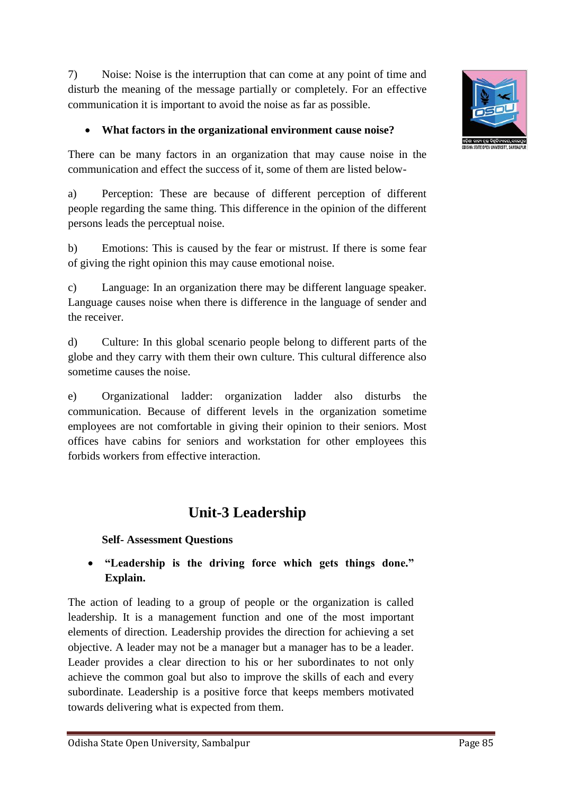7) Noise: Noise is the interruption that can come at any point of time and disturb the meaning of the message partially or completely. For an effective communication it is important to avoid the noise as far as possible.



There can be many factors in an organization that may cause noise in the communication and effect the success of it, some of them are listed below-

a) Perception: These are because of different perception of different people regarding the same thing. This difference in the opinion of the different persons leads the perceptual noise.

b) Emotions: This is caused by the fear or mistrust. If there is some fear of giving the right opinion this may cause emotional noise.

c) Language: In an organization there may be different language speaker. Language causes noise when there is difference in the language of sender and the receiver.

d) Culture: In this global scenario people belong to different parts of the globe and they carry with them their own culture. This cultural difference also sometime causes the noise.

e) Organizational ladder: organization ladder also disturbs the communication. Because of different levels in the organization sometime employees are not comfortable in giving their opinion to their seniors. Most offices have cabins for seniors and workstation for other employees this forbids workers from effective interaction.

# **Unit-3 Leadership**

### **Self- Assessment Questions**

 **"Leadership is the driving force which gets things done." Explain.**

The action of leading to a group of people or the organization is called leadership. It is a management function and one of the most important elements of direction. Leadership provides the direction for achieving a set objective. A leader may not be a manager but a manager has to be a leader. Leader provides a clear direction to his or her subordinates to not only achieve the common goal but also to improve the skills of each and every subordinate. Leadership is a positive force that keeps members motivated towards delivering what is expected from them.

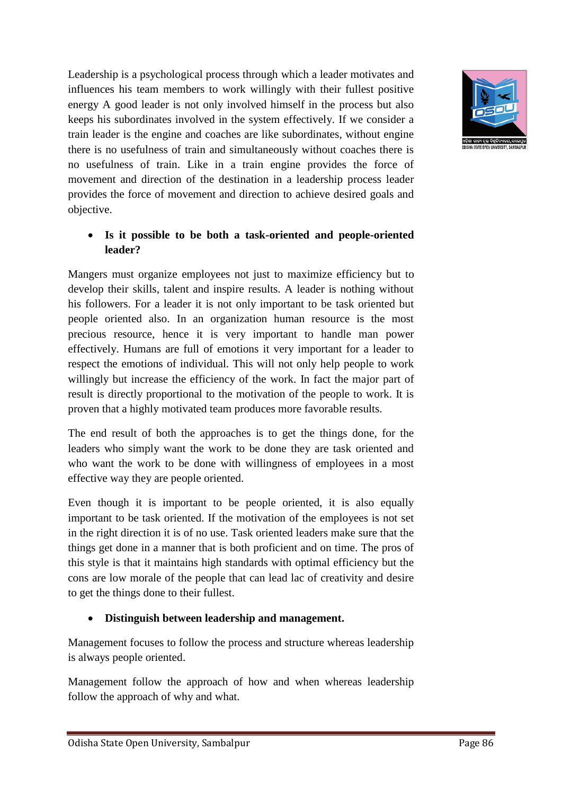Leadership is a psychological process through which a leader motivates and influences his team members to work willingly with their fullest positive energy A good leader is not only involved himself in the process but also keeps his subordinates involved in the system effectively. If we consider a train leader is the engine and coaches are like subordinates, without engine there is no usefulness of train and simultaneously without coaches there is no usefulness of train. Like in a train engine provides the force of movement and direction of the destination in a leadership process leader provides the force of movement and direction to achieve desired goals and objective.

# **Is it possible to be both a task-oriented and people-oriented leader?**

Mangers must organize employees not just to maximize efficiency but to develop their skills, talent and inspire results. A leader is nothing without his followers. For a leader it is not only important to be task oriented but people oriented also. In an organization human resource is the most precious resource, hence it is very important to handle man power effectively. Humans are full of emotions it very important for a leader to respect the emotions of individual. This will not only help people to work willingly but increase the efficiency of the work. In fact the major part of result is directly proportional to the motivation of the people to work. It is proven that a highly motivated team produces more favorable results.

The end result of both the approaches is to get the things done, for the leaders who simply want the work to be done they are task oriented and who want the work to be done with willingness of employees in a most effective way they are people oriented.

Even though it is important to be people oriented, it is also equally important to be task oriented. If the motivation of the employees is not set in the right direction it is of no use. Task oriented leaders make sure that the things get done in a manner that is both proficient and on time. The pros of this style is that it maintains high standards with optimal efficiency but the cons are low morale of the people that can lead lac of creativity and desire to get the things done to their fullest.

## **Distinguish between leadership and management.**

Management focuses to follow the process and structure whereas leadership is always people oriented.

Management follow the approach of how and when whereas leadership follow the approach of why and what.

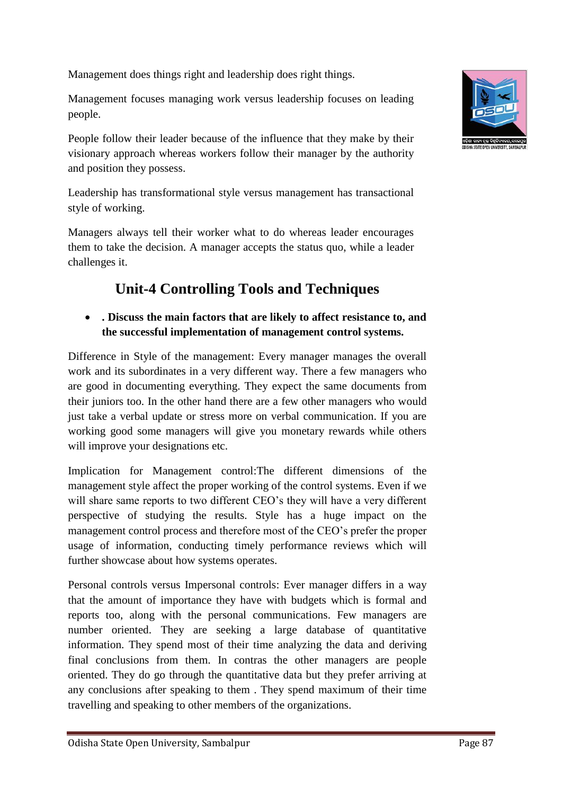Management does things right and leadership does right things.

Management focuses managing work versus leadership focuses on leading people.

People follow their leader because of the influence that they make by their visionary approach whereas workers follow their manager by the authority and position they possess.

Leadership has transformational style versus management has transactional style of working.

Managers always tell their worker what to do whereas leader encourages them to take the decision. A manager accepts the status quo, while a leader challenges it.

# **Unit-4 Controlling Tools and Techniques**

# **. Discuss the main factors that are likely to affect resistance to, and the successful implementation of management control systems.**

Difference in Style of the management: Every manager manages the overall work and its subordinates in a very different way. There a few managers who are good in documenting everything. They expect the same documents from their juniors too. In the other hand there are a few other managers who would just take a verbal update or stress more on verbal communication. If you are working good some managers will give you monetary rewards while others will improve your designations etc.

Implication for Management control:The different dimensions of the management style affect the proper working of the control systems. Even if we will share same reports to two different CEO's they will have a very different perspective of studying the results. Style has a huge impact on the management control process and therefore most of the CEO's prefer the proper usage of information, conducting timely performance reviews which will further showcase about how systems operates.

Personal controls versus Impersonal controls: Ever manager differs in a way that the amount of importance they have with budgets which is formal and reports too, along with the personal communications. Few managers are number oriented. They are seeking a large database of quantitative information. They spend most of their time analyzing the data and deriving final conclusions from them. In contras the other managers are people oriented. They do go through the quantitative data but they prefer arriving at any conclusions after speaking to them . They spend maximum of their time travelling and speaking to other members of the organizations.

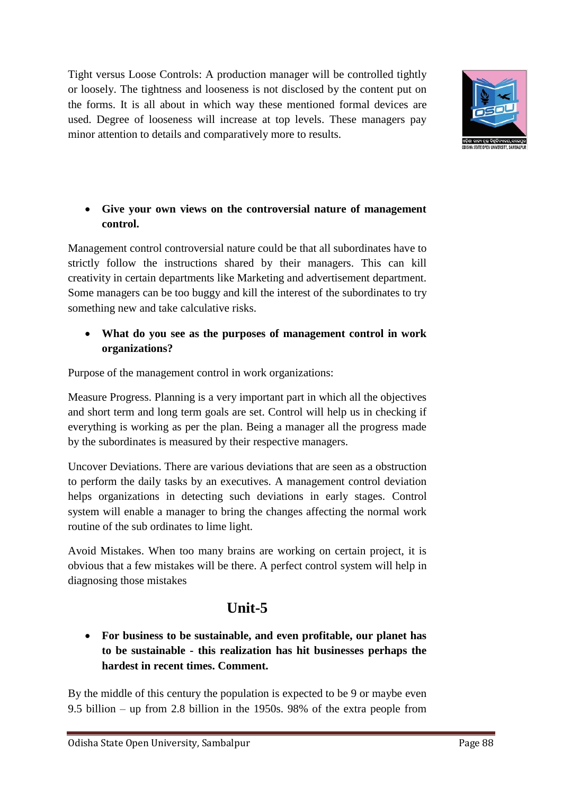Tight versus Loose Controls: A production manager will be controlled tightly or loosely. The tightness and looseness is not disclosed by the content put on the forms. It is all about in which way these mentioned formal devices are used. Degree of looseness will increase at top levels. These managers pay minor attention to details and comparatively more to results.



# **Give your own views on the controversial nature of management control.**

Management control controversial nature could be that all subordinates have to strictly follow the instructions shared by their managers. This can kill creativity in certain departments like Marketing and advertisement department. Some managers can be too buggy and kill the interest of the subordinates to try something new and take calculative risks.

# **What do you see as the purposes of management control in work organizations?**

Purpose of the management control in work organizations:

Measure Progress. Planning is a very important part in which all the objectives and short term and long term goals are set. Control will help us in checking if everything is working as per the plan. Being a manager all the progress made by the subordinates is measured by their respective managers.

Uncover Deviations. There are various deviations that are seen as a obstruction to perform the daily tasks by an executives. A management control deviation helps organizations in detecting such deviations in early stages. Control system will enable a manager to bring the changes affecting the normal work routine of the sub ordinates to lime light.

Avoid Mistakes. When too many brains are working on certain project, it is obvious that a few mistakes will be there. A perfect control system will help in diagnosing those mistakes

# **Unit-5**

 **For business to be sustainable, and even profitable, our planet has to be sustainable - this realization has hit businesses perhaps the hardest in recent times. Comment.**

By the middle of this century the population is expected to be 9 or maybe even 9.5 billion – up from 2.8 billion in the 1950s. 98% of the extra people from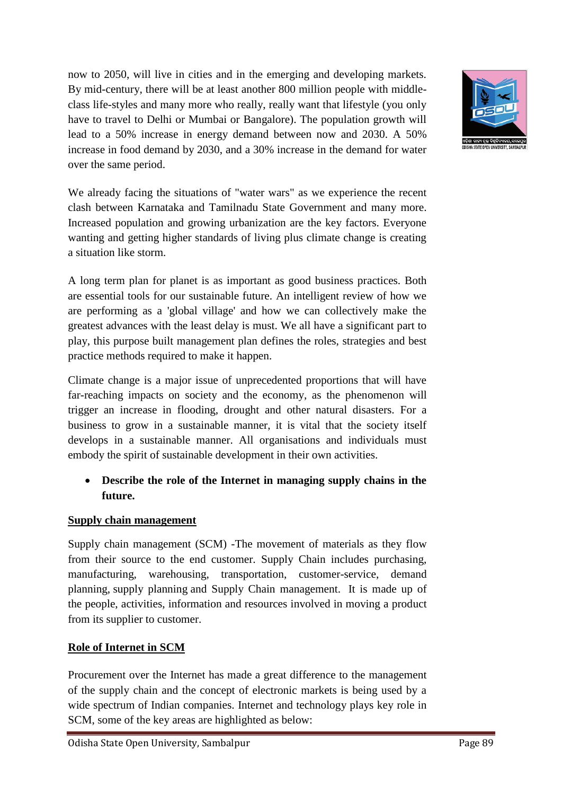now to 2050, will live in cities and in the emerging and developing markets. By mid-century, there will be at least another 800 million people with middleclass life-styles and many more who really, really want that lifestyle (you only have to travel to Delhi or Mumbai or Bangalore). The population growth will lead to a 50% increase in energy demand between now and 2030. A 50% increase in food demand by 2030, and a 30% increase in the demand for water over the same period.



We already facing the situations of "water wars" as we experience the recent clash between Karnataka and Tamilnadu State Government and many more. Increased population and growing urbanization are the key factors. Everyone wanting and getting higher standards of living plus climate change is creating a situation like storm.

A long term plan for planet is as important as good business practices. Both are essential tools for our sustainable future. An intelligent review of how we are performing as a 'global village' and how we can collectively make the greatest advances with the least delay is must. We all have a significant part to play, this purpose built management plan defines the roles, strategies and best practice methods required to make it happen.

Climate change is a major issue of unprecedented proportions that will have far-reaching impacts on society and the economy, as the phenomenon will trigger an increase in flooding, drought and other natural disasters. For a business to grow in a sustainable manner, it is vital that the society itself develops in a sustainable manner. All organisations and individuals must embody the spirit of sustainable development in their own activities.

# **Describe the role of the Internet in managing supply chains in the future.**

## **Supply chain management**

Supply chain management (SCM) -The movement of materials as they flow from their source to the end customer. Supply Chain includes purchasing, manufacturing, warehousing, transportation, customer-service, demand planning, supply planning and Supply Chain management. It is made up of the people, activities, information and resources involved in moving a product from its supplier to customer.

### **Role of Internet in SCM**

Procurement over the Internet has made a great difference to the management of the supply chain and the concept of electronic markets is being used by a wide spectrum of Indian companies. Internet and technology plays key role in SCM, some of the key areas are highlighted as below: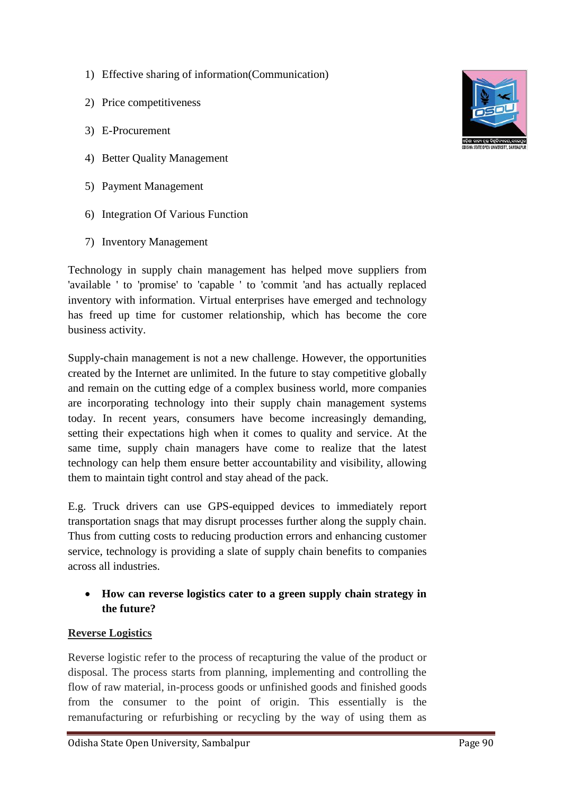- 1) Effective sharing of information(Communication)
- 2) Price competitiveness
- 3) E-Procurement
- 4) Better Quality Management
- 5) Payment Management
- 6) Integration Of Various Function
- 7) Inventory Management

Technology in supply chain management has helped move suppliers from 'available ' to 'promise' to 'capable ' to 'commit 'and has actually replaced inventory with information. Virtual enterprises have emerged and technology has freed up time for customer relationship, which has become the core business activity.

Supply-chain management is not a new challenge. However, the opportunities created by the Internet are unlimited. In the future to stay competitive globally and remain on the cutting edge of a complex business world, more companies are incorporating technology into their supply chain management systems today. In recent years, consumers have become increasingly demanding, setting their expectations high when it comes to quality and service. At the same time, supply chain managers have come to realize that the latest technology can help them ensure better accountability and visibility, allowing them to maintain tight control and stay ahead of the pack.

E.g. Truck drivers can use GPS-equipped devices to immediately report transportation snags that may disrupt processes further along the supply chain. Thus from cutting costs to reducing production errors and enhancing customer service, technology is providing a slate of supply chain benefits to companies across all industries.

## **How can reverse logistics cater to a green supply chain strategy in the future?**

### **Reverse Logistics**

Reverse logistic refer to the process of recapturing the value of the product or disposal. The process starts from planning, implementing and controlling the flow of raw material, in-process goods or unfinished goods and finished goods from the consumer to the point of origin. This essentially is the remanufacturing or refurbishing or recycling by the way of using them as